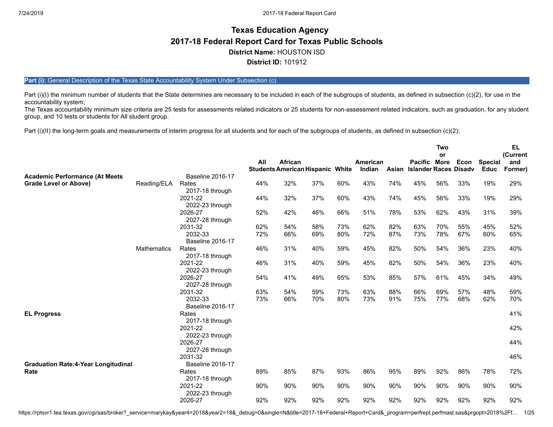# **Texas Education Agency 2017-18 Federal Report Card for Texas Public Schools District Name:** HOUSTON ISD **District ID:** 101912

## Part (i): General Description of the Texas State Accountability System Under Subsection (c)

Part (i)(I) the minimum number of students that the State determines are necessary to be included in each of the subgroups of students, as defined in subsection (c)(2), for use in the accountability system;

The Texas accountability minimum size criteria are 25 tests for assessments related indicators or 25 students for non-assessment related indicators, such as graduation, for any student group, and 10 tests or students for All student group.

Part (i)(II) the long-term goals and measurements of interim progress for all students and for each of the subgroups of students, as defined in subsection (c)(2);

|                                            |                    |                            | All | African                                 |     |     | American |       | Pacific More                 | <b>Two</b><br>or | Econ | <b>Special</b> | <b>EL</b><br>(Current<br>and |
|--------------------------------------------|--------------------|----------------------------|-----|-----------------------------------------|-----|-----|----------|-------|------------------------------|------------------|------|----------------|------------------------------|
|                                            |                    |                            |     | <b>Students American Hispanic White</b> |     |     | Indian   | Asian | <b>Islander Races Disadv</b> |                  |      | <b>Educ</b>    | Former)                      |
| <b>Academic Performance (At Meets</b>      |                    | <b>Baseline 2016-17</b>    |     |                                         |     |     |          |       |                              |                  |      |                |                              |
| <b>Grade Level or Above)</b>               | Reading/ELA        | Rates                      | 44% | 32%                                     | 37% | 60% | 43%      | 74%   | 45%                          | 56%              | 33%  | 19%            | 29%                          |
|                                            |                    | 2017-18 through<br>2021-22 | 44% | 32%                                     | 37% | 60% | 43%      | 74%   | 45%                          | 56%              | 33%  | 19%            | 29%                          |
|                                            |                    | 2022-23 through            |     |                                         |     |     |          |       |                              |                  |      |                |                              |
|                                            |                    | 2026-27                    | 52% | 42%                                     | 46% | 66% | 51%      | 78%   | 53%                          | 62%              | 43%  | 31%            | 39%                          |
|                                            |                    | 2027-28 through            |     |                                         |     |     |          |       |                              |                  |      |                |                              |
|                                            |                    | 2031-32                    | 62% | 54%                                     | 58% | 73% | 62%      | 82%   | 63%                          | 70%              | 55%  | 45%            | 52%                          |
|                                            |                    | 2032-33                    | 72% | 66%                                     | 69% | 80% | 72%      | 87%   | 73%                          | 78%              | 67%  | 60%            | 65%                          |
|                                            |                    | <b>Baseline 2016-17</b>    |     |                                         |     |     |          |       |                              |                  |      |                |                              |
|                                            | <b>Mathematics</b> | Rates                      | 46% | 31%                                     | 40% | 59% | 45%      | 82%   | 50%                          | 54%              | 36%  | 23%            | 40%                          |
|                                            |                    | 2017-18 through            |     |                                         |     |     |          |       |                              |                  |      |                |                              |
|                                            |                    | 2021-22                    | 46% | 31%                                     | 40% | 59% | 45%      | 82%   | 50%                          | 54%              | 36%  | 23%            | 40%                          |
|                                            |                    | 2022-23 through            |     |                                         |     |     |          |       |                              |                  |      |                |                              |
|                                            |                    | 2026-27                    | 54% | 41%                                     | 49% | 65% | 53%      | 85%   | 57%                          | 61%              | 45%  | 34%            | 49%                          |
|                                            |                    | 2027-28 through            |     |                                         |     |     |          |       |                              |                  |      |                |                              |
|                                            |                    | 2031-32                    | 63% | 54%                                     | 59% | 73% | 63%      | 88%   | 66%                          | 69%              | 57%  | 48%            | 59%                          |
|                                            |                    | 2032-33                    | 73% | 66%                                     | 70% | 80% | 73%      | 91%   | 75%                          | 77%              | 68%  | 62%            | 70%                          |
|                                            |                    | <b>Baseline 2016-17</b>    |     |                                         |     |     |          |       |                              |                  |      |                |                              |
| <b>EL Progress</b>                         |                    | Rates                      |     |                                         |     |     |          |       |                              |                  |      |                | 41%                          |
|                                            |                    | 2017-18 through            |     |                                         |     |     |          |       |                              |                  |      |                |                              |
|                                            |                    | 2021-22<br>2022-23 through |     |                                         |     |     |          |       |                              |                  |      |                | 42%                          |
|                                            |                    | 2026-27                    |     |                                         |     |     |          |       |                              |                  |      |                | 44%                          |
|                                            |                    | 2027-28 through            |     |                                         |     |     |          |       |                              |                  |      |                |                              |
|                                            |                    | 2031-32                    |     |                                         |     |     |          |       |                              |                  |      |                | 46%                          |
| <b>Graduation Rate:4-Year Longitudinal</b> |                    | <b>Baseline 2016-17</b>    |     |                                         |     |     |          |       |                              |                  |      |                |                              |
| Rate                                       |                    | Rates                      | 89% | 85%                                     | 87% | 93% | 86%      | 95%   | 89%                          | 92%              | 86%  | 78%            | 72%                          |
|                                            |                    | 2017-18 through            |     |                                         |     |     |          |       |                              |                  |      |                |                              |
|                                            |                    | 2021-22                    | 90% | 90%                                     | 90% | 90% | 90%      | 90%   | 90%                          | 90%              | 90%  | 90%            | 90%                          |
|                                            |                    | 2022-23 through            |     |                                         |     |     |          |       |                              |                  |      |                |                              |
|                                            |                    | 2026-27                    | 92% | 92%                                     | 92% | 92% | 92%      | 92%   | 92%                          | 92%              | 92%  | 92%            | 92%                          |

https://rptsvr1.tea.texas.gov/cgi/sas/broker?\_service=marykay&year4=2018&year2=18&\_debug=0&single=N&title=2017-18+Federal+Report+Card&\_program=perfrept.perfmast.sas&prgopt=2018%2Ff... 1/25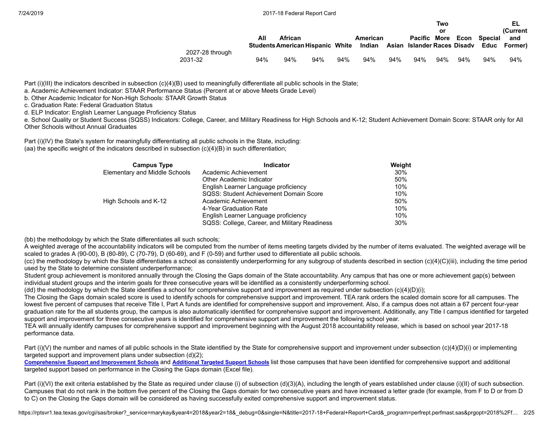| 7/24/2019 |
|-----------|
|-----------|

|                 |                                         |         |     |     |          |     |                             | Two |     |              | EL           |
|-----------------|-----------------------------------------|---------|-----|-----|----------|-----|-----------------------------|-----|-----|--------------|--------------|
|                 |                                         |         |     |     |          |     |                             | or  |     |              | (Current     |
|                 | All                                     | African |     |     | American |     | <b>Pacific More</b>         |     |     | Econ Special | and          |
|                 | <b>Students American Hispanic White</b> |         |     |     | Indian   |     | Asian Islander Races Disadv |     |     |              | Educ Former) |
| 2027-28 through |                                         |         |     |     |          |     |                             |     |     |              |              |
| 2031-32         | 94%                                     | 94%     | 94% | 94% | 94%      | 94% | 94%                         | 94% | 94% | 94%          | 94%          |

Part (i)(III) the indicators described in subsection (c)(4)(B) used to meaningfully differentiate all public schools in the State;

a. Academic Achievement Indicator: STAAR Performance Status (Percent at or above Meets Grade Level)

b. Other Academic Indicator for Non-High Schools: STAAR Growth Status

c. Graduation Rate: Federal Graduation Status

d. ELP Indicator: English Learner Language Proficiency Status

e. School Quality or Student Success (SQSS) Indicators: College, Career, and Military Readiness for High Schools and K-12; Student Achievement Domain Score: STAAR only for All Other Schools without Annual Graduates

Part (i)(IV) the State's system for meaningfully differentiating all public schools in the State, including: (aa) the specific weight of the indicators described in subsection (c)(4)(B) in such differentiation;

| <b>Campus Type</b>            | Indicator                                     | Weight |
|-------------------------------|-----------------------------------------------|--------|
| Elementary and Middle Schools | Academic Achievement                          | 30%    |
|                               | Other Academic Indicator                      | 50%    |
|                               | English Learner Language proficiency          | 10%    |
|                               | SQSS: Student Achievement Domain Score        | 10%    |
| High Schools and K-12         | Academic Achievement                          | 50%    |
|                               | 4-Year Graduation Rate                        | 10%    |
|                               | English Learner Language proficiency          | 10%    |
|                               | SQSS: College, Career, and Military Readiness | 30%    |

(bb) the methodology by which the State differentiates all such schools;

A weighted average of the accountability indicators will be computed from the number of items meeting targets divided by the number of items evaluated. The weighted average will be scaled to grades A (90-00), B (80-89), C (70-79), D (60-69), and F (0-59) and further used to differentiate all public schools.

(cc) the methodology by which the State differentiates a school as consistently underperforming for any subgroup of students described in section (c)(4)(C)(iii), including the time period used by the State to determine consistent underperformance;

Student group achievement is monitored annually through the Closing the Gaps domain of the State accountability. Any campus that has one or more achievement gap(s) between individual student groups and the interim goals for three consecutive years will be identified as a consistently underperforming school.

(dd) the methodology by which the State identifies a school for comprehensive support and improvement as required under subsection  $(c)(4)(D)(i)$ ;

The Closing the Gaps domain scaled score is used to identify schools for comprehensive support and improvement. TEA rank orders the scaled domain score for all campuses. The lowest five percent of campuses that receive Title I, Part A funds are identified for comprehensive support and improvement. Also, if a campus does not attain a 67 percent four-year graduation rate for the all students group, the campus is also automatically identified for comprehensive support and improvement. Additionally, any Title I campus identified for targeted support and improvement for three consecutive years is identified for comprehensive support and improvement the following school year.

TEA will annually identify campuses for comprehensive support and improvement beginning with the August 2018 accountability release, which is based on school year 2017-18 performance data.

Part (i)(V) the number and names of all public schools in the State identified by the State for comprehensive support and improvement under subsection (c)(4)(D)(i) or implementing targeted support and improvement plans under subsection (d)(2);

[Comprehensive](https://tea.texas.gov/WorkArea/DownloadAsset.aspx?id=51539624659) Support and Improvement Schools and [Additional](https://tea.texas.gov/WorkArea/DownloadAsset.aspx?id=51539624660) Targeted Support Schools list those campuses that have been identified for comprehensive support and additional targeted support based on performance in the Closing the Gaps domain (Excel file).

Part (i)(VI) the exit criteria established by the State as required under clause (i) of subsection (d)(3)(A), including the length of years established under clause (i)(II) of such subsection. Campuses that do not rank in the bottom five percent of the Closing the Gaps domain for two consecutive years and have increased a letter grade (for example, from F to D or from D to C) on the Closing the Gaps domain will be considered as having successfully exited comprehensive support and improvement status.

https://rptsvr1.tea.texas.gov/cgi/sas/broker?\_service=marykay&year4=2018&year2=18&\_debug=0&single=N&title=2017-18+Federal+Report+Card&\_program=perfrept.perfmast.sas&prgopt=2018%2Ff... 2/25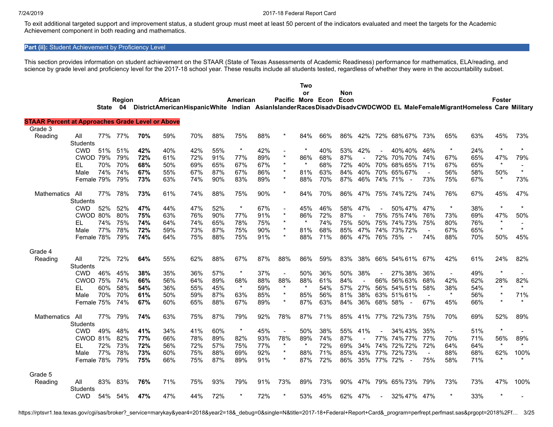To exit additional targeted support and improvement status, a student group must meet at least 50 percent of the indicators evaluated and meet the targets for the Academic Achievement component in both reading and mathematics.

## Part (ii): Student Achievement by Proficiency Level

This section provides information on student achievement on the STAAR (State of Texas Assessments of Academic Readiness) performance for mathematics, ELA/reading, and science by grade level and proficiency level for the 2017-18 school year. These results include all students tested, regardless of whether they were in the accountability subset.

|                                                         |                 |              |        |     |         |     |     |          |     |                        | <b>Two</b> |     |     |     |         |                                                                                                                          |                |                |     |                |         |
|---------------------------------------------------------|-----------------|--------------|--------|-----|---------|-----|-----|----------|-----|------------------------|------------|-----|-----|-----|---------|--------------------------------------------------------------------------------------------------------------------------|----------------|----------------|-----|----------------|---------|
|                                                         |                 |              |        |     |         |     |     |          |     |                        | or         |     | Non |     |         |                                                                                                                          |                |                |     |                |         |
|                                                         |                 |              | Region |     | African |     |     | American |     | Pacific More Econ Econ |            |     |     |     |         |                                                                                                                          |                |                |     | Foster         |         |
|                                                         |                 | <b>State</b> |        |     |         |     |     |          |     |                        |            |     |     |     |         | 04 DistrictAmericanHispanicWhite Indian AsianIslanderRacesDisadvDisadvCWDCWOD EL MaleFemaleMigrantHomeless Care Military |                |                |     |                |         |
| <b>STAAR Percent at Approaches Grade Level or Above</b> |                 |              |        |     |         |     |     |          |     |                        |            |     |     |     |         |                                                                                                                          |                |                |     |                |         |
| Grade 3                                                 |                 |              |        |     |         |     |     |          |     |                        |            |     |     |     |         |                                                                                                                          |                |                |     |                |         |
| Reading                                                 | All             | 77%          | 77%    | 70% | 59%     | 70% | 88% | 75%      | 88% |                        | 84%        | 66% | 86% | 42% |         | 72% 68% 67%                                                                                                              | 73%            | 65%            | 63% | 45%            | 73%     |
|                                                         | Students        |              |        |     |         |     |     |          |     |                        |            |     |     |     |         |                                                                                                                          |                |                |     |                |         |
|                                                         | <b>CWD</b>      | 51%          | 51%    | 42% | 40%     | 42% | 55% | $\star$  | 42% |                        | $\star$    | 40% | 53% | 42% |         | 40%40%                                                                                                                   | 46%            | $\star$        | 24% | $\star$        | $\star$ |
|                                                         | <b>CWOD 79%</b> |              | 79%    | 72% | 61%     | 72% | 91% | 77%      | 89% | $\star$                | 86%        | 68% | 87% |     | 72%     | 70% 70%                                                                                                                  | 74%            | 67%            | 65% | 47%            | 79%     |
|                                                         | EL              | 70%          | 70%    | 68% | 50%     | 69% | 65% | 67%      | 67% | $\star$                |            | 68% | 72% | 40% |         | 70% 68% 65%                                                                                                              | 71%            | 67%            | 65% | $\star$        |         |
|                                                         | Male            | 74%          | 74%    | 67% | 55%     | 67% | 87% | 67%      | 86% | $\star$                | 81%        | 63% | 84% | 40% |         | 70% 65% 67%                                                                                                              |                | 56%            | 58% | 50%            | $\star$ |
|                                                         | Female 79%      |              | 79%    | 73% | 63%     | 74% | 90% | 83%      | 89% | $\star$                | 88%        | 70% | 87% | 46% | 74%     | 71%<br>$\overline{\phantom{a}}$                                                                                          | 73%            | 75%            | 67% | $\ast$         | 73%     |
|                                                         |                 |              |        |     |         |     |     |          |     |                        |            |     |     |     |         |                                                                                                                          |                |                |     |                |         |
| <b>Mathematics</b>                                      | All             | 77%          | 78%    | 73% | 61%     | 74% | 88% | 75%      | 90% | $\star$                | 84%        | 70% | 86% | 47% |         | 75% 74%72%                                                                                                               | 74%            | 76%            | 67% | 45%            | 47%     |
|                                                         | <b>Students</b> |              |        |     |         |     |     |          |     |                        |            |     |     |     |         |                                                                                                                          |                |                |     |                |         |
|                                                         | <b>CWD</b>      | 52%          | 52%    | 47% | 44%     | 47% | 52% | $\star$  | 67% | $\blacksquare$         | 45%        | 46% | 58% | 47% |         | 50% 47%                                                                                                                  | 47%            | $\star$        | 38% | $\star$        | $\star$ |
|                                                         | CWOD 80%        |              | 80%    | 75% | 63%     | 76% | 90% | 77%      | 91% | $\star$                | 86%        | 72% | 87% |     |         | 75% 75% 74%                                                                                                              | 76%            | 73%            | 69% | 47%            | 50%     |
|                                                         | EL              | 74%          | 75%    | 74% | 64%     | 74% | 65% | 78%      | 75% | $\star$                | $\star$    | 74% | 75% | 50% | 75%     | 74%73%                                                                                                                   | 75%            | 80%            | 76% | $\star$        |         |
|                                                         | Male            | 77%          | 78%    | 72% | 59%     | 73% | 87% | 75%      | 90% | $\star$                | 81%        | 68% | 85% | 47% | 74%     | 73%72%                                                                                                                   | $\blacksquare$ | 67%            | 65% | $\star$        | $\star$ |
|                                                         | Female 78%      |              | 79%    | 74% | 64%     | 75% | 88% | 75%      | 91% | $\star$                | 88%        | 71% | 86% | 47% |         | 76% 75%<br>$\overline{\phantom{a}}$                                                                                      | 74%            | 88%            | 70% | 50%            | 45%     |
|                                                         |                 |              |        |     |         |     |     |          |     |                        |            |     |     |     |         |                                                                                                                          |                |                |     |                |         |
| Grade 4                                                 |                 |              |        |     |         |     |     |          |     |                        |            |     |     |     |         |                                                                                                                          |                |                |     |                |         |
| Reading                                                 | All             | 72%          | 72%    | 64% | 55%     | 62% | 88% | 67%      | 87% | 88%                    | 86%        | 59% | 83% | 38% |         | 66% 54% 61%                                                                                                              | 67%            | 42%            | 61% | 24%            | 82%     |
|                                                         | <b>Students</b> |              |        |     |         |     |     |          |     |                        |            |     |     |     |         |                                                                                                                          |                |                |     |                |         |
|                                                         | <b>CWD</b>      | 46%          | 45%    | 38% | 35%     | 36% | 57% | $\star$  | 37% | $\sim$                 | 50%        | 36% | 50% | 38% |         | 27%38%                                                                                                                   | 36%            | $\blacksquare$ | 49% | $\star$        |         |
|                                                         | <b>CWOD 75%</b> |              | 74%    | 66% | 56%     | 64% | 89% | 68%      | 88% | 88%                    | 88%        | 61% | 84% |     | 66%     | 56% 63%                                                                                                                  | 68%            | 42%            | 62% | 28%            | 82%     |
|                                                         | EL              | 60%          | 58%    | 54% | 36%     | 55% | 45% | $\star$  | 59% | $\star$                |            | 54% | 57% | 27% | 56%     | 54% 51%                                                                                                                  | 58%            | 38%            | 54% | $\star$        | $\star$ |
|                                                         | Male            | 70%          | 70%    | 61% | 50%     | 59% | 87% | 63%      | 85% | $\star$                | 85%        | 56% | 81% | 38% | 63%     | 51%61%                                                                                                                   |                | $\star$        | 56% | $\star$        | 71%     |
|                                                         | Female 75%      |              | 74%    | 67% | 60%     | 65% | 88% | 67%      | 89% | $^\ast$                | 87%        | 63% | 84% | 36% | 68% 58% | $\overline{\phantom{a}}$                                                                                                 | 67%            | 45%            | 66% | $\star$        | $\star$ |
|                                                         |                 |              |        |     |         |     |     |          |     |                        |            |     |     |     |         |                                                                                                                          |                |                |     |                |         |
| <b>Mathematics</b>                                      | All             | 77%          | 79%    | 74% | 63%     | 75% | 87% | 79%      | 92% | 78%                    | 87%        | 71% | 85% | 41% | 77%     | 72%73%                                                                                                                   | 75%            | 70%            | 69% | 52%            | 89%     |
|                                                         | <b>Students</b> |              |        |     |         |     |     |          |     |                        |            |     |     |     |         |                                                                                                                          |                |                |     |                |         |
|                                                         | <b>CWD</b>      | 49%          | 48%    | 41% | 34%     | 41% | 60% | $\star$  | 45% | $\blacksquare$         | 50%        | 38% | 55% | 41% |         | 34%43%                                                                                                                   | 35%            | $\blacksquare$ | 51% | $\star$        |         |
|                                                         |                 |              | 82%    | 77% |         |     | 89% |          | 93% | 78%                    | 89%        | 74% | 87% |     | 77%     | 74% 77%                                                                                                                  | 77%            | 70%            |     | 56%            | 89%     |
|                                                         | CWOD 81%        |              | 73%    |     | 66%     | 78% |     | 82%      | 77% | $\star$                | $\star$    |     |     |     |         |                                                                                                                          |                |                | 71% | $\star$        | $\star$ |
|                                                         | EL              | 72%          |        | 72% | 56%     | 72% | 57% | 75%      |     | $\star$                |            | 72% | 69% | 34% | 74%     | 72%72%                                                                                                                   | 72%            | 64%            | 64% |                |         |
|                                                         | Male            | 77%          | 78%    | 73% | 60%     | 75% | 88% | 69%      | 92% | $\star$                | 88%        | 71% | 85% | 43% |         | 77% 72% 73%                                                                                                              | $\sim$         | 88%            | 68% | 62%<br>$\star$ | 100%    |
|                                                         | Female 78%      |              | 79%    | 75% | 66%     | 75% | 87% | 89%      | 91% |                        | 87%        | 72% | 86% | 35% | 77% 72% |                                                                                                                          | 75%            | 58%            | 71% |                |         |
|                                                         |                 |              |        |     |         |     |     |          |     |                        |            |     |     |     |         |                                                                                                                          |                |                |     |                |         |
| Grade 5                                                 |                 |              |        |     |         |     |     |          |     |                        |            |     |     |     |         |                                                                                                                          |                |                |     |                |         |
| Reading                                                 | All             | 83%          | 83%    | 76% | 71%     | 75% | 93% | 79%      | 91% | 73%                    | 89%        | 73% | 90% | 47% |         | 79% 65% 73%                                                                                                              | 79%            | 73%            | 73% | 47%            | 100%    |
|                                                         | <b>Students</b> |              |        |     |         |     |     |          |     |                        |            |     |     |     |         |                                                                                                                          |                | $\star$        |     |                |         |
|                                                         | <b>CWD</b>      | 54%          | 54%    | 47% | 47%     | 44% | 72% |          | 72% |                        | 53%        | 45% | 62% | 47% |         | 32% 47%                                                                                                                  | 47%            |                | 33% |                |         |

https://rptsvr1.tea.texas.gov/cgi/sas/broker?\_service=marykay&year4=2018&year2=18&\_debug=0&single=N&title=2017-18+Federal+Report+Card&\_program=perfrept.perfmast.sas&prgopt=2018%2Ff... 3/25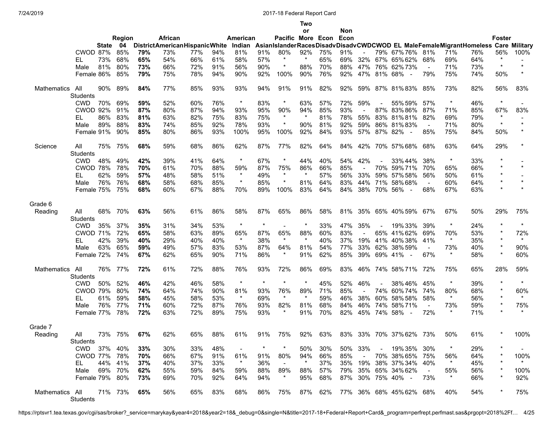**Two**

|                    |                        |       |         |     |                                      |     |     |          |         |                        | or      |     | Non |                |                |                                                                                         |                |         |     |                   |          |
|--------------------|------------------------|-------|---------|-----|--------------------------------------|-----|-----|----------|---------|------------------------|---------|-----|-----|----------------|----------------|-----------------------------------------------------------------------------------------|----------------|---------|-----|-------------------|----------|
|                    |                        |       | Region  |     | African                              |     |     | American |         | Pacific More Econ Econ |         |     |     |                |                |                                                                                         |                |         |     | <b>Foster</b>     |          |
|                    |                        | State | 04      |     | <b>DistrictAmericanHispanicWhite</b> |     |     |          |         |                        |         |     |     |                |                | Indian AsianIslanderRacesDisadvDisadvCWDCWOD EL MaleFemaleMigrantHomeless Care Military |                |         |     |                   |          |
|                    | CWOD 87%               |       | 85%     | 79% | 73%                                  | 77% | 94% | 81%      | 91%     | 80%                    | 92%     | 75% | 91% |                |                | 79% 67% 76%                                                                             | 81%            | 71%     | 76% | 56%               | 100%     |
|                    | EL                     | 73%   | 68%     | 65% | 54%                                  | 66% | 61% | 58%      | 57%     | $\star$                | $\ast$  | 65% | 69% | 32%            |                | 67% 65% 62%                                                                             | 68%            | 69%     | 64% | *                 |          |
|                    | Male                   | 81%   | 80%     | 73% | 66%                                  | 72% | 91% | 56%      | 90%     | $\ast$                 | 88%     | 70% | 88% | 47%            |                | 76% 62% 73%                                                                             | $\blacksquare$ | 71%     | 73% | $\star$           | $\star$  |
|                    | Female 86%             |       | 85%     | 79% | 75%                                  | 78% | 94% | 90%      | 92%     | 100%                   | 90%     | 76% | 92% | 47%            |                | 81% 68% -                                                                               | 79%            | 75%     | 74% | 50%               |          |
| <b>Mathematics</b> | All                    | 90%   | 89%     | 84% | 77%                                  | 85% | 93% | 93%      | 94%     | 91%                    | 91%     | 82% | 92% | 59%            |                | 87% 81% 83%                                                                             | 85%            | 73%     | 82% | 56%               | 83%      |
|                    | <b>Students</b>        |       |         |     |                                      |     |     |          |         |                        |         |     |     |                |                |                                                                                         |                |         |     |                   |          |
|                    | <b>CWD</b>             | 70%   | 69%     | 59% | 52%                                  | 60% | 76% | $\ast$   | 83%     | $\ast$                 | 63%     | 57% | 72% | 59%            |                | 55% 59%                                                                                 | 57%            | $\ast$  | 46% | $\star$           |          |
|                    | <b>CWOD 92%</b>        |       | 91%     | 87% | 80%                                  | 87% | 94% | 93%      | 95%     | 90%                    | 94%     | 85% | 93% |                |                | 87% 83% 86%                                                                             | 87%            | 71%     | 85% | 67%               | 83%      |
|                    | EL                     | 86%   | 83%     | 81% | 63%                                  | 82% | 75% | 83%      | 75%     | $\star$                | $\star$ | 81% | 78% | 55%            | 83%            | 81%81%                                                                                  | 82%            | 69%     | 79% | $\ast$<br>$\star$ | $\star$  |
|                    | Male                   | 89%   | 88%     | 83% | 74%                                  | 85% | 92% | 78%      | 93%     | $^\ast$                | 90%     | 81% | 92% | 59%            |                | 86% 81% 83%                                                                             | $\sim$         | 71%     | 80% |                   |          |
|                    | Female 91%             |       | 90%     | 85% | 80%                                  | 86% | 93% | 100%     | 95%     | 100%                   | 92%     | 84% | 93% | 57%            | 87% 82%        | $\overline{\phantom{a}}$                                                                | 85%            | 75%     | 84% | 50%               |          |
| Science            | All<br><b>Students</b> | 75%   | 75%     | 68% | 59%                                  | 68% | 86% | 62%      | 87%     | 77%                    | 82%     | 64% | 84% | 42%            |                | 70% 57% 68%                                                                             | 68%            | 63%     | 64% | 29%               |          |
|                    | <b>CWD</b>             | 48%   | 49%     | 42% | 39%                                  | 41% | 64% | $\star$  | 67%     | $\ast$                 | 44%     | 40% | 54% | 42%            |                | 33% 44%                                                                                 | 38%            | $\ast$  | 33% | $\star$           |          |
|                    | CWOD 78%               |       | 78%     | 70% | 61%                                  | 70% | 88% | 59%      | 87%     | 75%                    | 86%     | 66% | 85% | $\sim$         | 70%            | 59%71%                                                                                  | 70%            | 65%     | 66% | $\star$           | $\star$  |
|                    | EL                     | 62%   | 59%     | 57% | 48%                                  | 58% | 51% | $\star$  | 49%     | $\star$                | $\star$ | 57% | 56% | 33%            | 59%            | 57%58%                                                                                  | 56%            | 50%     | 61% | *                 |          |
|                    | Male                   | 76%   | 76%     | 68% | 58%                                  | 68% | 85% | $\star$  | 85%     | $^\ast$                | 81%     | 64% | 83% | 44%            | 71%            | 58%68%                                                                                  | $\blacksquare$ | 60%     | 64% | $\star$           | $\star$  |
|                    | Female 75%             |       | 75%     | 68% | 60%                                  | 67% | 88% | 70%      | 89%     | 100%                   | 83%     | 64% | 84% | 38%            |                | 70% 56% -                                                                               | 68%            | 67%     | 63% | $\star$           | $\star$  |
| Grade 6            |                        |       |         |     |                                      |     |     |          |         |                        |         |     |     |                |                |                                                                                         |                |         |     |                   |          |
| Reading            | All                    | 68%   | 70%     | 63% | 56%                                  | 61% | 86% | 58%      | 87%     | 65%                    | 86%     | 58% | 81% | 35%            |                | 65% 40% 59%                                                                             | 67%            | 67%     | 50% | 29%               | 75%      |
|                    | <b>Students</b>        |       |         |     |                                      |     |     |          |         |                        |         |     |     |                |                |                                                                                         |                |         |     |                   |          |
|                    | <b>CWD</b>             | 35%   | 37%     | 35% | 31%                                  | 34% | 53% | $\star$  | $\star$ |                        | $\ast$  | 33% | 47% | 35%            |                | 19% 33%                                                                                 | 39%            | $\star$ | 24% | $\star$           | $\star$  |
|                    | <b>CWOD 71%</b>        |       | 72%     | 65% | 58%                                  | 63% | 89% | 65%      | 87%     | 65%                    | 88%     | 60% | 83% |                |                | 65% 41% 62%                                                                             | 69%            | 70%     | 53% | *                 | 72%      |
|                    | EL                     | 42%   | 39%     | 40% | 29%                                  | 40% | 40% | $\star$  | 38%     | $\star$                | $\star$ | 40% | 37% | 19%            | 41%            | 40%38%                                                                                  | 41%            | $\star$ | 35% | $\star$           | $\star$  |
|                    | Male                   | 63%   | 65%     | 59% | 49%                                  | 57% | 83% | 53%      | 87%     | 64%                    | 81%     | 54% | 77% | 33%            | 62%            | 38% 59%                                                                                 | $\blacksquare$ | 73%     | 40% | $\star$           | 90%      |
|                    | Female 72%             |       | 74%     | 67% | 62%                                  | 65% | 90% | 71%      | 86%     | $^\ast$                | 91%     | 62% | 85% | 39%            | 69% 41%        | $\sim$                                                                                  | 67%            | $\ast$  | 58% | $^{\star}$        | 60%      |
| Mathematics        | All                    | 76%   | 77%     | 72% | 61%                                  | 72% | 88% | 76%      | 93%     | 72%                    | 86%     | 69% | 83% | 46%            |                | 74% 58% 71%                                                                             | 72%            | 75%     | 65% | 28%               | 59%      |
|                    | <b>Students</b>        |       |         |     |                                      |     |     |          |         |                        |         |     |     |                |                |                                                                                         |                |         |     |                   |          |
|                    | <b>CWD</b>             | 50%   | 52%     | 46% | 42%                                  | 46% | 58% | $\star$  | $\star$ | $\star$                |         | 45% | 52% | 46%            |                | 38%46%                                                                                  | 45%            | $\star$ | 39% | $\star$           | $^\star$ |
|                    | CWOD 79%               |       | 80%     | 74% | 64%                                  | 74% | 90% | 81%      | 93%     | 76%                    | 89%     | 71% | 85% |                |                | 74% 60% 74%                                                                             | 74%            | 80%     | 68% | $\star$           | 60%      |
|                    | EL                     | 61%   | 59%     | 58% | 45%                                  | 58% | 53% | $\star$  | 69%     | $\star$                | $\star$ | 59% | 46% | 38%            | 60%            | 58% 58%                                                                                 | 58%            | $\star$ | 56% | $\star$           | $\star$  |
|                    | Male                   | 76%   | 77%     | 71% | 60%                                  | 72% | 87% | 76%      | 93%     | 82%                    | 81%     | 68% | 84% | 46%            | 74%            | 58%71%                                                                                  | $\blacksquare$ | 73%     | 59% | $\star$           | 75%      |
|                    | Female 77%             |       | 78%     | 72% | 63%                                  | 72% | 89% | 75%      | 93%     | $\star$                | 91%     | 70% | 82% | 45%            | 74% 58%        | $\sim$                                                                                  | 72%            | $\star$ | 71% | $\star$           |          |
| Grade 7            |                        |       |         |     |                                      |     |     |          |         |                        |         |     |     |                |                |                                                                                         |                |         |     |                   |          |
| Reading            | All<br>Students        | 73%   | 75%     | 67% | 62%                                  | 65% | 88% | 61%      | 91%     | 75%                    | 92%     | 63% |     |                |                | 83% 33% 70% 37% 62% 73%                                                                 |                | 50%     | 61% |                   | 100%     |
|                    | CWD 37%                |       | 40%     | 33% | 30%                                  | 33% | 48% |          | *       | $\star$                | 50%     | 30% | 50% | 33%            | $\blacksquare$ | 19% 35%                                                                                 | 30%            | $\star$ | 29% |                   |          |
|                    | CWOD 77%               |       | 78%     | 70% | 66%                                  | 67% | 91% | 61%      | 91%     | 80%                    | 94%     | 66% | 85% | $\blacksquare$ |                | 70% 38% 65%                                                                             | 75%            | 56%     | 64% | $\star$           | 100%     |
|                    | EL.                    | 44%   | 41%     | 37% | 40%                                  | 37% | 33% | $\star$  | 36%     | $\blacksquare$         | $\star$ | 37% | 35% | 19%            |                | 38% 37% 34%                                                                             | 40%            | $\star$ | 45% |                   |          |
|                    | Male                   |       | 69% 70% | 62% | 55%                                  | 59% | 84% | 59%      | 88%     | 89%                    | 88%     | 57% | 79% |                |                | 35% 65% 34% 62%                                                                         |                | 55%     | 56% |                   | 100%     |
|                    | Female 79% 80%         |       |         | 73% | 69%                                  | 70% | 92% | 64%      | 94%     | $\star$                | 95%     | 68% | 87% |                |                | 30% 75% 40% -                                                                           | 73%            | $\star$ | 66% | $^\star$          | 92%      |
| Mathematics All    | Students               |       | 71% 73% | 65% | 56%                                  | 65% | 83% | 68%      | 86%     | 75%                    | 87%     | 62% |     |                |                | 77% 36% 68% 45% 62%                                                                     | 68%            | 40%     | 54% | *                 | 75%      |

https://rptsvr1.tea.texas.gov/cgi/sas/broker?\_service=marykay&year4=2018&year2=18&\_debug=0&single=N&title=2017-18+Federal+Report+Card&\_program=perfrept.perfmast.sas&prgopt=2018%2Ff… 4/25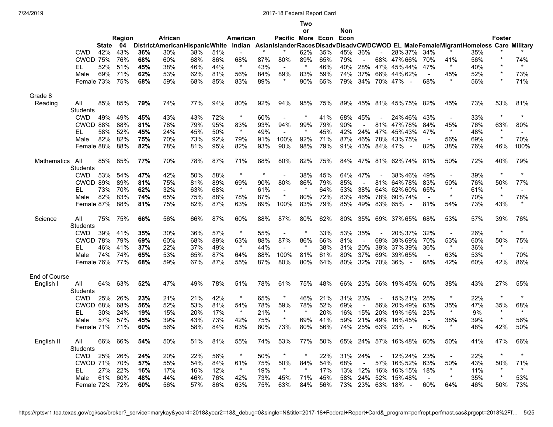**Two**

|                    |                 |              |               |     |                                      |     |     |                |         |                   | or      |     | Non  |     |        |                                                                                         |                |                |     |                |                |
|--------------------|-----------------|--------------|---------------|-----|--------------------------------------|-----|-----|----------------|---------|-------------------|---------|-----|------|-----|--------|-----------------------------------------------------------------------------------------|----------------|----------------|-----|----------------|----------------|
|                    |                 |              | <b>Region</b> |     | African                              |     |     | American       |         | Pacific More Econ |         |     | Econ |     |        |                                                                                         |                |                |     | <b>Foster</b>  |                |
|                    |                 | <b>State</b> | 04            |     | <b>DistrictAmericanHispanicWhite</b> |     |     |                |         |                   |         |     |      |     |        | Indian AsianIslanderRacesDisadvDisadvCWDCWOD EL MaleFemaleMigrantHomeless Care Military |                |                |     |                |                |
|                    | <b>CWD</b>      | 42%          | 43%           | 36% | 30%                                  | 38% | 51% |                |         |                   | 62%     | 35% | 45%  | 36% |        | 28% 37%                                                                                 | 34%            |                | 35% |                |                |
|                    | <b>CWOD 75%</b> |              | 76%           | 68% | 60%                                  | 68% | 86% | 68%            | 87%     | 80%               | 89%     | 65% | 79%  |     |        | 68% 47% 66%                                                                             | 70%            | 41%            | 56% | $\star$        | 74%            |
|                    | EL              | 52%          | 51%           | 45% | 38%                                  | 46% | 44% | $\star$        | 43%     | $\sim$            |         | 46% | 40%  | 28% |        | 47% 45% 44%                                                                             | 47%            | $\star$        | 40% | $\star$        | $\star$        |
|                    | Male            | 69%          | 71%           | 62% | 53%                                  | 62% | 81% | 56%            | 84%     | 89%               | 83%     | 59% | 74%  | 37% | 66%    | 44% 62%                                                                                 | $\sim$         | 45%            | 52% | $\star$        | 73%            |
|                    | Female 73%      |              | 75%           | 68% | 59%                                  | 68% | 85% | 83%            | 89%     | $\star$           | 90%     | 65% | 79%  | 34% |        | 70% 47%<br>$\overline{\phantom{a}}$                                                     | 68%            | $\star$        | 56% | $\star$        | 71%            |
|                    |                 |              |               |     |                                      |     |     |                |         |                   |         |     |      |     |        |                                                                                         |                |                |     |                |                |
| Grade 8            |                 |              |               |     |                                      |     |     |                |         |                   |         |     |      |     |        |                                                                                         |                |                |     |                |                |
| Reading            | All             | 85%          | 85%           | 79% | 74%                                  | 77% | 94% | 80%            | 92%     | 94%               | 95%     | 75% | 89%  |     |        | 45% 81% 45% 75%                                                                         | 82%            | 45%            | 73% | 53%            | 81%            |
|                    | <b>Students</b> |              |               |     |                                      |     |     |                |         |                   |         |     |      |     |        |                                                                                         |                |                |     |                |                |
|                    | <b>CWD</b>      | 49%          | 49%           | 45% | 43%                                  | 43% | 72% | $\star$        | 60%     | $\sim$            |         | 41% | 68%  | 45% |        | 24%46%                                                                                  | 43%            | $\blacksquare$ | 33% | $\star$        | $\star$        |
|                    | CWOD 88%        |              | 88%           | 81% | 78%                                  | 79% | 95% | 83%            | 93%     | 94%               | 99%     | 79% | 90%  |     | 81%    | 47%78%                                                                                  | 84%            | 45%            | 76% | 63%            | 80%            |
|                    |                 | 58%          | 52%           |     |                                      |     | 50% | $\star$        | 49%     | $\sim$            | $\star$ | 45% | 42%  | 24% | 47%    | 45%43%                                                                                  | 47%            | $\star$        |     | $\star$        | $\sim$         |
|                    | EL              |              |               | 45% | 24%                                  | 45% |     |                |         |                   |         |     |      |     |        |                                                                                         |                |                | 48% | $\star$        |                |
|                    | Male            | 82%          | 82%           | 75% | 70%                                  | 73% | 92% | 79%            | 91%     | 100%              | 92%     | 71% | 87%  | 46% |        | 78% 43% 75%                                                                             | $\sim$         | 56%            | 69% |                | 70%            |
|                    | Female 88%      |              | 88%           | 82% | 78%                                  | 81% | 95% | 82%            | 93%     | 90%               | 98%     | 79% | 91%  | 43% |        | 84% 47%<br>$\sim$                                                                       | 82%            | 38%            | 76% | 46%            | 100%           |
|                    |                 |              |               |     |                                      |     |     |                |         |                   |         |     |      |     |        |                                                                                         |                |                |     |                |                |
| <b>Mathematics</b> | All             | 85%          | 85%           | 77% | 70%                                  | 78% | 87% | 71%            | 88%     | 80%               | 82%     | 75% | 84%  | 47% |        | 81% 62% 74%                                                                             | 81%            | 50%            | 72% | 40%            | 79%            |
|                    | <b>Students</b> |              |               |     |                                      |     |     |                |         |                   |         |     |      |     |        |                                                                                         |                |                |     |                |                |
|                    | <b>CWD</b>      | 53%          | 54%           | 47% | 42%                                  | 50% | 58% | $\star$        | $\star$ | $\sim$            | 38%     | 45% | 64%  | 47% |        | 38%46%                                                                                  | 49%            | $\blacksquare$ | 39% | $\star$        | $\star$        |
|                    | <b>CWOD 89%</b> |              | 89%           | 81% | 75%                                  | 81% | 89% | 69%            | 90%     | 80%               | 86%     | 79% | 85%  |     | 81%    | 64%78%                                                                                  | 83%            | 50%            | 76% | 50%            | 77%            |
|                    | EL              | 73%          | 70%           | 62% | 32%                                  | 63% | 68% | $\star$        | 61%     | $\sim$            | $\star$ | 64% | 53%  | 38% |        | 64% 62% 60%                                                                             | 65%            | $\star$        | 61% | $\star$        | $\sim$         |
|                    | Male            | 82%          | 83%           | 74% | 65%                                  | 75% | 88% | 78%            | 87%     | $\star$           | 80%     | 72% | 83%  | 46% |        | 78% 60% 74%                                                                             |                | $\star$        | 70% | $\star$        | 78%            |
|                    | Female 87%      |              | 88%           | 81% | 75%                                  | 82% | 87% | 63%            | 89%     | 100%              | 83%     | 79% | 85%  | 49% |        | 83% 65%<br>$\sim$                                                                       | 81%            | 54%            | 73% | 43%            | $\star$        |
|                    |                 |              |               |     |                                      |     |     |                |         |                   |         |     |      |     |        |                                                                                         |                |                |     |                |                |
| Science            | All             | 75%          | 75%           | 66% | 56%                                  | 66% | 87% | 60%            | 88%     | 87%               | 80%     | 62% | 80%  | 35% |        | 69% 37% 65%                                                                             | 68%            | 53%            | 57% | 39%            | 76%            |
|                    | <b>Students</b> |              |               |     |                                      |     |     |                |         |                   |         |     |      |     |        |                                                                                         |                |                |     |                |                |
|                    | <b>CWD</b>      | 39%          | 41%           | 35% | 30%                                  | 36% | 57% | $\star$        | 55%     | $\sim$            |         | 33% | 53%  | 35% | $\sim$ | 20% 37%                                                                                 | 32%            | $\blacksquare$ | 26% | $\star$        | $\star$        |
|                    | CWOD 78%        |              | 79%           | 69% | 60%                                  | 68% | 89% | 63%            | 88%     | 87%               | 86%     | 66% | 81%  |     | 69%    | 39% 69%                                                                                 | 70%            | 53%            | 60% | 50%            | 75%            |
|                    | EL              | 46%          | 41%           | 37% | 22%                                  | 37% | 49% | $\star$        | 44%     |                   | $\star$ | 38% | 31%  | 20% |        | 39% 37% 39%                                                                             | 36%            | $\star$        | 36% | $\star$        | $\blacksquare$ |
|                    | Male            | 74%          | 74%           | 65% | 53%                                  | 65% | 87% | 64%            | 88%     | 100%              | 81%     | 61% | 80%  | 37% |        | 69% 39% 65%                                                                             | $\sim$         | 63%            | 53% | $\star$        | 70%            |
|                    | Female 76%      |              | 77%           | 68% | 59%                                  | 67% | 87% | 55%            | 87%     | 80%               | 80%     | 64% | 80%  | 32% |        | 70% 36%<br>$\overline{\phantom{a}}$                                                     | 68%            | 42%            | 60% | 42%            | 86%            |
|                    |                 |              |               |     |                                      |     |     |                |         |                   |         |     |      |     |        |                                                                                         |                |                |     |                |                |
| End of Course      |                 |              |               |     |                                      |     |     |                |         |                   |         |     |      |     |        |                                                                                         |                |                |     |                |                |
| English I          | All             | 64%          | 63%           | 52% | 47%                                  | 49% | 78% | 51%            | 78%     | 61%               | 75%     | 48% | 66%  | 23% |        | 56% 19% 45%                                                                             | 60%            | 38%            | 43% | 27%            | 55%            |
|                    | <b>Students</b> |              |               |     |                                      |     |     |                |         |                   |         |     |      |     |        |                                                                                         |                |                |     |                |                |
|                    |                 | 25%          | 26%           | 23% | 21%                                  | 21% | 42% | $\star$        | 65%     | $\star$           | 46%     | 21% | 31%  | 23% |        | 15% 21%                                                                                 | 25%            | $\star$        | 22% | $\star$        | $\star$        |
|                    | <b>CWD</b>      |              |               |     |                                      |     |     |                |         |                   |         |     |      |     |        |                                                                                         |                |                |     |                |                |
|                    | CWOD 68%        |              | 68%           | 56% | 52%                                  | 53% | 81% | 54%<br>$\star$ | 78%     | 59%<br>$\star$    | 78%     | 52% | 69%  |     |        | 56% 20% 49%                                                                             | 63%            | 35%<br>$\star$ | 47% | 35%<br>$\star$ | 68%<br>$\star$ |
|                    | EL              | 30%          | 24%           | 19% | 15%                                  | 20% | 17% |                | 21%     |                   |         | 20% | 16%  | 15% | 20%    | 19% 16%                                                                                 | 23%            |                | 9%  |                |                |
|                    | Male            | 57%          | 57%           | 45% | 39%                                  | 43% | 73% | 42%            | 75%     | $\star$           | 69%     | 41% | 59%  | 21% | 49%    | 16%45%                                                                                  | $\blacksquare$ | 38%            | 39% | $\star$        | 56%            |
|                    | Female 71%      |              | 71%           | 60% | 56%                                  | 58% | 84% | 63%            | 80%     | 73%               | 80%     | 56% | 74%  | 25% |        | 63% 23%<br>$\sim$                                                                       | 60%            | $\star$        | 48% | 42%            | 50%            |
|                    |                 |              |               |     |                                      |     |     |                |         |                   |         |     |      |     |        |                                                                                         |                |                |     |                |                |
| English II         | All             | 66%          | 66%           | 54% | 50%                                  | 51% | 81% | 55%            | 74%     | 53%               | 77%     | 50% | 65%  | 24% |        | 57% 16%48%                                                                              | 60%            | 50%            | 41% | 47%            | 66%            |
|                    | <b>Students</b> |              |               |     |                                      |     |     |                |         |                   |         |     |      |     |        |                                                                                         |                |                |     |                |                |
|                    | <b>CWD</b>      | 25%          | 26%           | 24% | 20%                                  | 22% | 56% | $\star$        | 50%     | $\star$           | $\star$ | 22% | 31%  | 24% |        | 12% 24%                                                                                 | 23%            | $\blacksquare$ | 22% | $\star$        | $\star$        |
|                    | <b>CWOD 71%</b> |              | 70%           | 57% | 55%                                  | 54% | 84% | 61%            | 75%     | 50%               | 84%     | 54% | 68%  |     | 57%    | 16% 52%                                                                                 | 63%            | 50%            | 43% | 50%            | 71%            |
|                    | EL              | 27%          | 22%           | 16% | 17%                                  | 16% | 12% | $\star$        | 19%     | $\star$           |         | 17% | 13%  | 12% | 16%    | 16% 15%                                                                                 | 18%            | $\star$        | 11% | $\star$        | $\star$        |
|                    | Male            | 61%          | 60%           | 48% | 44%                                  | 46% | 76% | 42%            | 73%     | 45%               | 71%     | 45% | 58%  | 24% | 52%    | 15%48%                                                                                  | $\sim$         | $\star$        | 35% | $\star$        | 53%            |
|                    | Female 72%      |              | 72%           | 60% | 56%                                  | 57% | 86% | 63%            | 75%     | 63%               | 84%     | 56% | 73%  | 23% |        | 63% 18%                                                                                 | 60%            | 64%            | 46% | 50%            | 73%            |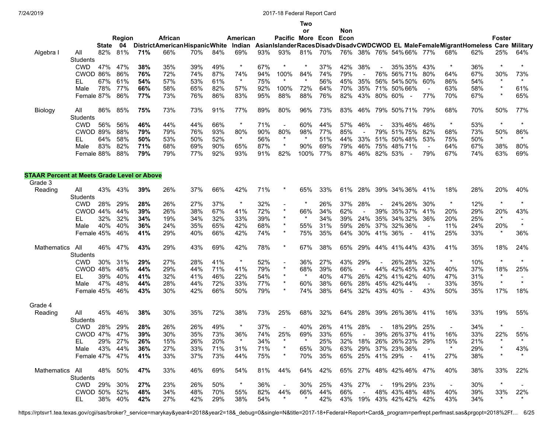**Two**

|                                                    |                 |              |         |     |                                      |     |     |          |     |                          | or             |     | Non |                      |         |                                                                                         |                |                |     |                |         |
|----------------------------------------------------|-----------------|--------------|---------|-----|--------------------------------------|-----|-----|----------|-----|--------------------------|----------------|-----|-----|----------------------|---------|-----------------------------------------------------------------------------------------|----------------|----------------|-----|----------------|---------|
|                                                    |                 |              | Region  |     | African                              |     |     | American |     | Pacific More Econ Econ   |                |     |     |                      |         |                                                                                         |                |                |     | Foster         |         |
|                                                    |                 | <b>State</b> | - 04    |     | <b>DistrictAmericanHispanicWhite</b> |     |     |          |     |                          |                |     |     |                      |         | Indian AsianIslanderRacesDisadvDisadvCWDCWOD EL MaleFemaleMigrantHomeless Care Military |                |                |     |                |         |
| Algebra I                                          | All<br>Students | 82%          | 81%     | 71% | 66%                                  | 70% | 84% | 69%      | 93% | 93%                      | 81%            | 70% |     |                      |         | 76% 38% 76% 54% 66% 77%                                                                 |                | 68%            | 62% | 25%            | 64%     |
|                                                    | <b>CWD</b>      | 47%          | 47%     | 38% | 35%                                  | 39% | 49% | $\star$  | 67% |                          |                | 37% | 42% | 38%                  |         | 35% 35%                                                                                 | 43%            | $\ast$         | 36% | $\star$        | $\star$ |
|                                                    | CWOD 86%        |              | 86%     | 76% | 72%                                  | 74% | 87% | 74%      | 94% | 100%                     | 84%            | 74% | 79% |                      | 76%     | 56%71%                                                                                  | 80%            | 64%            | 67% | 30%            | 73%     |
|                                                    | EL              | 67%          | 61%     | 54% | 57%                                  | 53% | 61% | $\star$  | 75% | $\star$                  | $\star$        | 56% | 45% | 35%                  | 56%     | 54% 50%                                                                                 | 60%            | 86%            | 54% | $\star$        | $\star$ |
|                                                    | Male            | 78%          | 77%     | 66% | 58%                                  | 65% | 82% | 57%      | 92% | 100%                     | 72%            | 64% | 70% | 35%                  |         | 71% 50% 66%                                                                             | $\blacksquare$ | 63%            | 58% | $^\star$       | 61%     |
|                                                    | Female 87%      |              | 86%     | 77% | 73%                                  | 76% | 86% | 83%      | 95% | 88%                      | 88%            | 76% | 82% | 43%                  | 80% 60% | $\sim$                                                                                  | 77%            | 70%            | 67% | $^\star$       | 65%     |
| Biology                                            | All             | 86%          | 85%     | 75% | 73%                                  | 73% | 91% | 77%      | 89% | 80%                      | 96%            | 73% | 83% | 46%                  |         | 79% 50% 71%                                                                             | 79%            | 68%            | 70% | 50%            | 77%     |
|                                                    | Students        |              |         |     |                                      |     |     |          |     |                          |                |     |     |                      |         |                                                                                         |                |                |     | $\star$        | $\star$ |
|                                                    | <b>CWD</b>      | 56%          | 56%     | 46% | 44%                                  | 44% | 66% | $\star$  | 71% | $\blacksquare$           | 60%            | 44% | 57% | 46%                  |         | 33%46%                                                                                  | 46%            | $\ast$         | 53% |                |         |
|                                                    | CWOD 89%        |              | 88%     | 79% | 79%                                  | 76% | 93% | 80%      | 90% | 80%                      | 98%<br>$\star$ | 77% | 85% | $\blacksquare$       | 79%     | 51%75%                                                                                  | 82%            | 68%            | 73% | 50%<br>$\star$ | 86%     |
|                                                    | EL              | 64%          | 58%     | 50% | 53%                                  | 50% | 52% | $\star$  | 56% | $\ast$                   |                | 51% | 44% | 33%                  | 51%     | 50%48%                                                                                  | 53%            | 75%            | 50% |                | $\star$ |
|                                                    | Male            | 83%          | 82%     | 71% | 68%                                  | 69% | 90% | 65%      | 87% |                          | 90%            | 69% | 79% | 46%                  | 75%     | 48%71%                                                                                  | $\blacksquare$ | 64%            | 67% | 38%            | 80%     |
|                                                    | Female 88%      |              | 88%     | 79% | 79%                                  | 77% | 92% | 93%      | 91% | 82%                      | 100%           | 77% | 87% | 46%                  |         | 82% 53%                                                                                 | 79%            | 67%            | 74% | 63%            | 69%     |
| <b>STAAR Percent at Meets Grade Level or Above</b> |                 |              |         |     |                                      |     |     |          |     |                          |                |     |     |                      |         |                                                                                         |                |                |     |                |         |
| Grade 3                                            |                 |              |         |     |                                      |     |     |          |     |                          |                |     |     |                      |         |                                                                                         |                |                |     |                |         |
| Reading                                            | All<br>Students | 43%          | 43%     | 39% | 26%                                  | 37% | 66% | 42%      | 71% |                          | 65%            | 33% | 61% | 28%                  |         | 39% 34% 36%                                                                             | 41%            | 18%            | 28% | 20%            | 40%     |
|                                                    | <b>CWD</b>      | 28%          | 29%     | 28% | 26%                                  | 27% | 37% | $\star$  | 32% | $\overline{\phantom{a}}$ |                | 26% | 37% | 28%                  |         | 24% 26%                                                                                 | 30%            | $\ast$         | 12% | $\star$        | $\star$ |
|                                                    | CWOD 44%        |              | 44%     | 39% | 26%                                  | 38% | 67% | 41%      | 72% | $\star$                  | 66%            | 34% | 62% |                      | 39%     | 35% 37%                                                                                 | 41%            | 20%            | 29% | 20%            | 43%     |
|                                                    | EL              | 32%          | 32%     | 34% | 19%                                  | 34% | 32% | 33%      | 39% | $\star$                  |                | 34% | 39% | 24%                  |         | 35% 34% 32%                                                                             | 36%            | 20%            | 25% | $\star$        |         |
|                                                    | Male            | 40%          | 40%     | 36% | 24%                                  | 35% | 65% | 42%      | 68% |                          | 55%            | 31% | 59% | 26%                  |         | 37% 32% 36%                                                                             | $\blacksquare$ | 11%            | 24% | 20%            | $\star$ |
|                                                    | Female 45%      |              | 46%     | 41% | 29%                                  | 40% | 66% | 42%      | 74% | $\star$                  | 75%            | 35% | 64% | 30%                  |         | 41% 36%<br>$\sim$                                                                       | 41%            | 25%            | 33% | $\star$        | 36%     |
| <b>Mathematics</b>                                 | All<br>Students | 46%          | 47%     | 43% | 29%                                  | 43% | 69% | 42%      | 78% | $\star$                  | 67%            | 38% | 65% | 29%                  |         | 44% 41% 44%                                                                             | 43%            | 41%            | 35% | 18%            | 24%     |
|                                                    | <b>CWD</b>      | 30%          | 31%     | 29% | 27%                                  | 28% | 41% | $\star$  | 52% | $\blacksquare$           | 36%            | 27% | 43% | 29%                  |         | 26% 28%                                                                                 | 32%            | $\star$        | 10% | $\star$        |         |
|                                                    | CWOD 48%        |              | 48%     | 44% | 29%                                  | 44% | 71% | 41%      | 79% | $\star$                  | 68%            | 39% | 66% |                      |         | 44% 42% 45%                                                                             | 43%            | 40%            | 37% | 18%            | 25%     |
|                                                    | EL              | 39%          | 40%     | 41% | 32%                                  | 41% | 46% | 22%      | 54% | $\star$                  |                | 40% | 47% | 26%                  |         | 42% 41% 42%                                                                             | 40%            | 47%            | 31% | $\ast$         |         |
|                                                    | Male            | 47%          | 48%     | 44% | 28%                                  | 44% | 72% | 33%      | 77% | $\star$                  | 60%            | 38% | 66% | 28%                  |         | 45% 42% 44%                                                                             | $\sim$         | 33%            | 35% | $\star$        | $\star$ |
|                                                    | Female 45%      |              | 46%     | 43% | 30%                                  | 42% | 66% | 50%      | 79% | $^\ast$                  | 74%            | 38% | 64% | 32%                  | 43% 40% | $\overline{\phantom{a}}$                                                                | 43%            | 50%            | 35% | 17%            | 18%     |
| Grade 4                                            |                 |              |         |     |                                      |     |     |          |     |                          |                |     |     |                      |         |                                                                                         |                |                |     |                |         |
| Reading                                            | All<br>Students | 45%          | 46%     | 38% | 30%                                  | 35% | 72% | 38%      | 73% | 25%                      | 68%            | 32% | 64% | 28%                  |         | 39% 26% 36%                                                                             | 41%            | 16%            | 33% | 19%            | 55%     |
|                                                    | <b>CWD</b>      | 28%          | 29%     | 28% | 26%                                  | 26% | 49% |          | 37% |                          | 40%            | 26% | 41% | 28%                  |         | 18% 29%                                                                                 | 25%            | $\blacksquare$ | 34% |                |         |
|                                                    | CWOD 47%        |              | 47%     | 39% | 30%                                  | 35% | 73% | 36%      | 74% | 25%                      | 69%            | 33% | 65% |                      |         | 39% 26% 37%                                                                             | 41%            | 16%            | 33% | 22%            | 55%     |
|                                                    | EL 1            | 29% 27%      |         | 26% | 15%                                  | 26% | 20% | $\star$  | 34% | $\star$                  |                | 25% |     |                      |         | 32% 18% 26% 26% 23% 29%                                                                 |                | 15%            | 21% |                |         |
|                                                    | Male 43% 44%    |              |         | 36% | 27%                                  | 33% | 71% | 31%      | 71% |                          | 65%            | 30% |     |                      |         | 63% 29% 37% 23% 36%                                                                     |                | $\star$        | 29% | *              | 43%     |
|                                                    | Female 47% 47%  |              |         | 41% | 33%                                  | 37% | 73% | 44%      | 75% | $\star$                  | 70%            | 35% |     |                      |         | 65% 25% 41% 29% -                                                                       | 41%            | 27%            | 38% |                |         |
|                                                    | Mathematics All |              | 48% 50% | 47% | 33%                                  | 46% | 69% | 54%      | 81% | 44%                      | 64%            | 42% |     |                      |         | 65% 27% 48% 42% 46% 47%                                                                 |                | 40%            | 38% | 33%            | 22%     |
|                                                    | Students        |              |         |     |                                      |     |     |          |     |                          |                |     |     |                      |         |                                                                                         |                |                |     |                |         |
|                                                    | CWD             | 29% 30%      |         | 27% | 23%                                  | 26% | 50% | $\star$  | 36% | $\sim$                   | 30%            | 25% |     | 43% 27%              |         | - 19% 29% 23%                                                                           |                | $\sim$         | 30% |                |         |
|                                                    | CWOD 50% 52%    |              |         | 48% | 34%                                  | 48% | 70% | 55%      | 82% | 44%                      | 66%            | 44% | 66% | $\sim 100$ m $^{-1}$ |         | 48% 43% 48% 48%                                                                         |                | 40%            | 39% | 33%            | 22%     |
|                                                    | EL -            |              | 38% 40% | 42% | 27%                                  | 42% | 29% | 38%      | 54% | $\star$                  | $\star$        | 42% |     |                      |         | 43% 19% 43% 42% 42% 42%                                                                 |                | 43%            | 34% | $\star$        | $\star$ |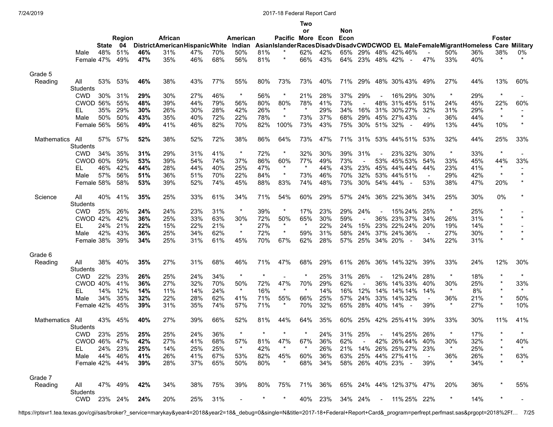|             |                 |              |         |     |                                      |     |     |                |         |                   | Two            |             |      |                |            |                                                                                         |                          |         |     |                |          |
|-------------|-----------------|--------------|---------|-----|--------------------------------------|-----|-----|----------------|---------|-------------------|----------------|-------------|------|----------------|------------|-----------------------------------------------------------------------------------------|--------------------------|---------|-----|----------------|----------|
|             |                 |              |         |     |                                      |     |     |                |         |                   | or             |             | Non  |                |            |                                                                                         |                          |         |     |                |          |
|             |                 |              | Region  |     | African                              |     |     | American       |         | Pacific More Econ |                |             | Econ |                |            |                                                                                         |                          |         |     | <b>Foster</b>  |          |
|             |                 | <b>State</b> | - 04    |     | <b>DistrictAmericanHispanicWhite</b> |     |     |                |         |                   |                |             |      |                |            | Indian AsianIslanderRacesDisadvDisadvCWDCWOD EL MaleFemaleMigrantHomeless Care Military |                          |         |     |                |          |
|             | Male            | 48%          | 51%     | 46% | 31%                                  | 47% | 70% | 50%            | 81%     | $^\ast$           | 62%            | 42%         | 65%  |                |            | 29% 48% 42% 46%                                                                         |                          | 50%     | 36% | 38%<br>$\star$ | 0%       |
|             | Female 47%      |              | 49%     | 47% | 35%                                  | 46% | 68% | 56%            | 81%     |                   | 66%            | 43%         |      | 64% 23%        | 48% 42%    | $\overline{\phantom{a}}$                                                                | 47%                      | 33%     | 40% |                |          |
| Grade 5     |                 |              |         |     |                                      |     |     |                |         |                   |                |             |      |                |            |                                                                                         |                          |         |     |                |          |
| Reading     | All             | 53%          | 53%     | 46% | 38%                                  | 43% | 77% | 55%            | 80%     | 73%               | 73%            | 40%         | 71%  | 29%            |            | 48% 30% 43%                                                                             | 49%                      | 27%     | 44% | 13%            | 60%      |
|             | Students        |              |         |     |                                      |     |     |                |         |                   |                |             |      |                |            |                                                                                         |                          |         |     |                |          |
|             | <b>CWD</b>      | 30%          | 31%     | 29% | 30%                                  | 27% | 46% | $\star$        | 56%     | $^\ast$           | 21%            | 28%         | 37%  | 29%            |            | 16% 29%                                                                                 | 30%                      | $\ast$  | 29% | $\star$        |          |
|             | CWOD 56%        |              | 55%     | 48% | 39%                                  | 44% | 79% | 56%            | 80%     | 80%               | 78%            | 41%         | 73%  | $\blacksquare$ | 48%        | 31%45%                                                                                  | 51%                      | 24%     | 45% | 22%            | 60%      |
|             | EL              | 35%          | 29%     | 30% | 26%                                  | 30% | 28% | 42%            | 26%     | $\star$           | $\star$        | 29%         | 34%  | 16%            |            | 31% 30% 27%                                                                             | 32%                      | 31%     | 29% | $\star$        |          |
|             | Male            | 50%          | 50%     | 43% | 35%                                  | 40% | 72% | 22%            | 78%     | $^\ast$           | 73%            | 37%         | 68%  | 29%            |            | 45% 27% 43%                                                                             | $\overline{\phantom{a}}$ | 36%     | 44% | $\star$        | $\star$  |
|             | Female 56%      |              | 56%     | 49% | 41%                                  | 46% | 82% | 70%            | 82%     | 100%              | 73%            | 43%         | 75%  | 30%            | 51% 32%    |                                                                                         | 49%                      | 13%     | 44% | 10%            | $^\star$ |
|             |                 |              |         |     |                                      |     |     |                |         |                   |                |             |      |                |            |                                                                                         |                          |         |     |                |          |
| Mathematics | All             | 57%          | 57%     | 52% | 38%                                  | 52% | 72% | 38%            | 86%     | 64%               | 73%            | 47%         | 71%  | 31%            |            | 53% 44% 51%                                                                             | 53%                      | 32%     | 44% | 25%            | 33%      |
|             | Students        |              |         |     |                                      |     |     |                |         |                   |                |             |      |                |            |                                                                                         |                          |         |     |                |          |
|             | <b>CWD</b>      | 34%          | 35%     | 31% | 29%                                  | 31% | 41% | $\star$        | 72%     | $\star$           | 32%            | 30%         | 39%  | 31%            |            | 23% 32%                                                                                 | 30%                      | $\star$ | 33% | $\star$        |          |
|             | CWOD 60%        |              | 59%     | 53% | 39%                                  | 54% | 74% | 37%            | 86%     | 60%               | 77%            | 49%         | 73%  |                |            | 53% 45% 53%                                                                             | 54%                      | 33%     | 45% | 44%            | 33%      |
|             | EL              | 46%          | 42%     | 44% | 28%                                  | 44% | 40% | 25%            | 47%     | $\star$           | $\star$        | 44%         | 43%  | 23%            |            | 45% 44% 44%                                                                             | 44%                      | 23%     | 41% | $\star$        |          |
|             | Male            | 57%          | 56%     | 51% | 36%                                  | 51% | 70% | 22%            | 84%     | $\star$           | 73%            | 46%         | 70%  | 32%            |            | 53% 44% 51%                                                                             | $\blacksquare$           | 29%     | 42% | $\star$        | $\star$  |
|             | Female 58%      |              | 58%     | 53% | 39%                                  | 52% | 74% | 45%            | 88%     | 83%               | 74%            | 48%         | 73%  | 30%            | 54% 44%    | $\overline{\phantom{a}}$                                                                | 53%                      | 38%     | 47% | 20%            | $^\star$ |
|             | All             | 40%          | 41%     | 35% | 25%                                  | 33% | 61% | 34%            | 71%     | 54%               | 60%            | 29%         |      | 57% 24%        |            | 36% 22% 36%                                                                             | 34%                      | 25%     | 30% | 0%             |          |
| Science     |                 |              |         |     |                                      |     |     |                |         |                   |                |             |      |                |            |                                                                                         |                          |         |     |                |          |
|             | <b>Students</b> |              |         |     |                                      |     |     | $\star$        |         | $\ast$            |                |             |      |                |            |                                                                                         |                          | $\ast$  |     | $^\star$       |          |
|             | <b>CWD</b>      | 25%          | 26%     | 24% | 24%                                  | 23% | 31% |                | 39%     |                   | 17%            | 23%         | 29%  | 24%            |            | 15% 24%                                                                                 | 25%                      |         | 25% | $\star$        | $\star$  |
|             | CWOD 42%        |              | 42%     | 36% | 25%                                  | 33% | 63% | 30%<br>$\star$ | 72%     | 50%<br>$\star$    | 65%<br>$\star$ | 30%         | 59%  |                | 36%        | 23%37%                                                                                  | 34%                      | 26%     | 31% | $^\star$       |          |
|             | EL              | 24%          | 21%     | 22% | 15%                                  | 22% | 21% |                | 27%     |                   |                | 22%         | 24%  | 15%            |            | 23% 22% 24%                                                                             | 20%                      | 19%     | 14% |                | $\star$  |
|             | Male            | 42%          | 43%     | 36% | 25%                                  | 34% | 62% | $\star$        | 72%     | $\star$           | 59%            | 31%         | 58%  | 24%            | 37%        | 24%36%                                                                                  | $\blacksquare$           | 27%     | 30% | $\star$        |          |
|             | Female 38%      |              | 39%     | 34% | 25%                                  | 31% | 61% | 45%            | 70%     | 67%               | 62%            | 28%         | 57%  | 25%            | 34% 20%    | $\sim$                                                                                  | 34%                      | 22%     | 31% | $\star$        |          |
| Grade 6     |                 |              |         |     |                                      |     |     |                |         |                   |                |             |      |                |            |                                                                                         |                          |         |     |                |          |
| Reading     | All             | 38%          | 40%     | 35% | 27%                                  | 31% | 68% | 46%            | 71%     | 47%               | 68%            | 29%         | 61%  | 26%            |            | 36% 14% 32%                                                                             | 39%                      | 33%     | 24% | 12%            | 30%      |
|             | Students        |              |         |     |                                      |     |     |                |         |                   |                |             |      |                |            |                                                                                         |                          |         |     |                |          |
|             | <b>CWD</b>      | 22%          | 23%     | 26% | 25%                                  | 24% | 34% | $\star$        | $\star$ |                   |                | 25%         | 31%  | 26%            |            | 12% 24%                                                                                 | 28%                      | $\ast$  | 18% |                | $\star$  |
|             | CWOD 40%        |              | 41%     | 36% | 27%                                  | 32% | 70% | 50%            | 72%     | 47%               | 70%            | 29%         | 62%  |                | 36%        | 14%33%                                                                                  | 40%                      | 30%     | 25% | $^\star$       | 33%      |
|             | EL              | 14%          | 12%     | 14% | 11%                                  | 14% | 24% | $\star$        | 16%     | $\star$           | $\star$        | 14%         | 16%  | 12%            | 14%        | 14% 14%                                                                                 | 14%                      | $\star$ | 8%  | $\star$        | $\star$  |
|             | Male            | 34%          | 35%     | 32% | 22%                                  | 28% | 62% | 41%            | 71%     | 55%               | 66%            | 25%         | 57%  | 24%            | 33%        | 14%32%                                                                                  | $\blacksquare$           | 36%     | 21% | $^\star$       | 50%      |
|             | Female 42%      |              | 45%     | 39% | 31%                                  | 35% | 74% | 57%            | 71%     | $\ast$            | 70%            | 32%         | 65%  | 28%            | 40% 14%    |                                                                                         | 39%                      | $\star$ | 27% | $\star$        | 10%      |
|             |                 |              |         |     |                                      |     |     |                |         |                   |                |             |      |                |            |                                                                                         |                          |         |     |                |          |
| Mathematics | All             | 43%          | 45%     | 40% | 27%                                  | 39% | 66% | 52%            | 81%     | 44%               | 64%            | 35%         | 60%  | 25%            |            | 42% 25% 41%                                                                             | 39%                      | 33%     | 30% | 11%            | 41%      |
|             | Students        |              |         |     |                                      |     |     |                |         |                   |                |             |      |                |            |                                                                                         |                          |         |     |                |          |
|             | CWD 23% 25%     |              |         | 25% | 25%                                  | 24% | 36% | $\star$        | $\star$ | $\star$           | $\star$        | 24% 31% 25% |      |                | $\sim$     | 14% 25% 26%                                                                             |                          | $\star$ | 17% | $\overline{a}$ |          |
|             | CWOD 46% 47%    |              |         | 42% | 27%                                  | 41% | 68% | 57%            | 81%     | 47%               | 67%            | 36%         | 62%  | $\sim$         |            | 42% 26% 44%                                                                             | 40%                      | 30%     | 32% |                | 40%      |
|             | EL.             |              | 24% 23% | 25% | 14%                                  | 25% | 25% | $\star$        | 42%     |                   | $\ast$         | 26%         |      | 21% 14%        |            | 26% 25% 27%                                                                             | 23%                      | $\star$ | 25% |                |          |
|             | Male            |              | 44% 46% | 41% | 26%                                  | 41% | 67% | 53%            | 82%     | 45%               | 60%            | 36%         | 63%  |                |            | 25% 44% 27%41%                                                                          | $\blacksquare$           | 36%     | 26% |                | 63%      |
|             | Female 42% 44%  |              |         | 39% | 28%                                  | 37% | 65% | 50%            | 80%     | $\star$           | 68%            | 34%         |      |                |            | 58% 26% 40% 23% -                                                                       | 39%                      | $\star$ | 34% | $\star$        | $\star$  |
|             |                 |              |         |     |                                      |     |     |                |         |                   |                |             |      |                |            |                                                                                         |                          |         |     |                |          |
| Grade 7     |                 |              |         |     |                                      |     |     |                |         |                   |                |             |      |                |            |                                                                                         |                          |         |     |                |          |
| Reading     | All             |              | 47% 49% | 42% | 34%                                  | 38% | 75% | 39%            | 80%     | 75%               | 71%            | 36%         |      |                |            | 65% 24% 44% 12% 37% 47%                                                                 |                          | 20%     | 36% |                | 55%      |
|             | Students        |              |         |     |                                      |     |     |                |         |                   |                |             |      |                |            |                                                                                         |                          |         |     |                |          |
|             | <b>CWD</b>      |              | 23% 24% | 24% | 20%                                  | 25% | 31% |                |         | $\ast$            | 40%            | 23%         |      | 34% 24%        | $\sim$ $-$ | 11% 25% 22%                                                                             |                          | $\star$ | 14% |                |          |

https://rptsvr1.tea.texas.gov/cgi/sas/broker?\_service=marykay&year4=2018&year2=18&\_debug=0&single=N&title=2017-18+Federal+Report+Card&\_program=perfrept.perfmast.sas&prgopt=2018%2Ff… 7/25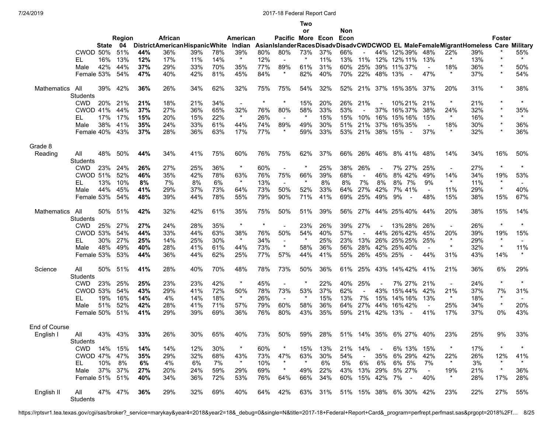**Two**

|                    |                        |       |         |     |                                      |     |     |          |         |                        | or       |     | Non |                |                |                                                                                         |                          |                |     |               |                          |
|--------------------|------------------------|-------|---------|-----|--------------------------------------|-----|-----|----------|---------|------------------------|----------|-----|-----|----------------|----------------|-----------------------------------------------------------------------------------------|--------------------------|----------------|-----|---------------|--------------------------|
|                    |                        |       | Region  |     | African                              |     |     | American |         | Pacific More Econ Econ |          |     |     |                |                |                                                                                         |                          |                |     | <b>Foster</b> |                          |
|                    |                        | State | 04      |     | <b>DistrictAmericanHispanicWhite</b> |     |     |          |         |                        |          |     |     |                |                | Indian AsianIslanderRacesDisadvDisadvCWDCWOD EL MaleFemaleMigrantHomeless Care Military |                          |                |     |               |                          |
|                    | CWOD 50%               |       | 51%     | 44% | 36%                                  | 39% | 78% | 39%      | 80%     | 80%                    | 73%      | 37% | 66% |                |                | 44% 12% 39%                                                                             | 48%                      | 22%            | 39% |               | 55%                      |
|                    | EL                     | 16%   | 13%     | 12% | 17%                                  | 11% | 14% | $\star$  | 12%     |                        |          | 11% | 13% | 11%            | 12%            | 12% 11%                                                                                 | 13%                      | $\star$        | 13% | $\star$       | $\star$                  |
|                    | Male                   | 42%   | 44%     | 37% | 29%                                  | 33% | 70% | 35%      | 77%     | 89%                    | 61%      | 31% | 60% | 25%            | 39%            | 11% 37%                                                                                 | $\blacksquare$           | 18%            | 36% | $\star$       | 50%                      |
|                    | Female 53%             |       | 54%     | 47% | 40%                                  | 42% | 81% | 45%      | 84%     | $\star$                | 82%      | 40% | 70% | 22%            | 48%            | 13%<br>$\sim$                                                                           | 47%                      | $\star$        | 37% | $\star$       | 54%                      |
| Mathematics        | All<br><b>Students</b> | 39%   | 42%     | 36% | 26%                                  | 34% | 62% | 32%      | 75%     | 75%                    | 54%      | 32% | 52% | 21%            |                | 37% 15% 35%                                                                             | 37%                      | 20%            | 31% | $\star$       | 38%                      |
|                    | <b>CWD</b>             | 20%   | 21%     | 21% | 18%                                  | 21% | 34% | $\sim$   |         |                        | 15%      | 20% | 26% | 21%            |                | 10% 21%                                                                                 | 21%                      | $\ast$         | 21% |               |                          |
|                    | <b>CWOD 41%</b>        |       | 44%     | 37% | 27%                                  | 36% | 65% | 32%      | 76%     | 80%                    | 58%      | 33% | 53% |                | 37%            | 16%37%                                                                                  | 38%                      | 24%            | 32% | $\star$       | 35%                      |
|                    | EL                     | 17%   | 17%     | 15% | 20%                                  | 15% | 22% | $\star$  | 26%     | $\sim$                 | $\star$  | 15% | 15% | 10%            | 16%            | 15% 16%                                                                                 | 15%                      | $\ast$         | 16% | $\star$       | $\star$                  |
|                    | Male                   | 38%   | 41%     | 35% | 24%                                  | 33% | 61% | 44%      | 74%     | 89%                    | 49%      | 30% | 51% | 21%            | 37%            | 16% 35%                                                                                 | $\sim$                   | 18%            | 30% | $\star$       | 36%                      |
|                    | Female 40%             |       | 43%     | 37% | 28%                                  | 36% | 63% | 17%      | 77%     | $\star$                | 59%      | 33% | 53% | 21%            | 38% 15%        | $\overline{\phantom{a}}$                                                                | 37%                      | $\ast$         | 32% | $\star$       | 36%                      |
| Grade 8            |                        |       |         |     |                                      |     |     |          |         |                        |          |     |     |                |                |                                                                                         |                          |                |     |               |                          |
| Reading            | All<br><b>Students</b> | 48%   | 50%     | 44% | 34%                                  | 41% | 75% | 60%      | 76%     | 75%                    | 62%      | 37% | 66% | 26%            | 46%            | 8% 41%                                                                                  | 48%                      | 14%            | 34% | 16%           | 50%                      |
|                    | <b>CWD</b>             | 23%   | 24%     | 26% | 27%                                  | 25% | 36% | $\star$  | 60%     | $\blacksquare$         | $^\star$ | 25% | 38% | 26%            |                | 7% 27%                                                                                  | 25%                      | $\blacksquare$ | 27% | $\star$       | $\star$                  |
|                    | <b>CWOD 51%</b>        |       | 52%     | 46% | 35%                                  | 42% | 78% | 63%      | 76%     | 75%                    | 66%      | 39% | 68% | $\blacksquare$ | 46%            | 8% 42%                                                                                  | 49%                      | 14%            | 34% | 19%           | 53%                      |
|                    | EL                     | 13%   | 10%     | 8%  | 7%                                   | 8%  | 6%  | $\star$  | 13%     | $\blacksquare$         | $\ast$   | 8%  | 8%  | 7%             | 8%             | 8% 7%                                                                                   | 9%                       | $\star$        | 11% | $\ast$        | $\overline{\phantom{a}}$ |
|                    | Male                   | 44%   | 45%     | 41% | 29%                                  | 37% | 73% | 64%      | 73%     | 50%                    | 52%      | 33% | 64% | 27%            | 42%            | 7% 41%                                                                                  | $\sim$                   | 11%            | 29% | $\star$       | 40%                      |
|                    | Female 53%             |       | 54%     | 48% | 39%                                  | 44% | 78% | 55%      | 79%     | 90%                    | 71%      | 41% | 69% | 25%            | 49%            | 9%<br>$\blacksquare$                                                                    | 48%                      | 15%            | 38% | 15%           | 67%                      |
| <b>Mathematics</b> | All<br><b>Students</b> | 50%   | 51%     | 42% | 32%                                  | 42% | 61% | 35%      | 75%     | 50%                    | 51%      | 39% | 56% | 27%            |                | 44% 25% 40%                                                                             | 44%                      | 20%            | 38% | 15%           | 14%                      |
|                    | <b>CWD</b>             | 25%   | 27%     | 27% | 24%                                  | 28% | 35% | $\star$  | $\star$ |                        | 23%      | 26% | 39% | 27%            |                | 13% 28%                                                                                 | 26%                      | $\blacksquare$ | 26% | $\star$       | $\star$                  |
|                    | CWOD 53%               |       | 54%     | 44% | 33%                                  | 44% | 63% | 38%      | 76%     | 50%                    | 54%      | 40% | 57% |                |                | 44% 26% 42%                                                                             | 45%                      | 20%            | 39% | 19%           | 15%                      |
|                    | EL                     | 30%   | 27%     | 25% | 14%                                  | 25% | 30% | $\star$  | 34%     | $\sim$                 | $\star$  | 25% | 23% | 13%            |                | 26% 25% 25%                                                                             | 25%                      | $\star$        | 29% | $\star$       |                          |
|                    | Male                   | 48%   | 49%     | 40% | 28%                                  | 41% | 61% | 44%      | 73%     | $\star$                | 58%      | 36% | 56% | 28%            | 42%            | 25%40%                                                                                  | $\overline{\phantom{a}}$ | $\star$        | 32% | $\star$       | 11%                      |
|                    | Female 53%             |       | 53%     | 44% | 36%                                  | 44% | 62% | 25%      | 77%     | 57%                    | 44%      | 41% | 55% | 26%            | 45% 25%        | $\sim$                                                                                  | 44%                      | 31%            | 43% | 14%           | $\star$                  |
| Science            | All<br><b>Students</b> | 50%   | 51%     | 41% | 28%                                  | 40% | 70% | 48%      | 78%     | 73%                    | 50%      | 36% | 61% | 25%            |                | 43% 14% 42%                                                                             | 41%                      | 21%            | 36% | 6%            | 29%                      |
|                    | <b>CWD</b>             | 23%   | 25%     | 25% | 23%                                  | 23% | 42% | $\star$  | 45%     | $\blacksquare$         |          | 22% | 40% | 25%            |                | 7% 27%                                                                                  | 21%                      | $\blacksquare$ | 24% | $\star$       | $\star$                  |
|                    | CWOD 53%               |       | 54%     | 43% | 29%                                  | 41% | 72% | 50%      | 78%     | 73%                    | 53%      | 37% | 62% |                | 43%            | 15% 44%                                                                                 | 42%                      | 21%            | 37% | 7%            | 31%                      |
|                    | EL                     | 19%   | 16%     | 14% | 4%                                   | 14% | 18% | $\star$  | 26%     | $\sim$                 | $\star$  | 15% | 13% | 7%             | 15%            | 14% 16%                                                                                 | 13%                      | $\star$        | 18% | $\star$       |                          |
|                    | Male                   | 51%   | 52%     | 42% | 28%                                  | 41% | 71% | 57%      | 79%     | 60%                    | 58%      | 36% | 64% | 27%            | 44%            | 16%42%                                                                                  | $\sim$                   | 25%            | 34% | $\star$       | 20%                      |
|                    | Female 50%             |       | 51%     | 41% | 29%                                  | 39% | 69% | 36%      | 76%     | 80%                    | 43%      | 35% | 59% | 21%            | 42%            | 13%<br>$\overline{\phantom{a}}$                                                         | 41%                      | 17%            | 37% | 0%            | 43%                      |
| End of Course      |                        |       |         |     |                                      |     |     |          |         |                        |          |     |     |                |                |                                                                                         |                          |                |     |               |                          |
| English I          | All<br>Students        |       | 43% 43% | 33% | 26%                                  | 30% | 65% | 40%      | 73%     | 50%                    | 59%      | 28% |     |                |                | 51% 14% 35% 6% 27%                                                                      | 40%                      | 23%            | 25% | 9%            | 33%                      |
|                    | CWD 14%                |       | 15%     | 14% | 14%                                  | 12% | 30% | $\ast$   | 60%     | $^\star$               | 15%      | 13% | 21% | 14%            | $\blacksquare$ | 6% 13%                                                                                  | 15%                      | $\ast$         | 17% | $\star$       |                          |
|                    | CWOD 47%               |       | 47%     | 35% | 29%                                  | 32% | 68% | 43%      | 73%     | 47%                    | 63%      | 30% | 54% | $\blacksquare$ | 35%            | 6% 29%                                                                                  | 42%                      | 22%            | 26% | 12%           | 41%                      |
|                    | EL.                    | 10%   | 8%      | 6%  | 4%                                   | 6%  | 7%  | $\star$  | 10%     | $\star$                | $\star$  | 6%  | 5%  | 6%             | 6%             | 6% 5%                                                                                   | 7%                       | $\star$        | 3%  | $\star$       |                          |
|                    | Male                   |       | 37% 37% | 27% | 20%                                  | 24% | 59% | 29%      | 69%     | $\star$                | 49%      | 22% | 43% | 13%            | 29%            | 5% 27%                                                                                  | $\sim$                   | 19%            | 21% | $\ast$        | 36%                      |
|                    | Female 51% 51%         |       |         | 40% | 34%                                  | 36% | 72% | 53%      | 76%     | 64%                    | 66%      | 34% | 60% |                | 15% 42%        | 7%<br>$\sim$ $-$                                                                        | 40%                      | $\star$        | 28% | 17%           | 28%                      |
| English II         | All<br>Students        |       | 47% 47% | 36% | 29%                                  | 32% | 69% | 40%      | 64%     | 42%                    | 63%      | 31% |     |                |                | 51% 15% 38% 6% 30% 42%                                                                  |                          | 23%            | 22% | 27%           | 55%                      |

https://rptsvr1.tea.texas.gov/cgi/sas/broker?\_service=marykay&year4=2018&year2=18&\_debug=0&single=N&title=2017-18+Federal+Report+Card&\_program=perfrept.perfmast.sas&prgopt=2018%2Ff… 8/25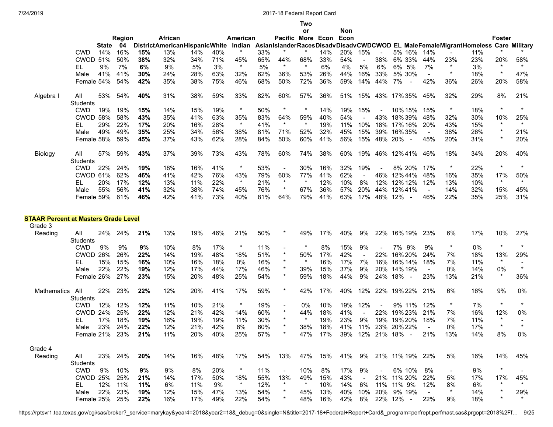|                                                        |                        |       |               |     |                                      |     |     |                |     |                   | Two     |         |        |                          |            |                                                                                         |                |                          |     |               |                |
|--------------------------------------------------------|------------------------|-------|---------------|-----|--------------------------------------|-----|-----|----------------|-----|-------------------|---------|---------|--------|--------------------------|------------|-----------------------------------------------------------------------------------------|----------------|--------------------------|-----|---------------|----------------|
|                                                        |                        |       |               |     |                                      |     |     |                |     |                   | or      |         | Non    |                          |            |                                                                                         |                |                          |     |               |                |
|                                                        |                        |       | <b>Region</b> |     | African                              |     |     | American       |     | Pacific More Econ |         |         | Econ   |                          |            |                                                                                         |                |                          |     | <b>Foster</b> |                |
|                                                        |                        | State | -04           |     | <b>DistrictAmericanHispanicWhite</b> |     |     |                |     |                   |         |         |        |                          |            | Indian AsianIslanderRacesDisadvDisadvCWDCWOD EL MaleFemaleMigrantHomeless Care Military |                |                          |     |               |                |
|                                                        | <b>CWD</b>             | 14%   | 16%           | 15% | 13%                                  | 14% | 40% | $\star$        | 33% |                   |         | 14%     | 20%    | 15%                      |            | 5% 16%                                                                                  | 14%            |                          | 11% | $^\star$      |                |
|                                                        | <b>CWOD 51%</b>        |       | 50%           | 38% | 32%                                  | 34% | 71% | 45%            | 65% | 44%               | 68%     | 33%     | 54%    | $\overline{\phantom{a}}$ | 38%        | 6% 33%                                                                                  | 44%            | 23%                      | 23% | 20%           | 58%            |
|                                                        | EL                     | 9%    | 7%            | 6%  | 9%                                   | 5%  | 3%  | $\star$        | 5%  | $\ast$            | $\ast$  | 6%      | 4%     | 5%                       | 6%         | 6% 5%                                                                                   | 7%             | $\ast$                   | 3%  | $\star$       | $\star$        |
|                                                        | Male                   | 41%   | 41%           | 30% | 24%                                  | 28% | 63% | 32%            | 62% | 36%               | 53%     | 26%     | 44%    | 16%                      | 33%        | 5% 30%                                                                                  | $\sim$         | $\star$                  | 18% | $\star$       | 47%            |
|                                                        | Female 54%             |       | 54%           | 42% | 35%                                  | 38% | 75% | 46%            | 68% | 50%               | 72%     | 36%     | 59%    | 14%                      | 44%        | 7%<br>$\overline{\phantom{a}}$                                                          | 42%            | 36%                      | 26% | 20%           | 58%            |
| Algebra I                                              | All<br><b>Students</b> | 53%   | 54%           | 40% | 31%                                  | 38% | 59% | 33%            | 82% | 60%               | 57%     | 36%     | 51%    | 15%                      |            | 43% 17% 35%                                                                             | 45%            | 32%                      | 29% | 8%            | 21%            |
|                                                        | <b>CWD</b>             | 19%   | 19%           | 15% | 14%                                  | 15% | 19% | $\star$        | 50% | $\ast$            | *       | 14%     | 19%    | 15%                      |            | 10% 15%                                                                                 | 15%            | $\star$                  | 18% | $\star$       | $\star$        |
|                                                        | CWOD 58%               |       | 58%           | 43% | 35%                                  | 41% | 63% | 35%            | 83% | 64%               | 59%     | 40%     | 54%    |                          | 43%        | 18%39%                                                                                  | 48%            | 32%                      | 30% | 10%           | 25%            |
|                                                        |                        | 29%   | 22%           | 17% | 20%                                  | 16% | 28% | $\star$        | 41% | $\star$           | $\star$ | 19%     | 11%    | 10%                      |            | 18% 17% 16%                                                                             | 20%            | 43%                      | 15% | $\star$       | $\star$        |
|                                                        | EL                     |       |               |     |                                      |     |     |                |     |                   |         |         |        |                          |            |                                                                                         |                |                          |     | $\star$       |                |
|                                                        | Male                   | 49%   | 49%           | 35% | 25%                                  | 34% | 56% | 38%            | 81% | 71%               | 52%     | 32%     | 45%    | 15%                      | 39%        | 16%35%                                                                                  | $\sim$         | 38%                      | 26% | $\star$       | 21%            |
|                                                        | Female 58%             |       | 59%           | 45% | 37%                                  | 43% | 62% | 28%            | 84% | 50%               | 60%     | 41%     | 56%    | 15%                      |            | 48% 20%<br>$\sim$                                                                       | 45%            | 20%                      | 31% |               | 20%            |
| Biology                                                | All                    | 57%   | 59%           | 43% | 37%                                  | 39% | 73% | 43%            | 78% | 60%               | 74%     | 38%     | 60%    | 19%                      |            | 46% 12% 41%                                                                             | 46%            | 18%                      | 34% | 20%           | 40%            |
|                                                        | Students               |       |               |     |                                      |     |     | $\star$        |     |                   |         |         |        |                          |            |                                                                                         |                |                          |     | $\star$       | $^\star$       |
|                                                        | <b>CWD</b>             | 22%   | 24%           | 19% | 18%                                  | 16% | 41% |                | 53% | $\sim$            | 30%     | 16%     | 32%    | 19%                      |            | 8% 20%                                                                                  | 17%            | $\star$                  | 22% |               |                |
|                                                        | CWOD 61%               |       | 62%           | 46% | 41%                                  | 42% | 76% | 43%            | 79% | 60%               | 77%     | 41%     | 62%    |                          | 46%        | 12%44%                                                                                  | 48%            | 16%                      | 35% | 17%           | 50%            |
|                                                        | EL                     | 20%   | 17%           | 12% | 13%                                  | 11% | 22% | $\star$        | 21% | $\star$           | $\ast$  | 12%     | 10%    | 8%                       | 12%        | 12% 12%                                                                                 | 12%            | 13%                      | 10% | $\star$       | $\star$        |
|                                                        | Male                   | 55%   | 56%           | 41% | 32%                                  | 38% | 74% | 45%            | 76% | $\ast$            | 67%     | 36%     | 57%    | 20%                      | 44%        | 12%41%                                                                                  | $\blacksquare$ | 14%                      | 32% | 15%           | 45%            |
|                                                        | Female 59%             |       | 61%           | 46% | 42%                                  | 41% | 73% | 40%            | 81% | 64%               | 79%     | 41%     | 63%    | 17%                      | 48% 12%    | $\sim$                                                                                  | 46%            | 22%                      | 35% | 25%           | 31%            |
| <b>STAAR Percent at Masters Grade Level</b><br>Grade 3 |                        |       |               |     |                                      |     |     |                |     |                   |         |         |        |                          |            |                                                                                         |                |                          |     |               |                |
| Reading                                                | All                    | 24%   | 24%           | 21% | 13%                                  | 19% | 46% | 21%            | 50% | $^\ast$           | 49%     | 17%     | 40%    | 9%                       | 22%        | 16% 19%                                                                                 | 23%            | 6%                       | 17% | 10%           | 27%            |
|                                                        | Students               |       |               |     |                                      |     |     |                |     |                   |         |         |        |                          |            |                                                                                         |                |                          |     |               |                |
|                                                        | <b>CWD</b>             | 9%    | 9%            | 9%  | 10%                                  | 8%  | 17% | $\star$        | 11% | $\blacksquare$    |         | 8%      | 15%    | 9%                       |            | 7% 9%                                                                                   | 9%             | $\ast$                   | 0%  | $\star$       | $^\star$       |
|                                                        | CWOD 26%               |       | 26%           | 22% | 14%                                  | 19% | 48% | 18%            | 51% | $\star$           | 50%     | 17%     | 42%    |                          | 22%        | 16% 20%                                                                                 | 24%            | 7%                       | 18% | 13%           | 29%            |
|                                                        | EL                     | 15%   | 15%           | 16% | 10%                                  | 16% | 18% | 0%             | 16% | $\star$           | $\star$ | 16%     | 17%    | 7%                       | 16%        | 16% 14%                                                                                 | 18%            | 7%                       | 11% | $\star$       |                |
|                                                        | Male                   | 22%   | 22%           | 19% | 12%                                  | 17% | 44% | 17%            | 46% | $\star$           | 39%     | 15%     | 37%    | 9%                       | 20%        | 14% 19%                                                                                 | $\sim$         | 0%                       | 14% | 0%            | $\star$        |
|                                                        | Female 26%             |       | 27%           | 23% | 15%                                  | 20% | 48% | 25%            | 54% | $\star$           | 59%     | 18%     | 44%    | 9%                       | 24%        | 18%<br>$\sim$                                                                           | 23%            | 13%                      | 21% | $\star$       | 36%            |
| Mathematics                                            | All                    | 22%   | 23%           | 22% | 12%                                  | 20% | 41% | 17%            | 59% | $\star$           | 42%     | 17%     | 40%    | 12%                      |            | 22% 19% 22%                                                                             | 21%            | 6%                       | 16% | 9%            | 0%             |
|                                                        | Students               |       |               |     |                                      |     |     |                |     |                   |         |         |        |                          |            |                                                                                         |                |                          |     |               |                |
|                                                        | <b>CWD</b>             | 12%   | 12%           | 12% | 11%                                  | 10% | 21% | $\star$        | 19% | $\blacksquare$    | 0%      | 10%     | 19%    | 12%                      |            | 9% 11%                                                                                  | 12%            | $\ast$                   | 7%  | $\star$       | $^\star$       |
|                                                        | CWOD 24%               |       | 25%           | 22% | 12%                                  | 21% | 42% | 14%            | 60% | $\star$           | 44%     | 18%     | 41%    |                          | 22%        | 19% 23%                                                                                 | 21%            | 7%                       | 16% | 12%           | 0%             |
|                                                        | EL                     | 17%   | 18%           | 19% | 16%                                  | 19% | 19% | 11%            | 30% |                   | $\ast$  | 19%     | 23%    | 9%                       | 19%        | 19% 20%                                                                                 | 18%            | 7%                       | 11% | $\star$       |                |
|                                                        | Male                   | 23%   | 24%           | 22% | 12%                                  | 21% | 42% | 8%             | 60% |                   | 38%     | 18%     | 41%    | 11%                      |            | 23% 20% 22%                                                                             |                | 0%                       | 17% | $\star$       | $\star$        |
|                                                        | Female 21% 23% 21%     |       |               |     | 11%                                  | 20% | 40% | 25% 57%        |     | $\star$           |         |         |        |                          |            | 47% 17% 39% 12% 21% 18% - 21%                                                           |                | 13%                      | 14% | 8%            | 0%             |
| Grade 4                                                |                        |       |               |     |                                      |     |     |                |     |                   |         |         |        |                          |            |                                                                                         |                |                          |     |               |                |
| Reading                                                | All                    |       | 23% 24%       | 20% | 14%                                  | 16% | 48% | 17%            | 54% | 13%               |         | 47% 15% |        |                          |            | 41% 9% 21% 11% 19% 22%                                                                  |                | 5%                       | 16% | 14%           | 45%            |
|                                                        | Students               |       |               |     |                                      |     |     |                |     |                   |         |         |        |                          |            |                                                                                         |                |                          |     |               |                |
|                                                        | CWD                    | 9%    | 10%           | 9%  | 9%                                   | 8%  | 20% | $\star$        | 11% | $\sim$            | 10%     | 8%      | 17%    | 9%                       | $\sim$ $-$ | 6% 10%                                                                                  | 8%             | $\overline{\phantom{a}}$ | 9%  | $\star$       |                |
|                                                        | CWOD 25%               |       | 25%           |     |                                      | 17% | 50% |                |     | 13%               | 49%     |         | 43%    |                          |            | 21% 11% 20%                                                                             |                |                          |     |               |                |
|                                                        |                        |       |               | 21% | 14%                                  |     |     | 18%<br>$\star$ | 55% | $\ast$            | $\star$ | 15%     |        | $\blacksquare$           |            |                                                                                         | 22%            | 5%                       | 17% | 17%<br>$\ast$ | 45%<br>$\star$ |
|                                                        | EL.                    |       | 12% 11%       | 11% | 6%                                   | 11% | 9%  |                | 12% |                   |         | 10%     | 14%    | 6%                       |            | 11% 11% 9%                                                                              | 12%            | 8%<br>$\star$            | 6%  | $\star$       |                |
|                                                        | Male                   |       | 22% 23%       | 19% | 12%                                  | 15% | 47% | 13%            | 54% | $\star$           | 45%     | 13%     |        |                          |            | 40% 10% 20% 9% 19%                                                                      |                |                          | 14% |               | 29%            |
|                                                        | Female 25% 25%         |       |               | 22% | 16%                                  | 17% | 49% | 22%            | 54% | $\ast$            | 48%     | 16%     | 42% 8% |                          |            | 22% 12% -                                                                               | 22%            | 9%                       | 18% | $\star$       | $\star$        |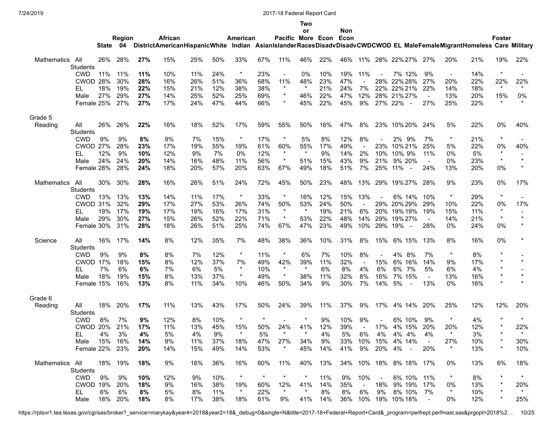## **Two**

|                    |                 |         |        |     |                                                                                                                       |     |     |          |          |                          | or             |     | Non |                |                |                                     |                |                          |     |               |         |
|--------------------|-----------------|---------|--------|-----|-----------------------------------------------------------------------------------------------------------------------|-----|-----|----------|----------|--------------------------|----------------|-----|-----|----------------|----------------|-------------------------------------|----------------|--------------------------|-----|---------------|---------|
|                    |                 |         | Region |     | African                                                                                                               |     |     | American |          | Pacific More Econ Econ   |                |     |     |                |                |                                     |                |                          |     | <b>Foster</b> |         |
|                    |                 | State   | 04     |     | DistrictAmericanHispanicWhite Indian AsianIslanderRacesDisadvDisadvCWDCWOD EL MaleFemaleMigrantHomeless Care Military |     |     |          |          |                          |                |     |     |                |                |                                     |                |                          |     |               |         |
| Mathematics        | All             | 26%     | 28%    | 27% | 15%                                                                                                                   | 25% | 50% | 33%      | 67%      | 11%                      | 46%            | 22% | 46% |                |                | 11% 28% 22% 27%                     | 27%            | 20%                      | 21% | 19%           | 22%     |
|                    | <b>Students</b> |         |        |     |                                                                                                                       |     |     |          |          |                          |                |     |     |                |                |                                     |                |                          |     |               |         |
|                    | <b>CWD</b>      | 11%     | 11%    | 11% | 10%                                                                                                                   | 11% | 24% | $\star$  | 23%      | $\overline{\phantom{a}}$ | 0%             | 10% | 19% | 11%            |                | 7% 12%                              | 9%             | $\overline{\phantom{a}}$ | 14% | $\star$       |         |
|                    | CWOD 28%        |         | 30%    | 28% | 16%                                                                                                                   | 26% | 51% | 36%      | 68%      | 11%                      | 48%            | 23% | 47% |                | 28%            | 22% 28%                             | 27%            | 20%                      | 22% | 22%           | 22%     |
|                    | EL              | 18%     | 19%    | 22% | 15%                                                                                                                   | 21% | 12% | 38%      | 38%      | $\star$                  | $\star$        | 21% | 24% | 7%             | 22%            | 22% 21%                             | 22%            | 14%                      | 18% | $\star$       | $\star$ |
|                    | Male            | 27%     | 29%    | 27% | 14%                                                                                                                   | 25% | 52% | 25%      | 69%      | $\ast$                   | 46%            | 22% | 47% | 12%            |                | 28% 21% 27%                         | $\blacksquare$ | 13%                      | 20% | 15%           | 0%      |
|                    | Female 25%      |         | 27%    | 27% | 17%                                                                                                                   | 24% | 47% | 44%      | 66%      | $\star$                  | 45%            | 22% | 45% | 9%             |                | 27% 22%<br>$\overline{\phantom{a}}$ | 27%            | 25%                      | 22% | $\star$       |         |
|                    |                 |         |        |     |                                                                                                                       |     |     |          |          |                          |                |     |     |                |                |                                     |                |                          |     |               |         |
| Grade 5            |                 |         |        |     |                                                                                                                       |     |     |          |          |                          |                |     |     |                |                |                                     |                |                          |     |               |         |
| Reading            | All             | 26%     | 26%    | 22% | 16%                                                                                                                   | 18% | 52% | 17%      | 59%      | 55%                      | 50%            | 16% | 47% | 8%             |                | 23% 10% 20%                         | 24%            | 5%                       | 22% | 0%            | 40%     |
|                    | <b>Students</b> |         |        |     |                                                                                                                       |     |     | $\star$  |          | $\ast$                   |                |     |     |                |                |                                     |                | $\ast$                   |     | $\star$       |         |
|                    | <b>CWD</b>      | 9%      | 9%     | 8%  | 9%                                                                                                                    | 7%  | 15% |          | 17%      |                          | 5%             | 8%  | 12% | 8%             |                | 2% 9%                               | 7%             |                          | 21% |               |         |
|                    | <b>CWOD</b>     | 27%     | 28%    | 23% | 17%                                                                                                                   | 19% | 55% | 19%      | 61%      | 60%<br>$\star$           | 55%<br>$\star$ | 17% | 49% |                | 23%            | 10% 21%                             | 25%            | 5%                       | 22% | 0%<br>$\star$ | 40%     |
|                    | EL              | 12%     | 9%     | 10% | 12%                                                                                                                   | 9%  | 7%  | 0%       | 12%      |                          |                | 9%  | 14% | 2%             | 10%            | 10% 9%                              | 11%            | 0%                       | 5%  | $\star$       | $\star$ |
|                    | Male            | 24%     | 24%    | 20% | 14%                                                                                                                   | 16% | 48% | 11%      | 56%      | $\star$                  | 51%            | 15% | 43% | 9%             | 21%            | 9% 20%                              |                | 0%                       | 23% |               |         |
|                    | Female 28%      |         | 28%    | 24% | 18%                                                                                                                   | 20% | 57% | 20%      | 63%      | 67%                      | 49%            | 18% | 51% | 7%             | 25%            | 11%<br>$\overline{\phantom{a}}$     | 24%            | 13%                      | 20% | 0%            |         |
| <b>Mathematics</b> | All             | 30%     | 30%    | 28% | 16%                                                                                                                   | 26% | 51% | 24%      | 72%      | 45%                      | 50%            | 23% | 48% | 13%            | 29%            | 19% 27%                             | 28%            | 9%                       | 23% | 0%            | 17%     |
|                    | <b>Students</b> |         |        |     |                                                                                                                       |     |     |          |          |                          |                |     |     |                |                |                                     |                |                          |     |               |         |
|                    | <b>CWD</b>      | 13%     | 13%    | 13% | 14%                                                                                                                   | 11% | 17% | $\ast$   | 33%      |                          | 16%            | 12% | 15% | 13%            |                | 6% 14%                              | 10%            | $\ast$                   | 29% | $\star$       |         |
|                    | CWOD 31%        |         | 32%    | 29% | 17%                                                                                                                   | 27% | 53% | 26%      | 74%      | 50%                      | 53%            | 24% | 50% | $\blacksquare$ | 29%            | 20%29%                              | 29%            | 10%                      | 22% | 0%            | 17%     |
|                    | EL              | 19%     | 17%    | 19% | 17%                                                                                                                   | 19% | 16% | 17%      | 31%      | $^\ast$                  | $\ast$         | 19% | 21% | 6%             | 20%            | 19% 19%                             | 19%            | 15%                      | 11% | $\ast$        |         |
|                    | Male            | 29%     | 30%    | 27% | 15%                                                                                                                   | 26% | 52% | 22%      | 71%      | $\ast$                   | 53%            | 22% | 48% | 14%            | 29%            | 19% 27%                             | $\sim$         | 14%                      | 21% | $\star$       | $\star$ |
|                    | Female 30%      |         | 31%    | 28% | 18%                                                                                                                   | 26% | 51% | 25%      | 74%      | 67%                      | 47%            | 23% | 49% | 10%            | 29%            | 19%<br>$\sim$                       | 28%            | 0%                       | 24% | 0%            |         |
| Science            | All             | 16%     | 17%    | 14% | 8%                                                                                                                    | 12% | 35% | 7%       | 48%      | 38%                      | 36%            | 10% | 31% | 8%             | 15%            | 6% 15%                              | 13%            | 8%                       | 16% | 0%            |         |
|                    | <b>Students</b> |         |        |     |                                                                                                                       |     |     |          |          |                          |                |     |     |                |                |                                     |                |                          |     |               |         |
|                    | <b>CWD</b>      | 9%      | 9%     | 8%  | 8%                                                                                                                    | 7%  | 12% | $\star$  | 11%      |                          | 6%             | 7%  | 10% | 8%             |                | 4%<br>8%                            | 7%             | $\ast$                   | 8%  |               |         |
|                    | <b>CWOD 17%</b> |         | 18%    | 15% | 8%                                                                                                                    | 12% | 37% | 7%       | 49%      | 42%                      | 39%            | 11% | 32% |                | 15%            | 6% 16%                              | 14%            | 9%                       | 17% | $\star$       | $\star$ |
|                    | EL              | 7%      | 6%     | 6%  | 7%                                                                                                                    | 6%  | 5%  | $\star$  | 10%      | $\star$                  | $\ast$         | 6%  | 8%  | 4%             | 6%             | 6% 7%                               | 5%             | 6%                       | 4%  | $\star$       |         |
|                    | Male            | 18%     | 19%    | 15% | 8%                                                                                                                    | 13% | 37% | $\star$  | 49%      | $\ast$                   | 38%            | 11% | 32% | 8%             | 16%            | 7% 15%                              | $\blacksquare$ | 13%                      | 16% | $\star$       | $\star$ |
|                    | Female 15%      |         | 16%    | 13% | 8%                                                                                                                    | 11% | 34% | 10%      | 46%      | 50%                      | 34%            | 9%  | 30% | 7%             | 14%            | 5%<br>$\sim$                        | 13%            | 0%                       | 16% | $\star$       |         |
|                    |                 |         |        |     |                                                                                                                       |     |     |          |          |                          |                |     |     |                |                |                                     |                |                          |     |               |         |
| Grade 6            |                 |         |        |     |                                                                                                                       |     |     |          |          |                          |                |     |     |                |                |                                     |                |                          |     |               |         |
| Reading            | All<br>Students | 18%     | 20%    | 17% | 11%                                                                                                                   | 13% | 43% | 17%      | 50%      | 24%                      | 39%            | 11% | 37% | 9%             | 17%            | 4% 14%                              | 20%            | 25%                      | 12% | 12%           | 20%     |
|                    | <b>CWD</b>      | 8%      | 7%     | 9%  | 12%                                                                                                                   | 8%  | 10% | $\star$  | $^\star$ |                          | $\star$        | 9%  | 10% | 9%             |                | 6% 10%                              | 9%             | $\star$                  | 4%  | $\star$       | $\star$ |
|                    | <b>CWOD</b>     | 20%     | 21%    | 17% | 11%                                                                                                                   | 13% | 45% | 15%      | 50%      | 24%                      | 41%            | 12% | 39% |                | 17%            | 4% 15%                              | 20%            | 20%                      | 12% |               | 22%     |
|                    | EL              | 4%      | 3%     | 4%  | 5%                                                                                                                    | 4%  | 9%  | $\star$  | 5%       | $\star$                  | $\star$        | 4%  | 5%  | 6%             | 4%             | 4% 4%                               | 4%             | $\star$                  | 3%  |               | $\star$ |
|                    | Male 15% 16%    |         |        | 14% | 9%                                                                                                                    | 11% | 37% | 18%      | 47%      | 27%                      | 34%            | 9%  |     |                |                | 33% 10% 15% 4% 14%                  |                | 27%                      | 10% |               | 30%     |
|                    | Female 22% 23%  |         |        | 20% | 14%                                                                                                                   | 15% | 49% |          | 53%      |                          | 45%            | 14% | 41% | 9%             | 20% 4%         |                                     | 20%            | $\ast$                   | 13% | *             | 10%     |
|                    |                 |         |        |     |                                                                                                                       |     |     | 14%      |          |                          |                |     |     |                |                | $\sim$                              |                |                          |     |               |         |
| Mathematics All    |                 | 18% 19% |        | 18% | 9%                                                                                                                    | 16% | 36% | 16%      | 60%      | 11%                      | 40%            | 13% |     |                |                | 34% 10% 18% 8% 18% 17%              |                | 0%                       | 13% | 6%            | 18%     |
|                    | <b>Students</b> |         |        |     |                                                                                                                       |     |     |          |          |                          |                |     |     |                |                |                                     |                |                          |     |               |         |
|                    | <b>CWD</b>      | 9%      | 9%     | 10% | 12%                                                                                                                   | 9%  | 10% | $\star$  | $\star$  | $\star$                  | $\star$        | 11% | 9%  | 10%            | $\sim$ $ \sim$ | 6% 10% 11%                          |                | $\star$                  | 8%  | $^\star$      | $\star$ |
|                    | CWOD 19%        |         | 20%    | 18% | 9%                                                                                                                    | 16% | 38% | 19%      | 60%      | 12%                      | 41%            | 14% | 35% | $\sim$         |                | 18% 9% 19%                          | 17%            | 0%                       | 13% |               | 20%     |
|                    | EL.             | 6%      | 6%     | 8%  | 5%                                                                                                                    | 8%  | 11% | $\star$  | 22%      | $\star$                  | *              | 8%  | 8%  | 6%             | 9%             | 8% 10%                              | 7%             | $\star$                  | 10% |               | $\star$ |
|                    | Male            | 18% 20% |        | 18% | 8%                                                                                                                    | 17% | 38% | 18%      | 61%      | 9%                       | 41%            | 14% |     |                |                | 36% 10% 19% 10% 18%                 |                | 0%                       | 12% | $^\star$      | 25%     |

https://rptsvr1.tea.texas.gov/cgi/sas/broker?\_service=marykay&year4=2018&year2=18&\_debug=0&single=N&title=2017-18+Federal+Report+Card&\_program=perfrept.perfmast.sas&prgopt=2018%2… 10/25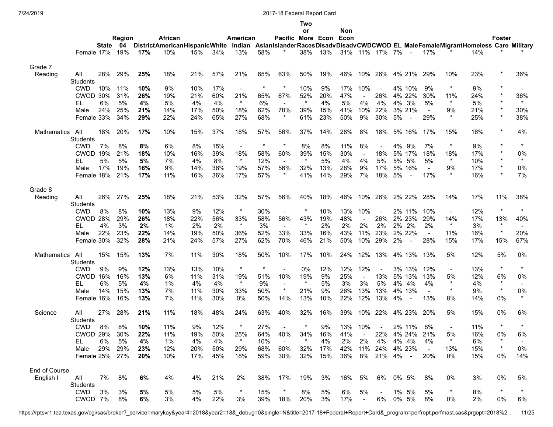|                    |                 |       |        |     |                                      |     |     |                          |         |                          | Two      |     |     |                |                |    |                          |                |                |                                                                                         |               |          |
|--------------------|-----------------|-------|--------|-----|--------------------------------------|-----|-----|--------------------------|---------|--------------------------|----------|-----|-----|----------------|----------------|----|--------------------------|----------------|----------------|-----------------------------------------------------------------------------------------|---------------|----------|
|                    |                 |       |        |     |                                      |     |     |                          |         |                          | or       |     | Non |                |                |    |                          |                |                |                                                                                         |               |          |
|                    |                 |       | Region |     | African                              |     |     | American                 |         | Pacific More Econ Econ   |          |     |     |                |                |    |                          |                |                |                                                                                         | <b>Foster</b> |          |
|                    |                 | State | 04     |     | <b>DistrictAmericanHispanicWhite</b> |     |     |                          |         |                          |          |     |     |                |                |    |                          |                |                | Indian AsianIslanderRacesDisadvDisadvCWDCWOD EL MaleFemaleMigrantHomeless Care Military |               |          |
|                    | Female 17%      |       | 19%    | 17% | 10%                                  | 15% | 34% | 13%                      | 58%     |                          | 38%      | 13% |     |                | 31% 11% 17% 7% |    | $\overline{\phantom{a}}$ | 17%            |                | 14%                                                                                     |               |          |
| Grade 7            |                 |       |        |     |                                      |     |     |                          |         |                          |          |     |     |                |                |    |                          |                |                |                                                                                         |               |          |
| Reading            | All             | 28%   | 29%    | 25% | 18%                                  | 21% | 57% | 21%                      | 65%     | 63%                      | 50%      | 19% | 46% | 10%            | 26%            |    | 4% 21%                   | 29%            | 10%            | 23%                                                                                     | $\star$       | 36%      |
|                    | <b>Students</b> |       |        |     |                                      |     |     |                          |         |                          |          |     |     |                |                |    |                          |                |                |                                                                                         |               |          |
|                    | <b>CWD</b>      | 10%   | 11%    | 10% | 9%                                   | 10% | 17% | $\blacksquare$           | $\star$ | $\star$                  | 10%      | 9%  | 17% | 10%            |                |    | 4% 10%                   | 9%             | $\star$        | 9%                                                                                      | $\star$       |          |
|                    | CWOD 30%        |       | 31%    | 26% | 19%                                  | 21% | 60% | 21%                      | 65%     | 67%                      | 52%      | 20% | 47% | $\blacksquare$ | 26%            |    | 4% 22%                   | 30%            | 11%            | 24%                                                                                     | $\star$       | 36%      |
|                    | EL              | 6%    | 5%     | 4%  | 5%                                   | 4%  | 4%  | $\star$                  | 6%      | $\sim$                   |          | 4%  | 5%  | 4%             | 4%             |    | 4% 3%                    | 5%             | $\star$        | 5%                                                                                      | $\star$       | $\star$  |
|                    | Male            | 24%   | 25%    | 21% | 14%                                  | 17% | 50% | 18%                      | 62%     | 78%                      | 39%      | 15% | 41% | 10%            | 22%            |    | 3% 21%                   | $\sim$         | 9%             | 21%                                                                                     | $\star$       | 30%      |
|                    | Female 33%      |       | 34%    | 29% | 22%                                  | 24% | 65% | 27%                      | 68%     | $^\ast$                  | 61%      | 23% | 50% | 9%             | 30%            | 5% | $\blacksquare$           | 29%            | $\star$        | 25%                                                                                     | $\star$       | 38%      |
| <b>Mathematics</b> | All             | 18%   | 20%    | 17% | 10%                                  | 15% | 37% | 18%                      | 57%     | 56%                      | 37%      | 14% | 28% | 8%             | 18%            |    | 5% 16%                   | 17%            | 15%            | 16%                                                                                     | $\star$       | 4%       |
|                    | <b>Students</b> |       |        |     |                                      |     |     |                          |         |                          |          |     |     |                |                |    |                          |                |                |                                                                                         |               |          |
|                    | <b>CWD</b>      | 7%    | 8%     | 8%  | 6%                                   | 8%  | 15% | $\overline{\phantom{a}}$ | $\star$ | $^\ast$                  | 8%       | 8%  | 11% | 8%             |                | 4% | 9%                       | 7%             | $\star$        | 9%                                                                                      | $\star$       | $^\star$ |
|                    | <b>CWOD</b>     | 19%   | 21%    | 18% | 10%                                  | 16% | 39% | 18%                      | 58%     | 60%                      | 39%      | 15% | 30% |                | 18%            |    | 5% 17%                   | 18%            | 18%            | 17%                                                                                     | $\star$       | 0%       |
|                    | EL              | 5%    | 5%     | 5%  | 7%                                   | 4%  | 8%  | $\star$                  | 12%     | $\overline{\phantom{a}}$ | $\star$  | 5%  | 4%  | 4%             | 5%             | 5% | 5%                       | 5%             | $\star$        | 10%                                                                                     | $\star$       | $\star$  |
|                    | Male            | 17%   | 19%    | 16% | 9%                                   | 14% | 38% | 19%                      | 57%     | 56%                      | 32%      | 13% | 28% | 9%             | 17%            |    | 5% 16%                   | $\blacksquare$ | 9%             | 17%                                                                                     | $\star$       | 0%       |
|                    | Female 18%      |       | 21%    | 17% | 11%                                  | 16% | 36% | 17%                      | 57%     | $\star$                  | 41%      | 14% | 29% | 7%             | 18%            | 5% | $\blacksquare$           | 17%            | $\star$        | 16%                                                                                     | $\star$       | 7%       |
|                    |                 |       |        |     |                                      |     |     |                          |         |                          |          |     |     |                |                |    |                          |                |                |                                                                                         |               |          |
| Grade 8            |                 |       |        |     |                                      |     |     |                          |         |                          |          |     |     |                |                |    |                          |                |                |                                                                                         |               |          |
| Reading            | All             | 26%   | 27%    | 25% | 18%                                  | 21% | 53% | 32%                      | 57%     | 56%                      | 40%      | 18% | 46% | 10%            | 26%            |    | 2% 22%                   | 28%            | 14%            | 17%                                                                                     | 11%           | 38%      |
|                    | Students        |       |        |     |                                      |     |     |                          |         |                          |          |     |     |                |                |    |                          |                |                |                                                                                         |               |          |
|                    | <b>CWD</b>      | 8%    | 8%     | 10% | 13%                                  | 9%  | 12% | $\star$                  | 30%     | $\blacksquare$           | $\star$  | 10% | 13% | 10%            |                |    | 2% 11%                   | 10%            | $\blacksquare$ | 12%                                                                                     | $\star$       | $\star$  |
|                    | <b>CWOD</b>     | 28%   | 29%    | 26% | 18%                                  | 22% | 56% | 33%                      | 58%     | 56%                      | 43%      | 19% | 48% | $\blacksquare$ | 26%            |    | 2% 23%                   | 29%            | 14%            | 17%                                                                                     | 13%           | 40%      |
|                    | EL              | 4%    | 3%     | 2%  | $1\%$                                | 2%  | 2%  | $\star$                  | 3%      |                          | $\star$  | 2%  | 2%  | 2%             | 2%             |    | 2% 2%                    | 2%             | $\star$        | 3%                                                                                      | $\star$       |          |
|                    | Male            | 22%   | 23%    | 22% | 14%                                  | 19% | 50% | 36%                      | 52%     | 33%                      | 33%      | 16% | 43% | 11%            | 23%            |    | 2% 22%                   | $\sim$         | 11%            | 16%                                                                                     | $\star$       | 20%      |
|                    | Female 30%      |       | 32%    | 28% | 21%                                  | 24% | 57% | 27%                      | 62%     | 70%                      | 46%      | 21% | 50% | 10%            | 29%            | 2% |                          | 28%            | 15%            | 17%                                                                                     | 15%           | 67%      |
| <b>Mathematics</b> | All             | 15%   | 15%    | 13% | 7%                                   | 11% | 30% | 18%                      | 50%     | 10%                      | 17%      | 10% | 24% | 12%            | 13%            |    | 4% 13%                   | 13%            | 5%             | 12%                                                                                     | 5%            | 0%       |
|                    | Students        |       |        |     |                                      |     |     |                          |         |                          |          |     |     |                |                |    |                          |                |                |                                                                                         |               |          |
|                    | <b>CWD</b>      | 9%    | 9%     | 12% | 13%                                  | 13% | 10% | $\star$                  | $\star$ |                          | 0%       | 12% | 12% | 12%            |                |    | 3% 13%                   | 12%            | $\blacksquare$ | 13%                                                                                     | $\star$       | $^\star$ |
|                    | <b>CWOD</b>     | 16%   | 16%    | 13% | 6%                                   | 11% | 31% | 19%                      | 51%     | 10%                      | 19%      | 9%  | 25% |                | 13%            |    | 5% 13%                   | 13%            | 5%             | 12%                                                                                     | 6%            | 0%       |
|                    | EL              | 6%    | 5%     | 4%  | $1\%$                                | 4%  | 4%  | $\star$                  | 9%      |                          | $^\star$ | 5%  | 3%  | 3%             | 5%             |    | 4% 4%                    | 4%             | $\star$        | 4%                                                                                      | $\ast$        |          |
|                    | Male            | 14%   | 15%    | 13% | 7%                                   | 11% | 30% | 33%                      | 50%     | $\star$                  | 21%      | 9%  | 26% | 13%            | 13%            |    | 4% 13%                   |                | $\star$        | 9%                                                                                      | $\star$       | 0%       |
|                    | Female 16%      |       | 16%    | 13% | 7%                                   | 11% | 30% | 0%                       | 50%     | 14%                      | 13%      | 10% | 22% | 12%            | 13%            | 4% |                          | 13%            | 8%             | 14%                                                                                     | 0%            | $\star$  |
|                    |                 |       |        |     |                                      |     |     |                          |         |                          |          |     |     |                |                |    |                          |                |                |                                                                                         |               |          |
| Science            | All             | 27%   | 28%    | 21% | 11%                                  | 18% | 48% | 24%                      | 63%     | 40%                      | 32%      | 16% | 39% | 10%            | 22%            |    | 4% 23%                   | 20%            | 5%             | 15%                                                                                     | 0%            | 6%       |
|                    | Students        |       |        |     |                                      |     |     |                          |         |                          |          |     |     |                |                |    |                          |                |                |                                                                                         |               |          |
|                    | <b>CWD</b>      | 8%    | 8%     | 10% | 11%                                  | 9%  | 12% |                          | 27%     |                          |          | 9%  | 13% | 10%            | $\blacksquare$ |    | 2% 11%                   | 8%             |                | 11%                                                                                     | $\star$       | $\star$  |
|                    | <b>CWOD 29%</b> |       | 30%    | 22% | 11%                                  | 19% | 50% | 25%                      | 64%     | 40%                      | 34%      | 16% | 41% |                | 22%            |    | 4% 24%                   | 21%            | 5%             | 16%                                                                                     | 0%            | 6%       |
|                    | EL              | 6%    | 5%     | 4%  | 1%                                   | 4%  | 4%  | $\star$                  | 10%     |                          |          | 4%  | 2%  | 2%             | 4%             |    | 4% 4%                    | 4%             | $\star$        | 6%                                                                                      | $\ast$        |          |
|                    | Male            | 29%   | 29%    | 23% | 12%                                  | 20% | 50% | 29%                      | 68%     | 60%                      | 32%      | 17% | 42% | 11%            | 24%            |    | 4% 23%                   | $\sim$         | 13%            | 15%                                                                                     | $\star$       | 0%       |
|                    | Female 25% 27%  |       |        | 20% | 10%                                  | 17% | 45% | 18%                      | 59%     | 30%                      | 32%      | 15% | 36% | 8%             | 21% 4%         |    | $\sim$                   | 20%            | 0%             | 15%                                                                                     | 0%            | 14%      |
| End of Course      |                 |       |        |     |                                      |     |     |                          |         |                          |          |     |     |                |                |    |                          |                |                |                                                                                         |               |          |
| English I          | All             | 7%    | 8%     | 6%  | 4%                                   | 4%  | 21% | 2%                       | 38%     | 17%                      | 19%      | 3%  | 16% | 5%             | 6%             |    | 0% 5%                    | 8%             | 0%             | 3%                                                                                      | 0%            | 5%       |
|                    | Students        |       |        |     |                                      |     |     |                          |         |                          |          |     |     |                |                |    |                          |                |                |                                                                                         |               |          |
|                    | <b>CWD</b>      | 3%    | 3%     | 5%  | 5%                                   | 5%  | 5%  | $\ast$                   | 15%     |                          | 8%       | 5%  | 6%  | 5%             | $\blacksquare$ |    | 1% 5%                    | 5%             | $\ast$         | 8%                                                                                      | $\star$       |          |
|                    | CWOD 7%         |       | 8%     | 6%  | 3%                                   | 4%  | 22% | 3%                       | 39%     | 18%                      | 20%      | 3%  | 17% | $\sim$         | 6%             |    | 0% 5%                    | 8%             | 0%             | 2%                                                                                      | 0%            | 6%       |

https://rptsvr1.tea.texas.gov/cgi/sas/broker?\_service=marykay&year4=2018&year2=18&\_debug=0&single=N&title=2017-18+Federal+Report+Card&\_program=perfrept.perfmast.sas&prgopt=2018%2… 11/25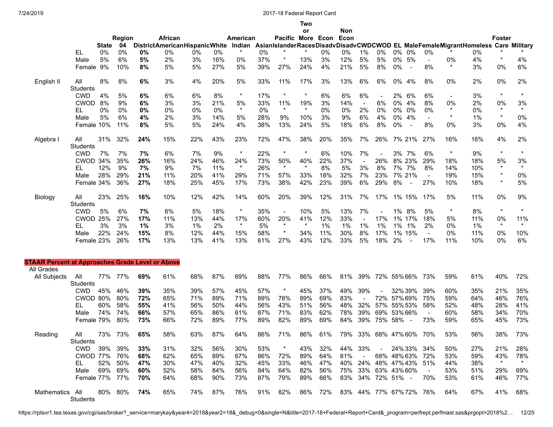|                                                                       |                        |       |               |     |                                                                                                                       |       |     |          |       |                   | Two     |         |                         |                          |                     |         |                          |                         |               |     |         |          |
|-----------------------------------------------------------------------|------------------------|-------|---------------|-----|-----------------------------------------------------------------------------------------------------------------------|-------|-----|----------|-------|-------------------|---------|---------|-------------------------|--------------------------|---------------------|---------|--------------------------|-------------------------|---------------|-----|---------|----------|
|                                                                       |                        |       |               |     |                                                                                                                       |       |     |          |       |                   | or      |         | Non                     |                          |                     |         |                          |                         |               |     |         |          |
|                                                                       |                        |       | <b>Region</b> |     | African                                                                                                               |       |     | American |       | Pacific More Econ |         |         | Econ                    |                          |                     |         |                          |                         |               |     | Foster  |          |
|                                                                       |                        | State | 04            |     | DistrictAmericanHispanicWhite Indian AsianIslanderRacesDisadvDisadvCWDCWOD EL MaleFemaleMigrantHomeless Care Military |       |     |          |       |                   |         |         |                         |                          |                     |         |                          |                         |               |     |         |          |
|                                                                       | EL                     | 0%    | 0%            | 0%  | 0%                                                                                                                    | 0%    | 0%  | $\star$  | $0\%$ | $\star$           |         | 0%      | 0%                      | 1%                       | 0%                  | 0% 0%   |                          | 0%                      |               | 0%  |         |          |
|                                                                       | Male                   | 5%    | 6%            | 5%  | 2%                                                                                                                    | 3%    | 16% | 0%       | 37%   |                   | 13%     | 3%      | 12%                     | 5%                       | 5%                  | 0% 5%   |                          | $\blacksquare$          | 0%<br>$\star$ | 4%  | $\star$ | 4%       |
|                                                                       | Female 9%              |       | 10%           | 8%  | 5%                                                                                                                    | 5%    | 27% | 5%       | 39%   | 27%               | 24%     | 4%      | 21%                     | 5%                       | 8%                  | 0%      | $\overline{\phantom{a}}$ | 8%                      |               | 3%  | 0%      | 6%       |
| English II                                                            | All<br><b>Students</b> | 8%    | 8%            | 6%  | 3%                                                                                                                    | 4%    | 20% | 5%       | 33%   | 11%               | 17%     | 3%      | 13%                     | 6%                       | 6%                  | 0% 4%   |                          | 8%                      | 0%            | 2%  | 0%      | 2%       |
|                                                                       | <b>CWD</b>             | 4%    | 5%            | 6%  | 6%                                                                                                                    | 6%    | 8%  | $\star$  | 17%   | $\ast$            | $\ast$  | 6%      | 6%                      | 6%                       |                     | 2% 6%   |                          | 6%                      |               | 3%  | $\star$ | $\star$  |
|                                                                       | <b>CWOD</b>            | 8%    | 9%            | 6%  | 3%                                                                                                                    | 3%    | 21% | 5%       | 33%   | 11%               | 19%     | 3%      | 14%                     | $\blacksquare$           | 6%                  | 0% 4%   |                          | 8%                      | 0%            | 2%  | 0%      | 3%       |
|                                                                       | EL                     | 0%    | 0%            | 0%  | 0%                                                                                                                    | 0%    | 0%  | $\star$  | 0%    | $\star$           | $\star$ | 0%      | 0%                      | 2%                       | 0%                  | 0% 0%   |                          | 0%                      | $\star$       | 0%  | $\star$ | $\star$  |
|                                                                       | Male                   | 5%    | 6%            | 4%  | 2%                                                                                                                    | 3%    | 14% | 5%       | 28%   | 9%                | 10%     | 3%      | 9%                      | 6%                       | 4%                  | 0% 4%   |                          | $\blacksquare$          | $\star$       | 1%  | $\star$ | 0%       |
|                                                                       | Female 10%             |       | 11%           | 8%  | 5%                                                                                                                    | 5%    | 24% | 4%       | 38%   | 13%               | 24%     | 5%      | 18%                     | 6%                       | 8%                  | $0\%$   | $\overline{\phantom{a}}$ | 8%                      | 0%            | 3%  | 0%      | 4%       |
| Algebra I                                                             | All<br><b>Students</b> | 31%   | 32%           | 24% | 15%                                                                                                                   | 22%   | 43% | 23%      | 72%   | 47%               | 38%     | 20%     | 35%                     | 7%                       | 26%                 |         | 7% 21%                   | 27%                     | 16%           | 16% | 4%      | 2%       |
|                                                                       | <b>CWD</b>             | 7%    | 7%            | 7%  | 6%                                                                                                                    | 7%    | 9%  | $\star$  | 22%   | $^\ast$           |         | 6%      | 10%                     | 7%                       |                     | 3% 7%   |                          | 6%                      | $\ast$        | 9%  | $\star$ | $^\star$ |
|                                                                       | CWOD 34%               |       | 35%           | 26% | 16%                                                                                                                   | 24%   | 46% | 24%      | 73%   | 50%               | 40%     | 22%     | 37%                     | $\overline{\phantom{a}}$ | 26%                 |         | 8% 23%                   | 29%                     | 18%           | 18% | 5%      | 3%       |
|                                                                       | EL                     | 12%   | 9%            | 7%  | 9%                                                                                                                    | 7%    | 11% | $\star$  | 26%   | $\star$           | $\star$ | 8%      | 5%                      | 3%                       | 8%                  | 7% 7%   |                          | 8%                      | 14%           | 10% | $\star$ | $\star$  |
|                                                                       | Male                   | 28%   | 29%           | 21% | 11%                                                                                                                   | 20%   | 41% | 29%      | 71%   | 57%               | 33%     | 18%     | 32%                     | 7%                       | 23%                 |         | 7% 21%                   | $\blacksquare$          | 19%           | 15% | $\star$ | 0%       |
|                                                                       | Female 34%             |       | 36%           | 27% | 18%                                                                                                                   | 25%   | 45% | 17%      | 73%   | 38%               | 42%     | 23%     | 39%                     | 6%                       | 29%                 | 8%      | $\sim$                   | 27%                     | 10%           | 18% | $\star$ | 5%       |
| Biology                                                               | All<br><b>Students</b> | 23%   | 25%           | 16% | 10%                                                                                                                   | 12%   | 42% | 14%      | 60%   | 20%               | 39%     | 12%     | 31%                     | 7%                       | 17%                 |         | 1% 15%                   | 17%                     | 5%            | 11% | 0%      | 9%       |
|                                                                       | <b>CWD</b>             | 5%    | 6%            | 7%  | 6%                                                                                                                    | 5%    | 18% | $\star$  | 35%   | $\blacksquare$    | 10%     | 5%      | 13%                     | 7%                       |                     | 1% 8%   |                          | 5%                      | $\star$       | 8%  | $\star$ | $\star$  |
|                                                                       | <b>CWOD 25%</b>        |       | 27%           | 17% | 11%                                                                                                                   | 13%   | 44% | 17%      | 60%   | 20%               | 41%     | 12%     | 33%                     | $\overline{\phantom{a}}$ | 17%                 |         | 1% 17%                   | 18%                     | 5%            | 11% | 0%      | 11%      |
|                                                                       | EL                     | 3%    | 3%            | 1%  | 3%                                                                                                                    | $1\%$ | 2%  | $\star$  | 5%    | $\star$           | $\star$ | 1%      | 1%                      | 1%                       | 1%                  | 1%      | 1%                       | 2%                      | 0%            | 1%  | $\star$ | $\star$  |
|                                                                       | Male                   | 22%   | 24%           | 15% | 8%                                                                                                                    | 12%   | 44% | 15%      | 58%   | $\star$           | 34%     | 11%     | 30%                     | 8%                       | 17%                 |         | 1% 15%                   | $\blacksquare$          | 0%            | 11% | 0%      | 10%      |
|                                                                       | Female 23%             |       | 26%           | 17% | 13%                                                                                                                   | 13%   | 41% | 13%      | 61%   | 27%               | 43%     | 12%     | 33%                     | 5%                       | 18%                 | 2%      | $\blacksquare$           | 17%                     | 11%           | 10% | 0%      | 6%       |
|                                                                       |                        |       |               |     |                                                                                                                       |       |     |          |       |                   |         |         |                         |                          |                     |         |                          |                         |               |     |         |          |
| <b>STAAR Percent at Approaches Grade Level or Above</b><br>All Grades |                        |       |               |     |                                                                                                                       |       |     |          |       |                   |         |         |                         |                          |                     |         |                          |                         |               |     |         |          |
| All Subjects                                                          | All<br><b>Students</b> | 77%   | 77%           | 69% | 61%                                                                                                                   | 68%   | 87% | 69%      | 88%   | 77%               | 86%     | 66%     | 81%                     | 39%                      | 72% 55% 66%         |         |                          | 73%                     | 59%           | 61% | 40%     | 72%      |
|                                                                       | <b>CWD</b>             | 45%   | 46%           | 39% | 35%                                                                                                                   | 39%   | 57% | 45%      | 57%   | $\ast$            | 45%     | 37%     | 49%                     | 39%                      |                     | 32% 39% |                          | 39%                     | 60%           | 35% | 21%     | 35%      |
|                                                                       | CWOD 80%               |       | 80%           | 72% | 65%                                                                                                                   | 71%   | 89% | 71%      | 89%   | 78%               | 89%     | 69%     | 83%                     |                          | 72% 57% 69%         |         |                          | 75%                     | 59%           | 64% | 46%     | 76%      |
|                                                                       | EL                     | 60%   | 58%           | 55% | 41%                                                                                                                   | 56%   | 50% | 44%      | 56%   | 43%               | 51%     | 56%     | 48%                     | 32%                      | 57%                 | 55% 53% |                          | 58%                     | 52%           | 48% | 28%     | 41%      |
|                                                                       | Male                   | 74%   | 74%           | 66% | 57%                                                                                                                   | 65%   | 86% | 61%      | 87%   | 71%               | 83%     | 62%     | 78%                     | 39%                      | 69%                 | 53%66%  |                          | $\blacksquare$          | 60%           | 58% | 34%     | 70%      |
|                                                                       | Female 79%             |       | 80%           | 73% | 66%                                                                                                                   | 72%   | 89% | 77%      | 89%   | 82%               | 89%     | 69%     | 84%                     | 39%                      | 75% 58%             |         | $\overline{\phantom{a}}$ | 73%                     | 59%           | 65% | 45%     | 73%      |
| Reading                                                               | All<br>Students        |       | 73% 73%       | 65% | 58%                                                                                                                   | 63%   | 87% | 64%      | 86%   | 71%               |         | 86% 61% | 79% 33% 68% 47% 60% 70% |                          |                     |         |                          |                         | 53%           | 56% | 38%     | 73%      |
|                                                                       | CWD                    |       | 39% 39%       | 33% | 31%                                                                                                                   | 32%   | 56% | 30%      | 53%   |                   | 43%     | 32%     | 44% 33%                 |                          | $\sim$ 100 $\mu$    |         |                          | 24%33%34%               | 50%           | 27% | 21%     | 28%      |
|                                                                       | CWOD 77%               |       | 76%           | 68% | 62%                                                                                                                   | 65%   | 89% | 67%      | 86%   | 72%               | 89%     | 64%     | 81%                     | $\sim$                   | 68% 48% 63%         |         |                          | 72%                     | 53%           | 59% | 43%     | 78%      |
|                                                                       | EL.                    | 52%   | 50%           | 47% | 30%                                                                                                                   | 47%   | 40% | 32%      | 45%   | 33%               | 46%     | 47%     |                         |                          |                     |         |                          | 40% 24% 48% 47% 43% 51% | 44%           | 38% | $\star$ | $\star$  |
|                                                                       | Male                   |       | 69% 69%       | 60% | 52%                                                                                                                   | 58%   | 84% | 56%      | 84%   | 64%               | 82%     | 56%     |                         |                          | 75% 33% 63% 43% 60% |         |                          | $\sim$                  | 53%           | 51% | 29%     | 69%      |
|                                                                       | Female 77% 77%         |       |               | 70% | 64%                                                                                                                   | 68%   | 90% | 73%      | 87%   | 79%               | 89%     | 66%     |                         |                          | 83% 34% 72% 51% -   |         |                          | 70%                     | 53%           | 61% | 46%     | 77%      |
| Mathematics All                                                       | Students               |       | 80% 80%       | 74% | 65%                                                                                                                   | 74%   | 87% | 76%      | 91%   | 82%               |         | 86% 72% | 83% 44% 77% 67%72% 76%  |                          |                     |         |                          |                         | 64%           | 67% | 41% 68% |          |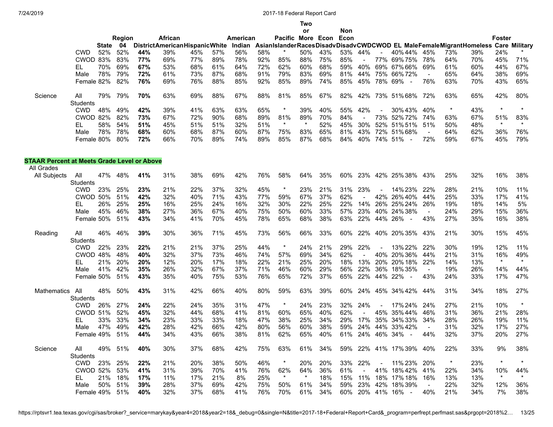|                                                    |                 |       |               |     |                                      |     |     |          |     |                   | Two |     |            |     |                |                                                                    |     |         |     |         |                      |
|----------------------------------------------------|-----------------|-------|---------------|-----|--------------------------------------|-----|-----|----------|-----|-------------------|-----|-----|------------|-----|----------------|--------------------------------------------------------------------|-----|---------|-----|---------|----------------------|
|                                                    |                 |       |               |     |                                      |     |     |          |     |                   | or  |     | <b>Non</b> |     |                |                                                                    |     |         |     |         |                      |
|                                                    |                 |       | <b>Region</b> |     | African                              |     |     | American |     | Pacific More Econ |     |     | Econ       |     |                |                                                                    |     |         |     | Foster  |                      |
|                                                    |                 | State | 04            |     | <b>DistrictAmericanHispanicWhite</b> |     |     | Indian   |     |                   |     |     |            |     |                | AsianIslanderRacesDisadvDisadvCWDCWOD EL MaleFemaleMigrantHomeless |     |         |     |         | <b>Care Military</b> |
|                                                    | <b>CWD</b>      | 52%   | 52%           | 44% | 39%                                  | 45% | 57% | 56%      | 58% |                   | 50% | 43% | 53%        | 44% |                | 40% 44%                                                            | 45% | 73%     | 39% | 24%     |                      |
|                                                    | <b>CWOD</b>     | 83%   | 83%           | 77% | 69%                                  | 77% | 89% | 78%      | 92% | 85%               | 88% | 75% | 85%        |     | 77%            | 69%75%                                                             | 78% | 64%     | 70% | 45%     | 71%                  |
|                                                    | EL              | 70%   | 69%           | 67% | 53%                                  | 68% | 61% | 64%      | 72% | 62%               | 60% | 68% | 59%        | 40% | 69%            | 67%66%                                                             | 69% | 61%     | 60% | 44%     | 67%                  |
|                                                    | Male            | 78%   | 79%           | 72% | 61%                                  | 73% | 87% | 68%      | 91% | 79%               | 83% | 69% | 81%        | 44% | 75%            | 66% 72%                                                            |     | 65%     | 64% | 38%     | 69%                  |
|                                                    | Female 82%      |       | 82%           | 76% | 69%                                  | 76% | 88% | 85%      | 92% | 85%               | 89% | 74% | 85%        | 45% |                | 78% 69%                                                            | 76% | 63%     | 70% | 43%     | 65%                  |
| Science                                            | All             | 79%   | 79%           | 70% | 63%                                  | 69% | 88% | 67%      | 88% | 81%               | 85% | 67% | 82%        | 42% |                | 73% 51% 68%                                                        | 72% | 63%     | 65% | 42%     | 80%                  |
|                                                    | <b>Students</b> |       |               |     |                                      |     |     |          |     |                   |     |     |            |     |                |                                                                    |     |         |     |         |                      |
|                                                    | <b>CWD</b>      | 48%   | 49%           | 42% | 39%                                  | 41% | 63% | 63%      | 65% | $\star$           | 39% | 40% | 55%        | 42% | $\sim$         | 30%43%                                                             | 40% | $\star$ | 43% | $\star$ |                      |
|                                                    | <b>CWOD</b>     | 82%   | 82%           | 73% | 67%                                  | 72% | 90% | 68%      | 89% | 81%               | 89% | 70% | 84%        |     | 73%            | 52%72%                                                             | 74% | 63%     | 67% | 51%     | 83%                  |
|                                                    | EL              | 58%   | 54%           | 51% | 45%                                  | 51% | 51% | 32%      | 51% | $^\ast$           |     | 52% | 45%        | 30% | 52%            | 51%51%                                                             | 51% | 50%     | 48% | $\star$ |                      |
|                                                    | Male            | 78%   | 78%           | 68% | 60%                                  | 68% | 87% | 60%      | 87% | 75%               | 83% | 65% | 81%        | 43% |                | 72% 51% 68%                                                        |     | 64%     | 62% | 36%     | 76%                  |
|                                                    | Female 80%      |       | 80%           | 72% | 66%                                  | 70% | 89% | 74%      | 89% | 85%               | 87% | 68% | 84%        | 40% |                | 74% 51%                                                            | 72% | 59%     | 67% | 45%     | 79%                  |
| <b>STAAR Percent at Meets Grade Level or Above</b> |                 |       |               |     |                                      |     |     |          |     |                   |     |     |            |     |                |                                                                    |     |         |     |         |                      |
| All Grades                                         |                 |       |               |     |                                      |     |     |          |     |                   |     |     |            |     |                |                                                                    |     |         |     |         |                      |
| All Subjects                                       | All             | 47%   | 48%           | 41% | 31%                                  | 38% | 69% | 42%      | 76% | 58%               | 64% | 35% | 60%        | 23% |                | 42% 25% 38%                                                        | 43% | 25%     | 32% | 16%     | 38%                  |
|                                                    | <b>Students</b> |       |               |     |                                      |     |     |          |     |                   |     |     |            |     |                |                                                                    |     |         |     |         |                      |
|                                                    | CWD             | 23%   | 25%           | 23% | 21%                                  | 22% | 37% | 32%      | 45% | $\star$           | 23% | 21% | 31%        | 23% | $\blacksquare$ | 14% 23%                                                            | 22% | 28%     | 21% | 10%     | 11%                  |
|                                                    | CWOD            | 50%   | 51%           | 42% | 32%                                  | 40% | 71% | 43%      | 77% | 59%               | 67% | 37% | 62%        |     | 42%            | 26%40%                                                             | 44% | 25%     | 33% | 17%     | 41%                  |
|                                                    | EL              | 26%   | 25%           | 25% | 16%                                  | 25% | 24% | 16%      | 32% | 30%               | 22% | 25% | 22%        | 14% |                | 26% 25% 24%                                                        | 26% | 19%     | 18% | 14%     | 5%                   |

|             | Male<br>Female 50%     | 45% | 46%<br>51% | 38%<br>43% | 27%<br>34% | 36%<br>41% | 67%<br>70% | 40%<br>45% | 75%<br>78% | 50%<br>65% | 60%<br>68% | 33%<br>38% | 57%<br>63% | 23%<br>22% | 44%                      | 40% 24% 38%<br>26% | 43% | 24%<br>27% | 29%<br>35% | 15%<br>16% | 36%<br>38% |
|-------------|------------------------|-----|------------|------------|------------|------------|------------|------------|------------|------------|------------|------------|------------|------------|--------------------------|--------------------|-----|------------|------------|------------|------------|
| Reading     | All<br><b>Students</b> | 46% | 46%        | 39%        | 30%        | 36%        | 71%        | 45%        | 73%        | 56%        | 66%        | 33%        | 60%        |            |                          | 22% 40% 20%35% 43% |     | 21%        | 30%        | 15%        | 45%        |
|             | <b>CWD</b>             | 22% | 23%        | 22%        | 21%        | 21%        | 37%        | 25%        | 44%        | *          | 24%        | 21%        | 29%        | 22%        |                          | 13% 22%            | 22% | 30%        | 19%        | 12%        | 11%        |
|             | <b>CWOD</b>            | 48% | 48%        | 40%        | 32%        | 37%        | 73%        | 46%        | 74%        | 57%        | 69%        | 34%        | 62%        |            |                          | 40% 20% 36%        | 44% | 21%        | 31%        | 16%        | 49%        |
|             | EL                     | 21% | 20%        | 20%        | 12%        | 20%        | 17%        | 18%        | 22%        | 21%        | 25%        | 20%        | 18%        | 13%        |                          | 20% 20% 18%        | 22% | 14%        | 13%        | $\star$    | $\star$    |
|             | Male                   | 41% | 42%        | 35%        | 26%        | 32%        | 67%        | 37%        | 71%        | 46%        | 60%        | 29%        | 56%        | 22%        | 36%                      | 18%35%             |     | 19%        | 26%        | 14%        | 44%        |
|             | Female 50%             |     | 51%        | 43%        | 35%        | 40%        | 75%        | 53%        | 76%        | 65%        | 72%        | 37%        | 65%        | 22%        | 44%                      | 22%                | 43% | 24%        | 33%        | 17%        | 47%        |
| Mathematics | All                    | 48% | 50%        | 43%        | 31%        | 42%        | 66%        | 40%        | 80%        | 59%        | 63%        | 39%        | 60%        |            |                          | 24% 45% 34%42%     | 44% | 31%        | 34%        | 18%        | 27%        |
|             | <b>Students</b>        |     |            |            |            |            |            |            |            |            |            |            |            |            |                          |                    |     |            |            |            |            |
|             | <b>CWD</b>             | 26% | 27%        | 24%        | 22%        | 24%        | 35%        | 31%        | 47%        | $\ast$     | 24%        | 23%        | 32%        | 24%        | $\overline{\phantom{a}}$ | 17% 24%            | 24% | 27%        | 21%        | 10%        |            |
|             | CWOD 51%               |     | 52%        | 45%        | 32%        | 44%        | 68%        | 41%        | 81%        | 60%        | 65%        | 40%        | 62%        |            |                          | 45% 35% 44%        | 46% | 31%        | 36%        | 21%        | 28%        |
|             | EL                     | 33% | 33%        | 34%        | 23%        | 33%        | 33%        | 18%        | 47%        | 38%        | 25%        | 34%        | 29%        | 17%        |                          | 35% 34% 33%        | 34% | 28%        | 26%        | 19%        | 11%        |
|             | Male                   | 47% | 49%        | 42%        | 28%        | 42%        | 66%        | 42%        | 80%        | 56%        | 60%        | 38%        | 59%        | 24%        |                          | 44% 33% 42%        |     | 31%        | 32%        | 17%        | 27%        |
|             | Female 49%             |     | 51%        | 44%        | 34%        | 43%        | 66%        | 38%        | 81%        | 62%        | 65%        | 40%        | 61%        | 24%        |                          | 46% 34%            | 44% | 32%        | 37%        | 20%        | 27%        |
| Science     | All                    | 49% | 51%        | 40%        | 30%        | 37%        | 68%        | 42%        | 75%        | 63%        | 61%        | 34%        | 59%        |            |                          | 22% 41% 17%39%     | 40% | 22%        | 33%        | 9%         | 38%        |
|             | <b>Students</b>        |     |            |            |            |            |            |            |            |            |            |            |            |            |                          |                    |     |            |            |            |            |
|             | <b>CWD</b>             | 23% | 25%        | 22%        | 21%        | 20%        | 38%        | 50%        | 46%        | $\star$    | 20%        | 20%        | 33%        | 22%        |                          | 11% 23%            | 20% |            | 23%        | $\star$    | $\star$    |
|             | <b>CWOD</b>            | 52% | 53%        | 41%        | 31%        | 39%        | 70%        | 41%        | 76%        | 62%        | 64%        | 36%        | 61%        |            | 41%                      | 18% 42%            | 41% | 22%        | 34%        | 10%        | 44%        |
|             | EL                     | 21% | 18%        | 17%        | 11%        | 17%        | 21%        | 8%         | 25%        | $\star$    | $\star$    | 18%        | 15%        | 11%        | 18%                      | 17% 18%            | 16% | 13%        | 13%        | $\star$    | $\star$    |
|             | Male                   | 50% | 51%        | 39%        | 28%        | 37%        | 69%        | 42%        | 75%        | 50%        | 61%        | 34%        | 59%        | 23%        | 42%                      | 18% 39%            |     | 22%        | 32%        | 12%        | 36%        |
|             | Female 49%             |     | 51%        | 40%        | 32%        | 37%        | 68%        | 41%        | 76%        | 70%        | 61%        | 34%        | 60%        |            | 20% 41%                  | 16% -              | 40% | 21%        | 34%        | 7%         | 38%        |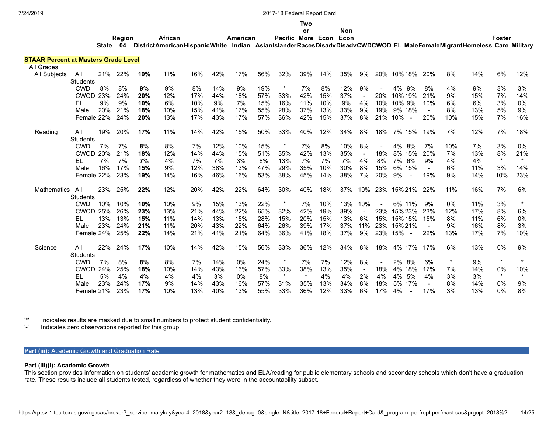**American**

#### **Two or**

**Non**

**Foster**

State 04 DistrictAmericanHispanicWhite Indian AsianIslanderRacesDisadvDisadvCWDCWODELMaleFemaleMigrantHomelessCareMilitary **Pacific More Econ Econ**

#### **STAAR Percent at Masters Grade Level** All Grades

**Region**

**African**

| All Olaucs          |                 |     |     |            |     |     |     |       |     |         |         |     |     |                          |     |                                 |                |     |     |         |         |
|---------------------|-----------------|-----|-----|------------|-----|-----|-----|-------|-----|---------|---------|-----|-----|--------------------------|-----|---------------------------------|----------------|-----|-----|---------|---------|
| <b>All Subjects</b> | All             | 21% | 22% | 19%        | 11% | 16% | 42% | 17%   | 56% | 32%     | 39%     | 14% | 35% | 9%                       | 20% | 10% 18%                         | -20%           | 8%  | 14% | 6%      | 12%     |
|                     | <b>Students</b> |     |     |            |     |     |     |       |     |         |         |     |     |                          |     |                                 |                |     |     |         |         |
|                     | <b>CWD</b>      | 8%  | 8%  | 9%         | 9%  | 8%  | 14% | 9%    | 19% | $\star$ | 7%      | 8%  | 12% | 9%                       |     | 4% 9%                           | 8%             | 4%  | 9%  | 3%      | 3%      |
|                     | CWOD            | 23% | 24% | <b>20%</b> | 12% | 17% | 44% | 18%   | 57% | 33%     | 42%     | 15% | 37% |                          | 20% | 10% 19%                         | 21%            | 9%  | 15% | 7%      | 14%     |
|                     | EL              | 9%  | 9%  | 10%        | 6%  | 10% | 9%  | 7%    | 15% | 16%     | 11%     | 10% | 9%  | 4%                       | 10% | 10% 9%                          | 10%            | 6%  | 6%  | 3%      | 0%      |
|                     | Male            | 20% | 21% | 18%        | 10% | 15% | 41% | 17%   | 55% | 28%     | 37%     | 13% | 33% | 9%                       | 19% | 9% 18%                          |                | 8%  | 13% | 5%      | 9%      |
|                     | Female 22%      |     | 24% | 20%        | 13% | 17% | 43% | 17%   | 57% | 36%     | 42%     | 15% | 37% | 8%                       | 21% | 10%<br>$\overline{\phantom{a}}$ | 20%            | 10% | 15% | 7%      | 16%     |
|                     |                 |     |     |            |     |     |     |       |     |         |         |     |     |                          |     |                                 |                |     |     |         |         |
| Reading             | All             | 19% | 20% | 17%        | 11% | 14% | 42% | 15%   | 50% | 33%     | 40%     | 12% | 34% | 8%                       | 18% | 7% 15%                          | 19%            | 7%  | 12% | 7%      | 18%     |
|                     | <b>Students</b> |     |     |            |     |     |     |       |     |         |         |     |     |                          |     |                                 |                |     |     |         |         |
|                     | <b>CWD</b>      | 7%  | 7%  | 8%         | 8%  | 7%  | 12% | 10%   | 15% | $\ast$  | 7%      | 8%  | 10% | 8%                       |     | 4%<br>8%                        | 7%             | 10% | 7%  | 3%      | 0%      |
|                     | <b>CWOD</b>     | 20% | 21% | 18%        | 12% | 14% | 44% | 15%   | 51% | 35%     | 42%     | 13% | 35% | $\sim$                   | 18% | 8% 15%                          | 20%            | 7%  | 13% | 8%      | 21%     |
|                     | EL.             | 7%  | 7%  | 7%         | 4%  | 7%  | 7%  | 3%    | 8%  | 13%     | 7%      | 7%  | 7%  | 4%                       | 8%  | 7% 6%                           | 9%             | 4%  | 4%  | $\star$ | $\star$ |
|                     | Male            | 16% | 17% | 15%        | 9%  | 12% | 38% | 13%   | 47% | 29%     | 35%     | 10% | 30% | 8%                       | 15% | 6% 15%                          | $\blacksquare$ | 6%  | 11% | 3%      | 14%     |
|                     | Female 22%      |     | 23% | 19%        | 14% | 16% | 46% | 16%   | 53% | 38%     | 45%     | 14% | 38% | 7%                       | 20% | 9%                              | 19%            | 9%  | 14% | 10%     | 23%     |
|                     |                 |     |     |            |     |     |     |       |     |         |         |     |     |                          |     |                                 |                |     |     |         |         |
| <b>Mathematics</b>  | All             | 23% | 25% | 22%        | 12% | 20% | 42% | 22%   | 64% | 30%     | 40%     | 18% | 37% | 10%                      | 23% | 15% 21%                         | 22%            | 11% | 16% | 7%      | 6%      |
|                     | <b>Students</b> |     |     |            |     |     |     |       |     |         |         |     |     |                          |     |                                 |                |     |     |         |         |
|                     | <b>CWD</b>      | 10% | 10% | 10%        | 10% | 9%  | 15% | 13%   | 22% | $\star$ | 7%      | 10% | 13% | 10%                      |     | 6% 11%                          | 9%             | 0%  | 11% | 3%      | $\star$ |
|                     | <b>CWOD</b>     | 25% | 26% | 23%        | 13% | 21% | 44% | 22%   | 65% | 32%     | 42%     | 19% | 39% | $\overline{\phantom{a}}$ | 23% | 15% 23%                         | 23%            | 12% | 17% | 8%      | 6%      |
|                     | EL              | 13% | 13% | 15%        | 11% | 14% | 13% | 15%   | 28% | 15%     | 20%     | 15% | 13% | 6%                       | 15% | 15% 15%                         | 15%            | 8%  | 11% | 6%      | 0%      |
|                     | Male            | 23% | 24% | 21%        | 11% | 20% | 43% | 22%   | 64% | 26%     | 39%     | 17% | 37% | 11%                      | 23% | 15% 21%                         |                | 9%  | 16% | 8%      | 3%      |
|                     | Female 24%      |     | 25% | 22%        | 14% | 21% | 41% | 21%   | 64% | 36%     | 41%     | 18% | 37% | 9%                       | 23% | 15%                             | 22%            | 13% | 17% | 7%      | 10%     |
|                     |                 |     |     |            |     |     |     |       |     |         |         |     |     |                          |     |                                 |                |     |     |         |         |
| Science             | All             | 22% | 24% | 17%        | 10% | 14% | 42% | 15%   | 56% | 33%     | 36%     | 12% | 34% | 8%                       | 18% | 4% 17% 17%                      |                | 6%  | 13% | 0%      | 9%      |
|                     | <b>Students</b> |     |     |            |     |     |     |       |     |         |         |     |     |                          |     |                                 |                |     |     |         |         |
|                     | <b>CWD</b>      | 7%  | 8%  | 8%         | 8%  | 7%  | 14% | $0\%$ | 24% | $\ast$  | 7%      | 7%  | 12% | 8%                       |     | $2\%$<br>8%                     | 6%             |     | 9%  | $\star$ | $\star$ |
|                     | <b>CWOD</b>     | 24% | 25% | 18%        | 10% | 14% | 43% | 16%   | 57% | 33%     | 38%     | 13% | 35% | $\blacksquare$           | 18% | 4% 18%                          | 17%            | 7%  | 14% | 0%      | 10%     |
|                     | EL              | 5%  | 4%  | 4%         | 4%  | 4%  | 3%  | 0%    | 8%  | $\star$ | $\star$ | 4%  | 4%  | 2%                       | 4%  | 4%<br>5%                        | 4%             | 3%  | 3%  | $\star$ | $\star$ |
|                     | Male            | 23% | 24% | 17%        | 9%  | 14% | 43% | 16%   | 57% | 31%     | 35%     | 13% | 34% | 8%                       | 18% | 5% 17%                          | $\sim$         | 8%  | 14% | 0%      | 9%      |
|                     | Female 21%      |     | 23% | 17%        | 10% | 13% | 40% | 13%   | 55% | 33%     | 36%     | 12% | 33% | 6%                       | 17% | 4%                              | 17%            | 3%  | 13% | 0%      | 8%      |
|                     |                 |     |     |            |     |     |     |       |     |         |         |     |     |                          |     |                                 |                |     |     |         |         |

'\*' Indicates results are masked due to small numbers to protect student confidentiality.

Indicates zero observations reported for this group.

## **Part (iii):** Academic Growth and Graduation Rate

#### **Part (iii)(I): Academic Growth**

This section provides information on students' academic growth for mathematics and ELA/reading for public elementary schools and secondary schools which don't have a graduation rate. These results include all students tested, regardless of whether they were in the accountability subset.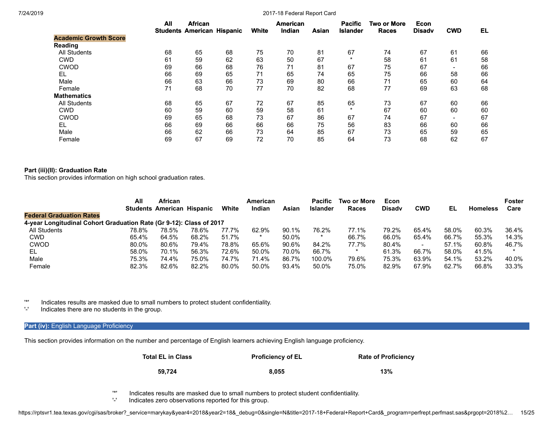|                              | All | <b>African</b><br><b>Students American Hispanic</b> |    | White | <b>American</b><br>Indian | Asian | <b>Pacific</b><br><b>Islander</b> | <b>Two or More</b><br><b>Races</b> | Econ<br><b>Disady</b> | <b>CWD</b>      | EL. |
|------------------------------|-----|-----------------------------------------------------|----|-------|---------------------------|-------|-----------------------------------|------------------------------------|-----------------------|-----------------|-----|
| <b>Academic Growth Score</b> |     |                                                     |    |       |                           |       |                                   |                                    |                       |                 |     |
| Reading                      |     |                                                     |    |       |                           |       |                                   |                                    |                       |                 |     |
| <b>All Students</b>          | 68  | 65                                                  | 68 | 75    | 70                        | 81    | 67                                | 74                                 | 67                    | 61              | 66  |
| <b>CWD</b>                   | 61  | 59                                                  | 62 | 63    | 50                        | 67    | $\star$                           | 58                                 | 61                    | 61              | 58  |
| <b>CWOD</b>                  | 69  | 66                                                  | 68 | 76    | 71                        | 81    | 67                                | 75                                 | 67                    | $\qquad \qquad$ | 66  |
| EL                           | 66  | 69                                                  | 65 | 71    | 65                        | 74    | 65                                | 75                                 | 66                    | 58              | 66  |
| Male                         | 66  | 63                                                  | 66 | 73    | 69                        | 80    | 66                                | 71                                 | 65                    | 60              | 64  |
| Female                       | 71  | 68                                                  | 70 | 77    | 70                        | 82    | 68                                | 77                                 | 69                    | 63              | 68  |
| <b>Mathematics</b>           |     |                                                     |    |       |                           |       |                                   |                                    |                       |                 |     |
| <b>All Students</b>          | 68  | 65                                                  | 67 | 72    | 67                        | 85    | 65                                | 73                                 | 67                    | 60              | 66  |
| <b>CWD</b>                   | 60  | 59                                                  | 60 | 59    | 58                        | 61    | $\star$                           | 67                                 | 60                    | 60              | 60  |
| <b>CWOD</b>                  | 69  | 65                                                  | 68 | 73    | 67                        | 86    | 67                                | 74                                 | 67                    | $\qquad \qquad$ | 67  |
| EL                           | 66  | 69                                                  | 66 | 66    | 66                        | 75    | 56                                | 83                                 | 66                    | 60              | 66  |
| Male                         | 66  | 62                                                  | 66 | 73    | 64                        | 85    | 67                                | 73                                 | 65                    | 59              | 65  |
| Female                       | 69  | 67                                                  | 69 | 72    | 70                        | 85    | 64                                | 73                                 | 68                    | 62              | 67  |

## **Part (iii)(II): Graduation Rate**

This section provides information on high school graduation rates.

|                                                                     | All   | African                           |       |       | American |       | <b>Pacific</b>  | <b>Two or More</b> | Econ          |       |       |                 | <b>Foster</b> |
|---------------------------------------------------------------------|-------|-----------------------------------|-------|-------|----------|-------|-----------------|--------------------|---------------|-------|-------|-----------------|---------------|
|                                                                     |       | <b>Students American Hispanic</b> |       | White | Indian   | Asian | <b>Islander</b> | Races              | <b>Disady</b> | CWD   | EL    | <b>Homeless</b> | Care          |
| <b>Federal Graduation Rates</b>                                     |       |                                   |       |       |          |       |                 |                    |               |       |       |                 |               |
| 4-year Longitudinal Cohort Graduation Rate (Gr 9-12): Class of 2017 |       |                                   |       |       |          |       |                 |                    |               |       |       |                 |               |
| All Students                                                        | 78.8% | 78.5%                             | 78.6% | 77.7% | 62.9%    | 90.1% | 76.2%           | 77.1%              | 79.2%         | 65.4% | 58.0% | 60.3%           | 36.4%         |
| <b>CWD</b>                                                          | 65.4% | 64.5%                             | 68.2% | 51.7% |          | 50.0% | $\star$         | 66.7%              | 66.0%         | 65.4% | 66.7% | 55.3%           | 14.3%         |
| <b>CWOD</b>                                                         | 80.0% | 80.6%                             | 79.4% | 78.8% | 65.6%    | 90.6% | 84.2%           | 77.7%              | 80.4%         | $\,$  | 57.1% | 60.8%           | 46.7%         |
| EL.                                                                 | 58.0% | 70.1%                             | 56.3% | 72.6% | 50.0%    | 70.0% | 66.7%           |                    | 61.3%         | 66.7% | 58.0% | 41.5%           |               |
| Male                                                                | 75.3% | 74.4%                             | 75.0% | 74.7% | 71.4%    | 86.7% | 100.0%          | 79.6%              | 75.3%         | 63.9% | 54.1% | 53.2%           | 40.0%         |
| Female                                                              | 82.3% | 82.6%                             | 82.2% | 80.0% | 50.0%    | 93.4% | 50.0%           | 75.0%              | 82.9%         | 67.9% | 62.7% | 66.8%           | 33.3%         |

'\*' Indicates results are masked due to small numbers to protect student confidentiality.

Indicates there are no students in the group.

## **Part (iv):** English Language Proficiency

This section provides information on the number and percentage of English learners achieving English language proficiency.

| <b>Total EL in Class</b> | <b>Proficiency of EL</b> | <b>Rate of Proficiency</b> |
|--------------------------|--------------------------|----------------------------|
| 59.724                   | 8.055                    | 13%                        |

'\*' Indicates results are masked due to small numbers to protect student confidentiality.

Indicates zero observations reported for this group.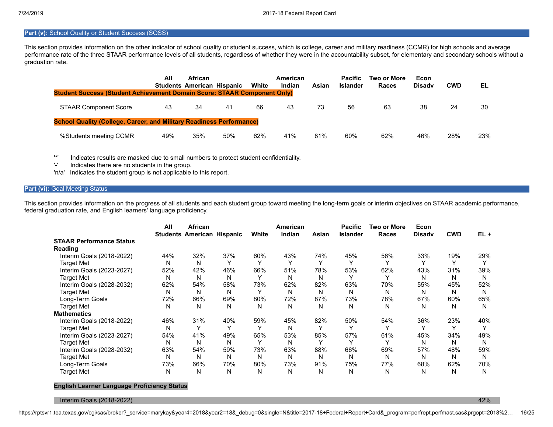## **Part (v):** School Quality or Student Success (SQSS)

This section provides information on the other indicator of school quality or student success, which is college, career and military readiness (CCMR) for high schools and average performance rate of the three STAAR performance levels of all students, regardless of whether they were in the accountability subset, for elementary and secondary schools without a graduation rate.

| <b>Student Success (Student Achievement Domain Score: STAAR Component Only)</b> | All | <b>African</b><br><b>Students American Hispanic</b> |     | White | American<br>Indian | Asian | <b>Pacific</b><br><b>Islander</b> | Two or More<br>Races | Econ<br><b>Disady</b> | <b>CWD</b> | EL. |
|---------------------------------------------------------------------------------|-----|-----------------------------------------------------|-----|-------|--------------------|-------|-----------------------------------|----------------------|-----------------------|------------|-----|
| <b>STAAR Component Score</b>                                                    | 43  | 34                                                  | 41  | 66    | 43                 | 73    | 56                                | 63                   | 38                    | 24         | 30  |
| <b>School Quality (College, Career, and Military Readiness Performance)</b>     |     |                                                     |     |       |                    |       |                                   |                      |                       |            |     |
| %Students meeting CCMR                                                          | 49% | 35%                                                 | 50% | 62%   | 41%                | 81%   | 60%                               | 62%                  | 46%                   | 28%        | 23% |

'\*' Indicates results are masked due to small numbers to protect student confidentiality.

Indicates there are no students in the group.

'n/a' Indicates the student group is not applicable to this report.

## **Part (vi): Goal Meeting Status**

This section provides information on the progress of all students and each student group toward meeting the long-term goals or interim objectives on STAAR academic performance, federal graduation rate, and English learners' language proficiency.

|                                 | All | African<br><b>Students American Hispanic</b> |              | White        | American<br>Indian | Asian | <b>Pacific</b><br><b>Islander</b> | <b>Two or More</b><br><b>Races</b> | Econ<br><b>Disady</b> | <b>CWD</b> | $EL +$ |
|---------------------------------|-----|----------------------------------------------|--------------|--------------|--------------------|-------|-----------------------------------|------------------------------------|-----------------------|------------|--------|
| <b>STAAR Performance Status</b> |     |                                              |              |              |                    |       |                                   |                                    |                       |            |        |
| Reading                         |     |                                              |              |              |                    |       |                                   |                                    |                       |            |        |
| Interim Goals (2018-2022)       | 44% | 32%                                          | 37%          | 60%          | 43%                | 74%   | 45%                               | 56%                                | 33%                   | 19%        | 29%    |
| <b>Target Met</b>               | N   | N                                            |              | $\checkmark$ | $\checkmark$       |       |                                   |                                    |                       |            |        |
| Interim Goals (2023-2027)       | 52% | 42%                                          | 46%          | 66%          | 51%                | 78%   | 53%                               | 62%                                | 43%                   | 31%        | 39%    |
| <b>Target Met</b>               | N   | N                                            | N            | $\checkmark$ | Ν                  | N     | $\checkmark$                      |                                    | N                     | N          | N      |
| Interim Goals (2028-2032)       | 62% | 54%                                          | 58%          | 73%          | 62%                | 82%   | 63%                               | 70%                                | 55%                   | 45%        | 52%    |
| <b>Target Met</b>               | N   | N                                            | N            | $\checkmark$ | N                  | N     | N                                 | N                                  | N                     | N          | N      |
| Long-Term Goals                 | 72% | 66%                                          | 69%          | 80%          | 72%                | 87%   | 73%                               | 78%                                | 67%                   | 60%        | 65%    |
| <b>Target Met</b>               | N   | N                                            | N            | N            | N                  | N     | N                                 | N                                  | N                     | N          | N      |
| <b>Mathematics</b>              |     |                                              |              |              |                    |       |                                   |                                    |                       |            |        |
| Interim Goals (2018-2022)       | 46% | 31%                                          | 40%          | 59%          | 45%                | 82%   | 50%                               | 54%                                | 36%                   | 23%        | 40%    |
| <b>Target Met</b>               | N   | ۷                                            | $\checkmark$ | Υ            | N                  |       | $\checkmark$                      | $\checkmark$                       | Υ                     | Υ          |        |
| Interim Goals (2023-2027)       | 54% | 41%                                          | 49%          | 65%          | 53%                | 85%   | 57%                               | 61%                                | 45%                   | 34%        | 49%    |
| <b>Target Met</b>               | N   | N                                            | N            | $\checkmark$ | N                  |       | $\checkmark$                      |                                    | N                     | N          | N      |
| Interim Goals (2028-2032)       | 63% | 54%                                          | 59%          | 73%          | 63%                | 88%   | 66%                               | 69%                                | 57%                   | 48%        | 59%    |
| <b>Target Met</b>               | N   | N                                            | N            | N            | N                  | N     | N                                 | N                                  | N                     | N          | N      |
| Long-Term Goals                 | 73% | 66%                                          | 70%          | 80%          | 73%                | 91%   | 75%                               | 77%                                | 68%                   | 62%        | 70%    |
| <b>Target Met</b>               | N   | N                                            | N            | N            | N                  | N     | N                                 | N                                  | N                     | N          | N      |

#### **English Learner Language Proficiency Status**

Interim Goals (2018-2022) 42%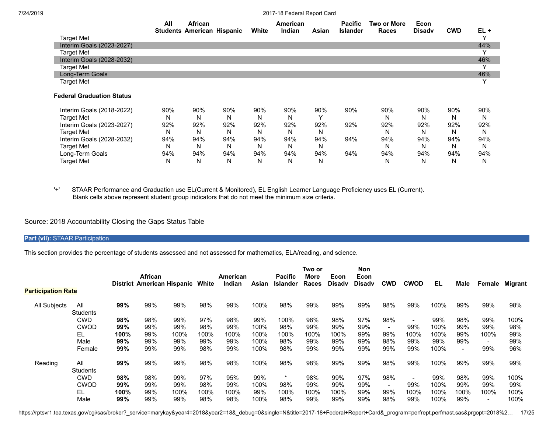|                                  | All | <b>African</b><br><b>Students American Hispanic</b> |     | White | American<br>Indian | Asian | <b>Pacific</b><br><b>Islander</b> | Two or More<br><b>Races</b> | Econ<br><b>Disady</b> | <b>CWD</b> | $EL +$       |
|----------------------------------|-----|-----------------------------------------------------|-----|-------|--------------------|-------|-----------------------------------|-----------------------------|-----------------------|------------|--------------|
| <b>Target Met</b>                |     |                                                     |     |       |                    |       |                                   |                             |                       |            |              |
| Interim Goals (2023-2027)        |     |                                                     |     |       |                    |       |                                   |                             |                       |            | 44%          |
| Target Met                       |     |                                                     |     |       |                    |       |                                   |                             |                       |            | v            |
| Interim Goals (2028-2032)        |     |                                                     |     |       |                    |       |                                   |                             |                       |            | 46%          |
| Target Met                       |     |                                                     |     |       |                    |       |                                   |                             |                       |            |              |
| Long-Term Goals                  |     |                                                     |     |       |                    |       |                                   |                             |                       |            | 46%          |
| <b>Target Met</b>                |     |                                                     |     |       |                    |       |                                   |                             |                       |            | $\checkmark$ |
| <b>Federal Graduation Status</b> |     |                                                     |     |       |                    |       |                                   |                             |                       |            |              |
| Interim Goals (2018-2022)        | 90% | 90%                                                 | 90% | 90%   | 90%                | 90%   | 90%                               | 90%                         | 90%                   | 90%        | 90%          |
| <b>Target Met</b>                | N   | N                                                   | N   | N     | N                  | v     |                                   | N                           | N                     | N          | N            |
| Interim Goals (2023-2027)        | 92% | 92%                                                 | 92% | 92%   | 92%                | 92%   | 92%                               | 92%                         | 92%                   | 92%        | 92%          |
| <b>Target Met</b>                | N   | N                                                   | N   | N     | N                  | N     |                                   | N                           | N                     | N          | N            |
| Interim Goals (2028-2032)        | 94% | 94%                                                 | 94% | 94%   | 94%                | 94%   | 94%                               | 94%                         | 94%                   | 94%        | 94%          |
| <b>Target Met</b>                | N   | N                                                   | N   | N     | N                  | N     |                                   | N                           | N                     | N          | N            |
| Long-Term Goals                  | 94% | 94%                                                 | 94% | 94%   | 94%                | 94%   | 94%                               | 94%                         | 94%                   | 94%        | 94%          |
| <b>Target Met</b>                | N   | N                                                   | N   | N     | N                  | N     |                                   | N                           | N                     | N          | N            |

'+' STAAR Performance and Graduation use EL(Current & Monitored), EL English Learner Language Proficiency uses EL (Current). Blank cells above represent student group indicators that do not meet the minimum size criteria.

## Source: 2018 Accountability Closing the Gaps Status Table

**Part (vii):** STAAR Participation

This section provides the percentage of students assessed and not assessed for mathematics, ELA/reading, and science.

|                 |                                       | <b>African</b> |      |      | American                                   |        | <b>Pacific</b> | Two or<br>More  | Econ  | Non<br>Econ |                          |                          |             |      |      |         |
|-----------------|---------------------------------------|----------------|------|------|--------------------------------------------|--------|----------------|-----------------|-------|-------------|--------------------------|--------------------------|-------------|------|------|---------|
|                 |                                       |                |      |      |                                            |        |                |                 |       |             |                          |                          |             |      |      | Migrant |
| All             | 99%                                   | 99%            | 99%  | 98%  | 99%                                        | 100%   | 98%            | 99%             | 99%   | 99%         | 98%                      | 99%                      | 100%        | 99%  | 99%  | 98%     |
| <b>CWD</b>      | 98%                                   | 98%            | 99%  | 97%  | 98%                                        | 99%    | 100%           | 98%             | 98%   |             | 98%                      | $\overline{\phantom{a}}$ | 99%         | 98%  | 99%  | 100%    |
| <b>CWOD</b>     | 99%                                   | 99%            | 99%  | 98%  | 99%                                        | 100%   | 98%            | 99%             | 99%   | 99%         | $\overline{\phantom{a}}$ | 99%                      | 100%        | 99%  | 99%  | 98%     |
| EL.             | 100%                                  | 99%            | 100% | 100% | 100%                                       | 100%   | 100%           | 100%            | 100%  | 99%         | 99%                      | 100%                     | 100%        | 99%  | 100% | 99%     |
| Male            | 99%                                   | 99%            | 99%  | 99%  | 99%                                        | 100%   | 98%            | 99%             | 99%   | 99%         | 98%                      | 99%                      | 99%         | 99%  |      | 99%     |
| Female          | 99%                                   | 99%            | 99%  | 98%  | 99%                                        | 100%   | 98%            | 99%             | 99%   | 99%         | 99%                      | 99%                      | 100%        |      | 99%  | 96%     |
| All<br>Students | 99%                                   | 99%            | 99%  | 98%  | 98%                                        | 100%   | 98%            | 98%             | 99%   | 99%         | 98%                      | 99%                      | 100%        | 99%  | 99%  | 99%     |
| <b>CWD</b>      | 98%                                   | 98%            | 99%  | 97%  | 95%                                        | 99%    | *              | 98%             | 99%   | 97%         | 98%                      | $\overline{\phantom{0}}$ | 99%         | 98%  | 99%  | 100%    |
| <b>CWOD</b>     | 99%                                   | 99%            | 99%  | 98%  | 99%                                        | 100%   | 98%            | 99%             | 99%   | 99%         | $\overline{\phantom{a}}$ | 99%                      | 100%        | 99%  | 99%  | 99%     |
| EL.             | 100%                                  | 99%            | 100% | 100% | 100%                                       | 99%    | 100%           | 100%            | 100%  | 99%         | 99%                      | 100%                     | 100%        | 100% | 100% | 100%    |
| Male            | 99%                                   | 99%            | 99%  | 98%  | 98%                                        | 100%   | 98%            | 99%             | 99%   | 99%         | 98%                      | 99%                      | 100%        | 99%  |      | 100%    |
|                 | <b>Participation Rate</b><br>Students |                |      |      | <b>District American Hispanic</b><br>White | Indian | Asian          | <b>Islander</b> | Races | Disadv      | Disadv<br>97%            | <b>CWD</b>               | <b>CWOD</b> | EL.  | Male | Female  |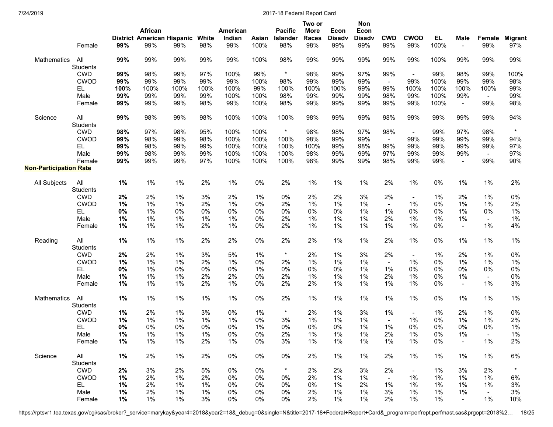|                               | Female                 | 99%   | African<br>District American Hispanic White<br>99% | 99%   | 98%   | American<br>Indian<br>99% | Asian<br>100% | <b>Pacific</b><br>Islander<br>98% | Two or<br><b>More</b><br><b>Races</b><br>98% | Econ<br><b>Disadv</b><br>99% | Non<br>Econ<br><b>Disadv</b><br>99% | <b>CWD</b><br>99% | <b>CWOD</b><br>99%       | EL.<br>100% | Male<br>$\blacksquare$ | Female<br>99%  | Migrant<br>97% |
|-------------------------------|------------------------|-------|----------------------------------------------------|-------|-------|---------------------------|---------------|-----------------------------------|----------------------------------------------|------------------------------|-------------------------------------|-------------------|--------------------------|-------------|------------------------|----------------|----------------|
| Mathematics                   | All                    | 99%   | 99%                                                | 99%   | 99%   | 99%                       | 100%          | 98%                               | 99%                                          | 99%                          | 99%                                 | 99%               | 99%                      | 100%        | 99%                    | 99%            | 99%            |
|                               | <b>Students</b>        |       |                                                    |       |       |                           |               |                                   |                                              |                              |                                     |                   |                          |             |                        |                |                |
|                               | <b>CWD</b>             | 99%   | 98%                                                | 99%   | 97%   | 100%                      | 99%           | $\star$                           | 98%                                          | 99%                          | 97%                                 | 99%               | $\blacksquare$           | 99%         | 98%                    | 99%            | 100%           |
|                               | <b>CWOD</b>            | 99%   | 99%                                                | 99%   | 99%   | 99%                       | 100%          | 98%                               | 99%                                          | 99%                          | 99%                                 | $\blacksquare$    | 99%                      | 100%        | 99%                    | 99%            | 98%            |
|                               | EL                     | 100%  | 100%                                               | 100%  | 100%  | 100%                      | 99%           | 100%                              | 100%                                         | 100%                         | 99%                                 | 99%               | 100%                     | 100%        | 100%                   | 100%           | 99%            |
|                               | Male                   | 99%   | 99%                                                | 99%   | 99%   | 100%                      | 100%          | 98%                               | 99%                                          | 99%                          | 99%                                 | 98%               | 99%                      | 100%        | 99%                    | $\blacksquare$ | 99%            |
|                               | Female                 | 99%   | 99%                                                | 99%   | 98%   | 99%                       | 100%          | 98%                               | 99%                                          | 99%                          | 99%                                 | 99%               | 99%                      | 100%        | $\blacksquare$         | 99%            | 98%            |
| Science                       | All<br><b>Students</b> | 99%   | 98%                                                | 99%   | 98%   | 100%                      | 100%          | 100%                              | 98%                                          | 99%                          | 99%                                 | 98%               | 99%                      | 99%         | 99%                    | 99%            | 94%            |
|                               | <b>CWD</b>             | 98%   | 97%                                                | 98%   | 95%   | 100%                      | 100%          | $\star$                           | 98%                                          | 98%                          | 97%                                 | 98%               | $\overline{\phantom{a}}$ | 99%         | 97%                    | 98%            |                |
|                               | <b>CWOD</b>            | 99%   | 98%                                                | 99%   | 98%   | 100%                      | 100%          | 100%                              | 98%                                          | 99%                          | 99%                                 | $\blacksquare$    | 99%                      | 99%         | 99%                    | 99%            | 94%            |
|                               | EL.                    | 99%   | 98%                                                | 99%   | 99%   | 100%                      | 100%          | 100%                              | 100%                                         | 99%                          | 98%                                 | 99%               | 99%                      | 99%         | 99%                    | 99%            | 97%            |
|                               | Male                   | 99%   | 98%                                                | 99%   | 99%   | 100%                      | 100%          | 100%                              | 98%                                          | 99%                          | 99%                                 | 97%               | 99%                      | 99%         | 99%                    | $\sim$         | 97%            |
|                               | Female                 | 99%   | 99%                                                | 99%   | 97%   | 100%                      | 100%          | 100%                              | 98%                                          | 99%                          | 99%                                 | 98%               | 99%                      | 99%         | $\blacksquare$         | 99%            | 90%            |
| <b>Non-Participation Rate</b> |                        |       |                                                    |       |       |                           |               |                                   |                                              |                              |                                     |                   |                          |             |                        |                |                |
| All Subjects                  | All<br><b>Students</b> | 1%    | $1\%$                                              | 1%    | 2%    | 1%                        | 0%            | 2%                                | $1\%$                                        | $1\%$                        | $1\%$                               | 2%                | 1%                       | 0%          | $1\%$                  | 1%             | 2%             |
|                               | <b>CWD</b>             | 2%    | 2%                                                 | 1%    | 3%    | 2%                        | 1%            | 0%                                | 2%                                           | 2%                           | 3%                                  | 2%                |                          | 1%          | 2%                     | 1%             | 0%             |
|                               | <b>CWOD</b>            | 1%    | 1%                                                 | 1%    | 2%    | 1%                        | 0%            | 2%                                | 1%                                           | 1%                           | 1%                                  | $\blacksquare$    | 1%                       | 0%          | 1%                     | 1%             | 2%             |
|                               | EL.                    | 0%    | 1%                                                 | 0%    | 0%    | 0%                        | 0%            | 0%                                | 0%                                           | 0%                           | 1%                                  | 1%                | 0%                       | 0%          | 1%                     | 0%             | 1%             |
|                               | Male                   | $1\%$ | 1%                                                 | 1%    | 1%    | $1\%$                     | 0%            | 2%                                | 1%                                           | $1\%$                        | 1%                                  | 2%                | 1%                       | 1%          | 1%                     | $\blacksquare$ | 1%             |
|                               | Female                 | $1\%$ | 1%                                                 | 1%    | 2%    | 1%                        | 0%            | 2%                                | 1%                                           | $1\%$                        | 1%                                  | $1\%$             | 1%                       | 0%          | $\blacksquare$         | 1%             | 4%             |
| Reading                       | All<br><b>Students</b> | 1%    | $1\%$                                              | 1%    | 2%    | 2%                        | $0\%$         | 2%                                | 2%                                           | $1\%$                        | 1%                                  | 2%                | 1%                       | 0%          | 1%                     | $1\%$          | 1%             |
|                               | <b>CWD</b>             | 2%    | 2%                                                 | 1%    | 3%    | 5%                        | $1\%$         | $\star$                           | 2%                                           | $1\%$                        | 3%                                  | 2%                |                          | $1\%$       | 2%                     | $1\%$          | 0%             |
|                               | <b>CWOD</b>            | 1%    | 1%                                                 | 1%    | 2%    | 1%                        | 0%            | 2%                                | 1%                                           | 1%                           | 1%                                  | $\sim$            | 1%                       | 0%          | 1%                     | 1%             | 1%             |
|                               | EL                     | 0%    | 1%                                                 | 0%    | 0%    | 0%                        | 1%            | 0%                                | 0%                                           | 0%                           | 1%                                  | 1%                | 0%                       | 0%          | 0%                     | 0%             | 0%             |
|                               | Male                   | 1%    | 1%                                                 | 1%    | 2%    | 2%                        | 0%            | 2%                                | 1%                                           | $1\%$                        | 1%                                  | 2%                | 1%                       | 0%          | 1%                     | $\blacksquare$ | 0%             |
|                               | Female                 | 1%    | $1\%$                                              | 1%    | 2%    | 1%                        | 0%            | 2%                                | 2%                                           | $1\%$                        | 1%                                  | 1%                | 1%                       | 0%          | $\blacksquare$         | 1%             | 3%             |
| Mathematics                   | All<br><b>Students</b> | 1%    | $1\%$                                              | 1%    | $1\%$ | $1\%$                     | $0\%$         | 2%                                | $1\%$                                        | $1\%$                        | $1\%$                               | 1%                | 1%                       | 0%          | $1\%$                  | $1\%$          | 1%             |
|                               | <b>CWD</b>             | 1%    | 2%                                                 | 1%    | 3%    | 0%                        | $1\%$         | $\star$                           | 2%                                           | $1\%$                        | 3%                                  | 1%                | $\blacksquare$           | 1%          | 2%                     | 1%             | 0%             |
|                               | <b>CWOD</b>            | $1\%$ | $1\%$                                              | 1%    | $1\%$ | $1\%$                     | 0%            | 3%                                | 1%                                           | $1\%$                        | 1%                                  | $\blacksquare$    | $1\%$                    | 0%          | $1\%$                  | 1%             | 2%             |
|                               | EL                     | 0%    | 0%                                                 | 0%    | 0%    | 0%                        | 1%            | 0%                                | 0%                                           | 0%                           | 1%                                  | $1\%$             | 0%                       | 0%          | 0%                     | 0%             | 1%             |
|                               | Male                   | 1%    | 1%                                                 | 1%    | 1%    | 0%                        | 0%            | 2%                                | 1%                                           | 1%                           | 1%                                  | 2%                | 1%                       | 0%          | 1%                     |                | 1%             |
|                               | Female                 | 1%    | 1%                                                 | 1%    | 2%    | $1\%$                     | 0%            | 3%                                | 1%                                           | 1%                           | 1%                                  | 1%                | 1%                       | 0%          | $\blacksquare$         | 1%             | 2%             |
| Science                       | All<br><b>Students</b> | 1%    | 2%                                                 | $1\%$ | 2%    | 0%                        | 0%            | 0%                                | 2%                                           | $1\%$                        | $1\%$                               | 2%                | 1%                       | 1%          | 1%                     | $1\%$          | 6%             |
|                               | <b>CWD</b>             | 2%    | 3%                                                 | 2%    | 5%    | 0%                        | $0\%$         |                                   | 2%                                           | 2%                           | 3%                                  | 2%                | $\blacksquare$           | 1%          | 3%                     | 2%             |                |
|                               | <b>CWOD</b>            | 1%    | 2%                                                 | $1\%$ | 2%    | 0%                        | 0%            | 0%                                | 2%                                           | 1%                           | 1%                                  | $\blacksquare$    | $1\%$                    | 1%          | 1%                     | 1%             | 6%             |
|                               | EL.                    | 1%    | 2%                                                 | $1\%$ | $1\%$ | 0%                        | $0\%$         | 0%                                | 0%                                           | $1\%$                        | 2%                                  | 1%                | 1%                       | 1%          | 1%                     | $1\%$          | 3%             |
|                               | Male                   | 1%    | 2%                                                 | 1%    | 1%    | 0%                        | $0\%$         | 0%                                | 2%                                           | 1%                           | 1%                                  | 3%                | $1\%$                    | 1%          | 1%                     | $\blacksquare$ | 3%             |
|                               | Female                 | $1\%$ | 1%                                                 | 1%    | 3%    | 0%                        | 0%            | 0%                                | 2%                                           | 1%                           | 1%                                  | 2%                | 1%                       | 1%          | $\sim$                 | 1%             | 10%            |

https://rptsvr1.tea.texas.gov/cgi/sas/broker?\_service=marykay&year4=2018&year2=18&\_debug=0&single=N&title=2017-18+Federal+Report+Card&\_program=perfrept.perfmast.sas&prgopt=2018%2… 18/25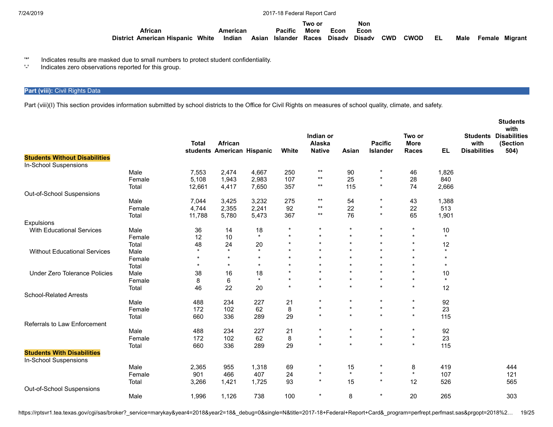|                                   |       |          |                                      | Two or      |      | Non  |            |             |      |  |                     |
|-----------------------------------|-------|----------|--------------------------------------|-------------|------|------|------------|-------------|------|--|---------------------|
| African                           |       | American | <b>Pacific</b>                       | <b>More</b> | Econ | Econ |            |             |      |  |                     |
| <b>District American Hispanic</b> | White | Indian   | Asian Islander Races Disady Disady \ |             |      |      | <b>CWD</b> | <b>CWOD</b> | - EL |  | Male Female Migrant |

'\*' Indicates results are masked due to small numbers to protect student confidentiality.

'-' Indicates zero observations reported for this group.

## **Part (viii):** Civil Rights Data

Part (viii)(I) This section provides information submitted by school districts to the Office for Civil Rights on measures of school quality, climate, and safety.

|                                                            |        | <b>Total</b> | African<br>students American Hispanic |         | White   | Indian or<br>Alaska<br><b>Native</b> | Asian   | <b>Pacific</b><br><b>Islander</b> | Two or<br><b>More</b><br><b>Races</b> | <b>EL</b> | <b>Students</b><br>with<br><b>Disabilities</b> | <b>Students</b><br>with<br><b>Disabilities</b><br>(Section<br>504) |
|------------------------------------------------------------|--------|--------------|---------------------------------------|---------|---------|--------------------------------------|---------|-----------------------------------|---------------------------------------|-----------|------------------------------------------------|--------------------------------------------------------------------|
| <b>Students Without Disabilities</b>                       |        |              |                                       |         |         |                                      |         |                                   |                                       |           |                                                |                                                                    |
| In-School Suspensions                                      |        |              |                                       |         |         |                                      |         |                                   |                                       |           |                                                |                                                                    |
|                                                            | Male   | 7,553        | 2,474                                 | 4,667   | 250     | $***$                                | 90      | $\star$                           | 46                                    | 1,826     |                                                |                                                                    |
|                                                            | Female | 5,108        | 1,943                                 | 2,983   | 107     | $^{\star\star}$                      | 25      | $\star$                           | 28                                    | 840       |                                                |                                                                    |
|                                                            | Total  | 12,661       | 4,417                                 | 7,650   | 357     | $***$                                | 115     | $\star$                           | 74                                    | 2,666     |                                                |                                                                    |
| Out-of-School Suspensions                                  |        |              |                                       |         |         |                                      |         |                                   |                                       |           |                                                |                                                                    |
|                                                            | Male   | 7,044        | 3,425                                 | 3,232   | 275     | $^{\star\star}$                      | 54      | *                                 | 43                                    | 1,388     |                                                |                                                                    |
|                                                            | Female | 4,744        | 2,355                                 | 2,241   | 92      | $^{\star\star}$                      | 22      | $\star$                           | 22                                    | 513       |                                                |                                                                    |
|                                                            | Total  | 11,788       | 5,780                                 | 5,473   | 367     | $***$                                | 76      | $\star$                           | 65                                    | 1,901     |                                                |                                                                    |
| Expulsions                                                 |        |              |                                       |         |         |                                      |         |                                   |                                       |           |                                                |                                                                    |
| With Educational Services                                  | Male   | 36           | 14                                    | 18      | $\star$ | $\star$                              | $\star$ | $\star$                           | $\star$                               | $10$      |                                                |                                                                    |
|                                                            | Female | 12           | 10                                    | $\star$ | $\star$ | $\star$                              | $\star$ | $\star$                           | $\star$                               | $\star$   |                                                |                                                                    |
|                                                            | Total  | 48           | 24                                    | 20      | $\star$ | $\star$                              | $\star$ | $\star$                           | $\star$                               | 12        |                                                |                                                                    |
| <b>Without Educational Services</b>                        | Male   | $\star$      | $\star$                               | $\star$ | $\star$ | $\star$                              | $\star$ | $\star$                           | $\star$                               | $\star$   |                                                |                                                                    |
|                                                            | Female | $\star$      | $\star$                               | $\star$ | $\star$ | $\star$                              | $\star$ | $\star$                           | $\star$                               | $\star$   |                                                |                                                                    |
|                                                            | Total  | $\star$      | $\star$                               | $\star$ | $\star$ | $\star$                              | $\star$ | $\star$                           | $\star$                               | $\star$   |                                                |                                                                    |
| <b>Under Zero Tolerance Policies</b>                       | Male   | 38           | 16                                    | 18      | $\star$ | $\star$                              | $\star$ | $\star$                           | $\star$                               | 10        |                                                |                                                                    |
|                                                            | Female | 8            | 6                                     | $\star$ | $\star$ | $\star$                              | $\star$ | $\star$                           | $\star$                               | $\star$   |                                                |                                                                    |
|                                                            | Total  | 46           | 22                                    | 20      | $\star$ | $\star$                              | $\star$ | $\star$                           | $\star$                               | 12        |                                                |                                                                    |
| <b>School-Related Arrests</b>                              |        |              |                                       |         |         |                                      |         |                                   |                                       |           |                                                |                                                                    |
|                                                            | Male   | 488          | 234                                   | 227     | 21      | $\star$                              | $\star$ | $\star$                           | $\star$                               | 92        |                                                |                                                                    |
|                                                            | Female | 172          | 102                                   | 62      | 8       | $\star$                              | $\star$ | $\star$                           | $\star$                               | 23        |                                                |                                                                    |
|                                                            | Total  | 660          | 336                                   | 289     | 29      | $\star$                              | $\star$ | $\star$                           | $\star$                               | 115       |                                                |                                                                    |
| <b>Referrals to Law Enforcement</b>                        |        |              |                                       |         |         |                                      |         |                                   |                                       |           |                                                |                                                                    |
|                                                            | Male   | 488          | 234                                   | 227     | 21      | $\star$                              | $\star$ | $\star$                           | $\star$                               | 92        |                                                |                                                                    |
|                                                            | Female | 172          | 102                                   | 62      | 8       | $\star$                              | $\star$ | $\star$                           | $\star$                               | 23        |                                                |                                                                    |
|                                                            | Total  | 660          | 336                                   | 289     | 29      | $\star$                              | $\star$ | $\star$                           | $\star$                               | 115       |                                                |                                                                    |
| <b>Students With Disabilities</b><br>In-School Suspensions |        |              |                                       |         |         |                                      |         |                                   |                                       |           |                                                |                                                                    |
|                                                            | Male   | 2,365        | 955                                   | 1,318   | 69      | $\star$                              | 15      | $\star$                           | 8                                     | 419       |                                                | 444                                                                |
|                                                            | Female | 901          | 466                                   | 407     | 24      | $\star$                              | $\star$ | $\star$                           | $\star$                               | 107       |                                                | 121                                                                |
|                                                            | Total  | 3,266        | 1,421                                 | 1,725   | 93      | $\star$                              | 15      | $\star$                           | 12                                    | 526       |                                                | 565                                                                |
| Out-of-School Suspensions                                  |        |              |                                       |         |         |                                      |         |                                   |                                       |           |                                                |                                                                    |
|                                                            | Male   | 1,996        | 1,126                                 | 738     | 100     | $\star$                              | 8       | $\star$                           | 20                                    | 265       |                                                | 303                                                                |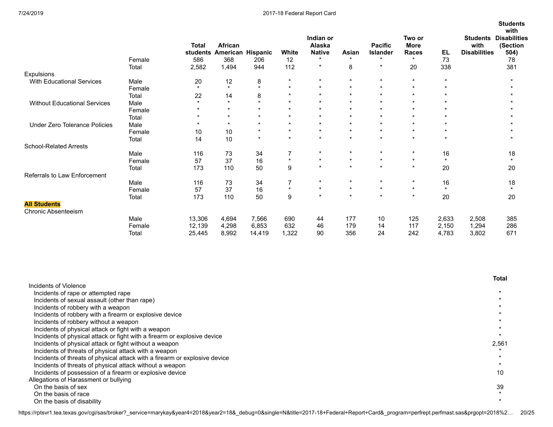|                                     |        | <b>Total</b><br><b>students</b> | African<br>American Hispanic |         | White          | Indian or<br>Alaska<br><b>Native</b> | Asian   | <b>Pacific</b><br><b>Islander</b> | Two or<br><b>More</b><br><b>Races</b> | EL      | <b>Students</b><br>with<br><b>Disabilities</b> | <b>Students</b><br>with<br><b>Disabilities</b><br>(Section<br>504) |
|-------------------------------------|--------|---------------------------------|------------------------------|---------|----------------|--------------------------------------|---------|-----------------------------------|---------------------------------------|---------|------------------------------------------------|--------------------------------------------------------------------|
|                                     | Female | 586                             | 368                          | 206     | 12             | $\star$                              | $\star$ | $\ddot{}$                         | $\ddot{}$                             | 73      |                                                | 78                                                                 |
|                                     | Total  | 2,582                           | 1,494                        | 944     | 112            | $\star$                              | 8       | $\star$                           | 20                                    | 338     |                                                | 381                                                                |
| Expulsions                          |        |                                 |                              |         |                |                                      |         |                                   |                                       |         |                                                |                                                                    |
| With Educational Services           | Male   | 20                              | 12                           | 8       | $\star$        | $\star$                              | $\star$ | $\star$                           | $\star$                               | $\star$ |                                                | $\star$                                                            |
|                                     | Female | $\star$                         | $\star$                      | $\star$ | $\star$        | $\star$                              | $\star$ | $\star$                           | $\star$                               | $\star$ |                                                |                                                                    |
|                                     | Total  | 22                              | 14                           | 8       | $\star$        | $\star$                              | $\star$ | $\star$                           | $\star$                               | $\star$ |                                                |                                                                    |
| <b>Without Educational Services</b> | Male   | $\star$                         | $\star$                      | $\star$ | $\star$        | $\star$                              | $\star$ | $\star$                           | $\star$                               | $\star$ |                                                |                                                                    |
|                                     | Female | $\star$                         | $\star$                      | $\star$ | $\star$        | $\star$                              | $\star$ | $\star$                           | $\star$                               | $\star$ |                                                |                                                                    |
|                                     | Total  | $\star$                         | $\star$                      | $\star$ | $\star$        | $\star$                              | $\star$ | $\star$                           | $\star$                               | $\star$ |                                                |                                                                    |
| Under Zero Tolerance Policies       | Male   | $\star$                         | $\star$                      | $\star$ | $\star$        | $\star$                              | $\star$ | $\star$                           | $\star$                               | $\star$ |                                                |                                                                    |
|                                     | Female | 10                              | 10                           | $\star$ | $\star$        | $\star$                              | $\star$ | $\star$                           | $\star$                               | $\star$ |                                                |                                                                    |
|                                     | Total  | 14                              | 10                           | $\star$ | $\star$        | $\star$                              | $\star$ | $\star$                           | $\star$                               | $\star$ |                                                |                                                                    |
| <b>School-Related Arrests</b>       |        |                                 |                              |         |                |                                      |         |                                   |                                       |         |                                                |                                                                    |
|                                     | Male   | 116                             | 73                           | 34      | $\overline{7}$ | $\star$                              | $\star$ | $\star$                           | $\star$                               | 16      |                                                | 18                                                                 |
|                                     | Female | 57                              | 37                           | 16      | $\star$        | $\star$                              | $\star$ | $\star$                           | $\star$                               | $\star$ |                                                | $\star$                                                            |
|                                     | Total  | 173                             | 110                          | 50      | 9              | $\star$                              | $\star$ | $\star$                           | $\star$                               | 20      |                                                | 20                                                                 |
| Referrals to Law Enforcement        |        |                                 |                              |         |                |                                      |         |                                   |                                       |         |                                                |                                                                    |
|                                     | Male   | 116                             | 73                           | 34      | $\overline{7}$ | $\star$                              | $\star$ | $\star$                           | $\star$                               | 16      |                                                | 18                                                                 |
|                                     | Female | 57                              | 37                           | 16      | $\star$        | $\star$                              | $\star$ | $\star$                           | $\star$                               | $\star$ |                                                | $\star$                                                            |
|                                     | Total  | 173                             | 110                          | 50      | 9              | $\star$                              | $\star$ | $\star$                           | $\star$                               | 20      |                                                | 20                                                                 |
| <b>All Students</b>                 |        |                                 |                              |         |                |                                      |         |                                   |                                       |         |                                                |                                                                    |
| <b>Chronic Absenteeism</b>          |        |                                 |                              |         |                |                                      |         |                                   |                                       |         |                                                |                                                                    |
|                                     | Male   | 13,306                          | 4,694                        | 7,566   | 690            | 44                                   | 177     | 10                                | 125                                   | 2,633   | 2,508                                          | 385                                                                |
|                                     | Female | 12,139                          | 4,298                        | 6,853   | 632            | 46                                   | 179     | 14                                | 117                                   | 2,150   | 1,294                                          | 286                                                                |
|                                     | Total  | 25,445                          | 8,992                        | 14,419  | 1,322          | 90                                   | 356     | 24                                | 242                                   | 4,783   | 3,802                                          | 671                                                                |

|                                                                            | Total |
|----------------------------------------------------------------------------|-------|
| Incidents of Violence                                                      |       |
| Incidents of rape or attempted rape                                        |       |
| Incidents of sexual assault (other than rape)                              |       |
| Incidents of robbery with a weapon                                         |       |
| Incidents of robbery with a firearm or explosive device                    |       |
| Incidents of robbery without a weapon                                      |       |
| Incidents of physical attack or fight with a weapon                        |       |
| Incidents of physical attack or fight with a firearm or explosive device   |       |
| Incidents of physical attack or fight without a weapon                     | 2,561 |
| Incidents of threats of physical attack with a weapon                      |       |
| Incidents of threats of physical attack with a firearm or explosive device |       |
| Incidents of threats of physical attack without a weapon                   |       |
| Incidents of possession of a firearm or explosive device                   | 10    |
| Allegations of Harassment or bullying                                      |       |
| On the basis of sex                                                        | 39    |
| On the basis of race                                                       |       |
| On the basis of disability                                                 |       |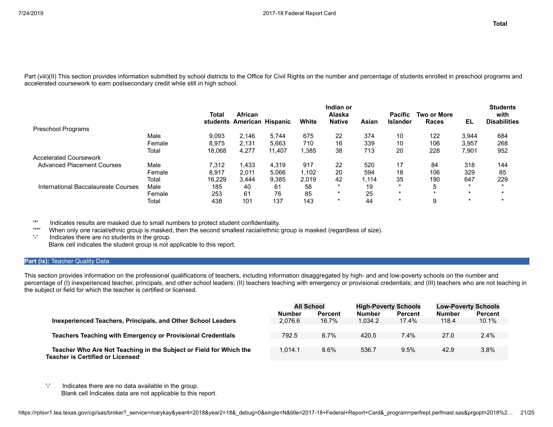Part (viii)(II) This section provides information submitted by school districts to the Office for Civil Rights on the number and percentage of students enrolled in preschool programs and accelerated coursework to earn postsecondary credit while still in high school.

|                                     |        | Total  | <b>African</b>             |        |       | Indian or<br>Alaska |       | <b>Pacific</b>  | <b>Two or More</b> |         | <b>Students</b><br>with |
|-------------------------------------|--------|--------|----------------------------|--------|-------|---------------------|-------|-----------------|--------------------|---------|-------------------------|
|                                     |        |        | students American Hispanic |        | White | <b>Native</b>       | Asian | <b>Islander</b> | Races              | EL      | <b>Disabilities</b>     |
| <b>Preschool Programs</b>           |        |        |                            |        |       |                     |       |                 |                    |         |                         |
|                                     | Male   | 9,093  | 2.146                      | 5.744  | 675   | 22                  | 374   | 10              | 122                | 3,944   | 684                     |
|                                     | Female | 8.975  | 2.131                      | 5.663  | 710   | 16                  | 339   | 10              | 106                | 3,957   | 268                     |
|                                     | Total  | 18,068 | 4,277                      | 11.407 | .385  | 38                  | 713   | 20              | 228                | 7,901   | 952                     |
| <b>Accelerated Coursework</b>       |        |        |                            |        |       |                     |       |                 |                    |         |                         |
| <b>Advanced Placement Courses</b>   | Male   | 7.312  | 1.433                      | 4.319  | 917   | 22                  | 520   | 17              | 84                 | 318     | 144                     |
|                                     | Female | 8.917  | 2.011                      | 5.066  | .102. | 20                  | 594   | 18              | 106                | 329     | 85                      |
|                                     | Total  | 16.229 | 3.444                      | 9.385  | 2.019 | 42                  | 1.114 | 35              | 190                | 647     | 229                     |
| International Baccalaureate Courses | Male   | 185    | 40                         | 61     | 58    |                     | 19    | $\star$         | 5                  | $\star$ |                         |
|                                     | Female | 253    | 61                         | 76     | 85    |                     | 25    | $\star$         | $\star$            | $\star$ |                         |
|                                     | Total  | 438    | 101                        | 137    | 143   | $\star$             | 44    | $\star$         | 9                  | $\star$ |                         |

'\*' Indicates results are masked due to small numbers to protect student confidentiality.

When only one racial/ethnic group is masked, then the second smallest racial/ethnic group is masked (regardless of size).

'-' Indicates there are no students in the group. Blank cell indicates the student group is not applicable to this report.

#### **Part (ix): Teacher Quality Data**

This section provides information on the professional qualifications of teachers, including information disaggregated by high- and and low-poverty schools on the number and percentage of (I) inexperienced teacher, principals, and other school leaders; (II) teachers teaching with emergency or provisional credentials; and (III) teachers who are not teaching in the subject or field for which the teacher is certified or licensed.

|                                                                                                               | <b>All School</b><br><b>Number</b><br>Percent |       | <b>High-Poverty Schools</b><br><b>Number</b><br><b>Percent</b> |       | <b>Low-Poverty Schools</b><br><b>Number</b> | <b>Percent</b> |
|---------------------------------------------------------------------------------------------------------------|-----------------------------------------------|-------|----------------------------------------------------------------|-------|---------------------------------------------|----------------|
| Inexperienced Teachers, Principals, and Other School Leaders                                                  | 2.076.6                                       | 16.7% | 1.034.2                                                        | 17.4% | 118.4                                       | 10.1%          |
| <b>Teachers Teaching with Emergency or Provisional Credentials</b>                                            | 792.5                                         | 6.7%  | 420.5                                                          | 7.4%  | 27.0                                        | 2.4%           |
| Teacher Who Are Not Teaching in the Subject or Field for Which the<br><b>Teacher is Certified or Licensed</b> | 1.014.1                                       | 8.6%  | 536.7                                                          | 9.5%  | 42.9                                        | 3.8%           |

'-' Indicates there are no data available in the group. Blank cell Indicates data are not applicable to this report.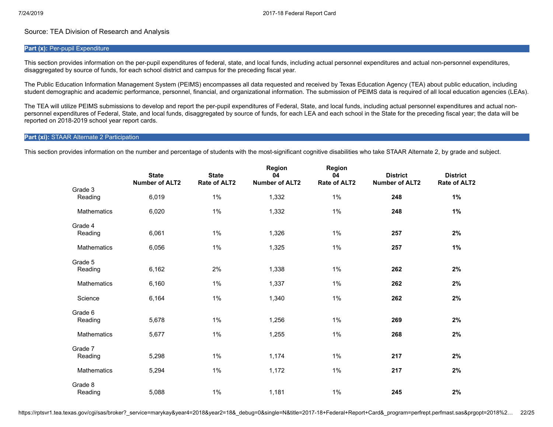## Source: TEA Division of Research and Analysis

#### **Part (x): Per-pupil Expenditure**

This section provides information on the per-pupil expenditures of federal, state, and local funds, including actual personnel expenditures and actual non-personnel expenditures, disaggregated by source of funds, for each school district and campus for the preceding fiscal year.

The Public Education Information Management System (PEIMS) encompasses all data requested and received by Texas Education Agency (TEA) about public education, including student demographic and academic performance, personnel, financial, and organizational information. The submission of PEIMS data is required of all local education agencies (LEAs).

The TEA will utilize PEIMS submissions to develop and report the per-pupil expenditures of Federal, State, and local funds, including actual personnel expenditures and actual nonpersonnel expenditures of Federal, State, and local funds, disaggregated by source of funds, for each LEA and each school in the State for the preceding fiscal year; the data will be reported on 2018-2019 school year report cards.

#### **Part (xi):** STAAR Alternate 2 Participation

This section provides information on the number and percentage of students with the most-significant cognitive disabilities who take STAAR Alternate 2, by grade and subject.

|                    | <b>State</b><br><b>Number of ALT2</b> | <b>State</b><br>Rate of ALT2 | Region<br>04<br><b>Number of ALT2</b> | <b>Region</b><br>04<br>Rate of ALT2 | <b>District</b><br><b>Number of ALT2</b> | <b>District</b><br>Rate of ALT2 |
|--------------------|---------------------------------------|------------------------------|---------------------------------------|-------------------------------------|------------------------------------------|---------------------------------|
| Grade 3<br>Reading | 6,019                                 | 1%                           | 1,332                                 | $1\%$                               | 248                                      | 1%                              |
| <b>Mathematics</b> | 6,020                                 | 1%                           | 1,332                                 | 1%                                  | 248                                      | 1%                              |
| Grade 4<br>Reading | 6,061                                 | $1\%$                        | 1,326                                 | 1%                                  | 257                                      | 2%                              |
| Mathematics        | 6,056                                 | $1\%$                        | 1,325                                 | $1\%$                               | 257                                      | 1%                              |
| Grade 5<br>Reading | 6,162                                 | 2%                           | 1,338                                 | 1%                                  | 262                                      | 2%                              |
| <b>Mathematics</b> | 6,160                                 | 1%                           | 1,337                                 | $1\%$                               | 262                                      | 2%                              |
| Science            | 6,164                                 | 1%                           | 1,340                                 | 1%                                  | 262                                      | 2%                              |
| Grade 6<br>Reading | 5,678                                 | 1%                           | 1,256                                 | 1%                                  | 269                                      | 2%                              |
| <b>Mathematics</b> | 5,677                                 | 1%                           | 1,255                                 | $1\%$                               | 268                                      | 2%                              |
| Grade 7<br>Reading | 5,298                                 | $1\%$                        | 1,174                                 | 1%                                  | 217                                      | 2%                              |
| <b>Mathematics</b> | 5,294                                 | $1\%$                        | 1,172                                 | 1%                                  | 217                                      | 2%                              |
| Grade 8<br>Reading | 5,088                                 | $1\%$                        | 1,181                                 | $1\%$                               | 245                                      | 2%                              |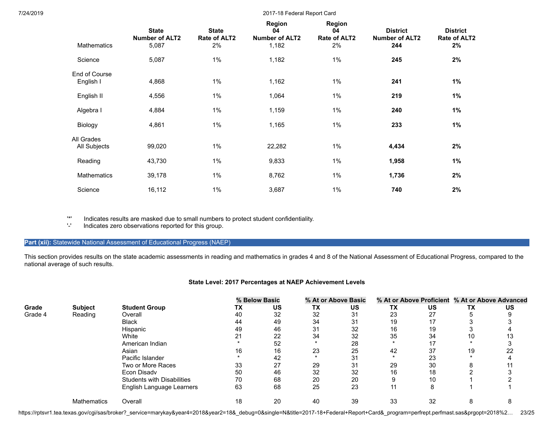| Mathematics                | <b>State</b><br><b>Number of ALT2</b><br>5,087 | <b>State</b><br>Rate of ALT2<br>2% | Region<br>04<br><b>Number of ALT2</b><br>1,182 | <b>Region</b><br>04<br>Rate of ALT2<br>2% | <b>District</b><br><b>Number of ALT2</b><br>244 | <b>District</b><br>Rate of ALT2<br>2% |
|----------------------------|------------------------------------------------|------------------------------------|------------------------------------------------|-------------------------------------------|-------------------------------------------------|---------------------------------------|
| Science                    | 5,087                                          | $1\%$                              | 1,182                                          | $1\%$                                     | 245                                             | 2%                                    |
| End of Course<br>English I | 4,868                                          | $1\%$                              | 1,162                                          | $1\%$                                     | 241                                             | $1\%$                                 |
| English II                 | 4,556                                          | $1\%$                              | 1,064                                          | $1\%$                                     | 219                                             | 1%                                    |
| Algebra I                  | 4,884                                          | $1\%$                              | 1,159                                          | $1\%$                                     | 240                                             | $1\%$                                 |
| Biology                    | 4,861                                          | $1\%$                              | 1,165                                          | $1\%$                                     | 233                                             | $1\%$                                 |
| All Grades<br>All Subjects | 99,020                                         | $1\%$                              | 22,282                                         | 1%                                        | 4,434                                           | 2%                                    |
| Reading                    | 43,730                                         | $1\%$                              | 9,833                                          | $1\%$                                     | 1,958                                           | 1%                                    |
| Mathematics                | 39,178                                         | $1\%$                              | 8,762                                          | $1\%$                                     | 1,736                                           | 2%                                    |
| Science                    | 16,112                                         | $1\%$                              | 3,687                                          | 1%                                        | 740                                             | 2%                                    |

'\*' Indicates results are masked due to small numbers to protect student confidentiality.

Indicates zero observations reported for this group.

## Part (xii): Statewide National Assessment of Educational Progress (NAEP)

This section provides results on the state academic assessments in reading and mathematics in grades 4 and 8 of the National Assessment of Educational Progress, compared to the national average of such results.

## **State Level: 2017 Percentages at NAEP Achievement Levels**

|         |                    |                                   |    | % Below Basic |           | % At or Above Basic |    |    |    | % At or Above Proficient % At or Above Advanced |
|---------|--------------------|-----------------------------------|----|---------------|-----------|---------------------|----|----|----|-------------------------------------------------|
| Grade   | <b>Subject</b>     | <b>Student Group</b>              | ΤХ | US            | <b>TX</b> | US                  | TХ | US | ТΧ | US                                              |
| Grade 4 | Reading            | Overall                           | 40 | 32            | 32        | 31                  | 23 | 27 |    |                                                 |
|         |                    | <b>Black</b>                      | 44 | 49            | 34        | 31                  | 19 | 17 |    |                                                 |
|         |                    | Hispanic                          | 49 | 46            | 31        | 32                  | 16 | 19 |    |                                                 |
|         |                    | White                             | 21 | 22            | 34        | 32                  | 35 | 34 | 10 | 13                                              |
|         |                    | American Indian                   |    | 52            |           | 28                  |    | 17 |    |                                                 |
|         |                    | Asian                             | 16 | 16            | 23        | 25                  | 42 | 37 | 19 | 22                                              |
|         |                    | Pacific Islander                  |    | 42            |           | 31                  |    | 23 |    |                                                 |
|         |                    | Two or More Races                 | 33 | 27            | 29        | 31                  | 29 | 30 |    |                                                 |
|         |                    | Econ Disady                       | 50 | 46            | 32        | 32                  | 16 | 18 |    |                                                 |
|         |                    | <b>Students with Disabilities</b> | 70 | 68            | 20        | 20                  |    | 10 |    |                                                 |
|         |                    | English Language Learners         | 63 | 68            | 25        | 23                  | 44 | 8  |    |                                                 |
|         | <b>Mathematics</b> | Overall                           | 18 | 20            | 40        | 39                  | 33 | 32 | ŏ  |                                                 |

https://rptsvr1.tea.texas.gov/cgi/sas/broker?\_service=marykay&year4=2018&year2=18&\_debug=0&single=N&title=2017-18+Federal+Report+Card&\_program=perfrept.perfmast.sas&prgopt=2018%2... 23/25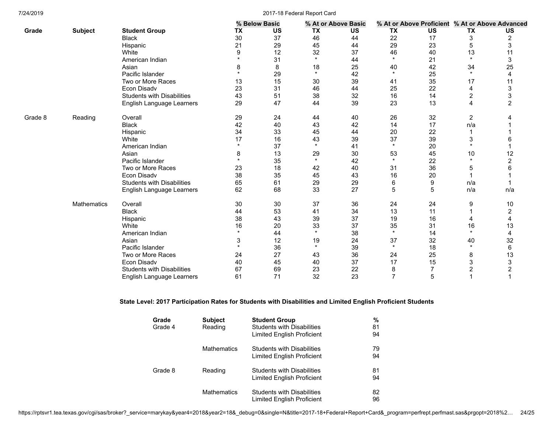|         |                    |                                   |                      | % Below Basic |         | % At or Above Basic |           | % At or Above Proficient % At or Above Advanced |                         |                |
|---------|--------------------|-----------------------------------|----------------------|---------------|---------|---------------------|-----------|-------------------------------------------------|-------------------------|----------------|
| Grade   | <b>Subject</b>     | <b>Student Group</b>              | TX                   | <b>US</b>     | TX      | US                  | <b>TX</b> | US                                              | TX                      | <b>US</b>      |
|         |                    | <b>Black</b>                      | 30                   | 37            | 46      | 44                  | 22        | 17                                              | 3                       | 2              |
|         |                    | Hispanic                          | 21                   | 29            | 45      | 44                  | 29        | 23                                              | 5                       | 3              |
|         |                    | White                             | 9                    | 12            | 32      | 37                  | 46        | 40                                              | 13                      | 11             |
|         |                    | American Indian                   |                      | 31            | $\star$ | 44                  | $\star$   | 21                                              | $\star$                 | 3              |
|         |                    | Asian                             | 8                    | 8             | 18      | 25                  | 40        | 42                                              | 34                      | 25             |
|         |                    | Pacific Islander                  |                      | 29            | $\star$ | 42                  | $\star$   | 25                                              | $\star$                 | 4              |
|         |                    | Two or More Races                 | 13                   | 15            | 30      | 39                  | 41        | 35                                              | 17                      | 11             |
|         |                    | Econ Disadv                       | 23                   | 31            | 46      | 44                  | 25        | 22                                              | 4                       | 3              |
|         |                    | <b>Students with Disabilities</b> | 43                   | 51            | 38      | 32                  | 16        | 14                                              | 2                       | 3              |
|         |                    | English Language Learners         | 29                   | 47            | 44      | 39                  | 23        | 13                                              | 4                       | $\overline{2}$ |
| Grade 8 | Reading            | Overall                           | 29                   | 24            | 44      | 40                  | 26        | 32                                              | $\overline{\mathbf{c}}$ |                |
|         |                    | <b>Black</b>                      | 42                   | 40            | 43      | 42                  | 14        | 17                                              | n/a                     |                |
|         |                    | Hispanic                          | 34                   | 33            | 45      | 44                  | 20        | 22                                              |                         |                |
|         |                    | White                             | 17                   | 16            | 43      | 39                  | 37        | 39                                              | 3                       | 6              |
|         |                    | American Indian                   | $\star$              | 37            | $\star$ | 41                  | $\star$   | 20                                              | $\star$                 |                |
|         |                    | Asian                             | 8                    | 13            | 29      | 30                  | 53        | 45                                              | 10                      | 12             |
|         |                    | Pacific Islander                  |                      | 35            | $\star$ | 42                  | $\star$   | 22                                              | $\star$                 | $\overline{2}$ |
|         |                    | Two or More Races                 | 23                   | 18            | 42      | 40                  | 31        | 36                                              | 5                       | 6              |
|         |                    | <b>Econ Disadv</b>                | 38                   | 35            | 45      | 43                  | 16        | 20                                              |                         |                |
|         |                    | <b>Students with Disabilities</b> | 65                   | 61            | 29      | 29                  | 6         | 9                                               | n/a                     |                |
|         |                    | English Language Learners         | 62                   | 68            | 33      | 27                  | 5         | 5                                               | n/a                     | n/a            |
|         | <b>Mathematics</b> | Overall                           | 30                   | 30            | 37      | 36                  | 24        | 24                                              | 9                       | 10             |
|         |                    | <b>Black</b>                      | 44                   | 53            | 41      | 34                  | 13        | 11                                              | 1                       | $\overline{c}$ |
|         |                    | Hispanic                          | 38                   | 43            | 39      | 37                  | 19        | 16                                              | 4                       | 4              |
|         |                    | White                             | 16                   | 20            | 33      | 37                  | 35        | 31                                              | 16                      | 13             |
|         |                    | American Indian                   | $\ddot{\phantom{1}}$ | 44            | $\star$ | 38                  | $\star$   | 14                                              | $\star$                 | 4              |
|         |                    | Asian                             | 3                    | 12            | 19      | 24                  | 37        | 32                                              | 40                      | 32             |
|         |                    | Pacific Islander                  |                      | 36            | $\star$ | 39                  | $\star$   | 18                                              | $\star$                 | 6              |
|         |                    | Two or More Races                 | 24                   | 27            | 43      | 36                  | 24        | 25                                              | 8                       | 13             |
|         |                    | Econ Disadv                       | 40                   | 45            | 40      | 37                  | 17        | 15                                              | 3                       | 3              |
|         |                    | <b>Students with Disabilities</b> | 67                   | 69            | 23      | 22                  | 8         | $\overline{7}$                                  | 2                       | $\overline{c}$ |
|         |                    | English Language Learners         | 61                   | 71            | 32      | 23                  | 7         | 5                                               | 4                       | 1              |

## **State Level: 2017 Participation Rates for Students with Disabilities and Limited English Proficient Students**

| Grade   | <b>Subject</b>     | <b>Student Group</b>              | %  |
|---------|--------------------|-----------------------------------|----|
| Grade 4 | Reading            | <b>Students with Disabilities</b> | 81 |
|         |                    | Limited English Proficient        | 94 |
|         | <b>Mathematics</b> | <b>Students with Disabilities</b> | 79 |
|         |                    | Limited English Proficient        | 94 |
| Grade 8 | Reading            | <b>Students with Disabilities</b> | 81 |
|         |                    | Limited English Proficient        | 94 |
|         | <b>Mathematics</b> | <b>Students with Disabilities</b> | 82 |
|         |                    | Limited English Proficient        | 96 |

https://rptsvr1.tea.texas.gov/cgi/sas/broker?\_service=marykay&year4=2018&year2=18&\_debug=0&single=N&title=2017-18+Federal+Report+Card&\_program=perfrept.perfmast.sas&prgopt=2018%2… 24/25